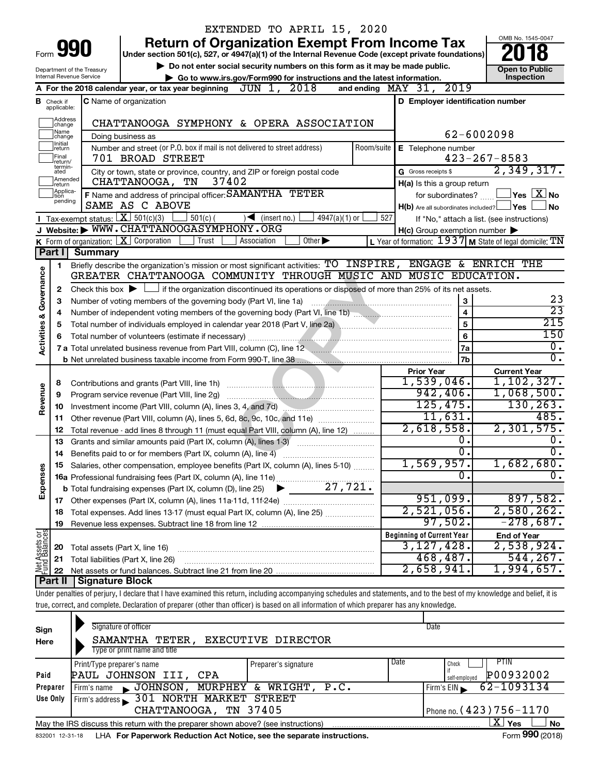|                         |                               |                                | EXTENDED TO APRIL 15, 2020                                                                                                                                                 |            |                                                     |                                                           |
|-------------------------|-------------------------------|--------------------------------|----------------------------------------------------------------------------------------------------------------------------------------------------------------------------|------------|-----------------------------------------------------|-----------------------------------------------------------|
|                         |                               |                                | <b>Return of Organization Exempt From Income Tax</b>                                                                                                                       |            |                                                     | OMB No. 1545-0047                                         |
|                         |                               | Form <b>990</b>                | Under section 501(c), 527, or 4947(a)(1) of the Internal Revenue Code (except private foundations)                                                                         |            |                                                     |                                                           |
|                         |                               | Department of the Treasury     | Do not enter social security numbers on this form as it may be made public.                                                                                                |            |                                                     | <b>Open to Public</b>                                     |
|                         |                               | Internal Revenue Service       | Go to www.irs.gov/Form990 for instructions and the latest information.                                                                                                     |            |                                                     | Inspection                                                |
|                         |                               |                                | JUN 1, 2018<br>A For the 2018 calendar year, or tax year beginning                                                                                                         |            | 2019<br>and ending $\text{MAX}$ 31,                 |                                                           |
|                         | <b>B</b> Check if applicable: |                                | <b>C</b> Name of organization                                                                                                                                              |            | D Employer identification number                    |                                                           |
|                         | Address<br> change            |                                |                                                                                                                                                                            |            |                                                     |                                                           |
|                         | ]Name<br>]change              |                                | CHATTANOOGA SYMPHONY & OPERA ASSOCIATION                                                                                                                                   |            |                                                     | 62-6002098                                                |
|                         | Ilnitial                      |                                | Doing business as                                                                                                                                                          | Room/suite |                                                     |                                                           |
|                         | return<br> Final              |                                | Number and street (or P.O. box if mail is not delivered to street address)<br>701 BROAD STREET                                                                             |            | E Telephone number                                  | $423 - 267 - 8583$                                        |
|                         | lreturn/<br>termin-<br>ated   |                                | City or town, state or province, country, and ZIP or foreign postal code                                                                                                   |            | G Gross receipts \$                                 | 2,349,317.                                                |
|                         | Amended<br>Ireturn            |                                | CHATTANOOGA,<br>37402<br>TN                                                                                                                                                |            | H(a) Is this a group return                         |                                                           |
|                         | Applica-<br>ltion             |                                | F Name and address of principal officer: SAMANTHA TETER                                                                                                                    |            | for subordinates?                                   | $\,$ Yes $\,$ $\,$ $\rm X$ $\,$ No $\,$                   |
|                         | pending                       |                                | SAME AS C ABOVE                                                                                                                                                            |            | $H(b)$ Are all subordinates included? $\Box$ Yes    | <b>No</b>                                                 |
|                         |                               |                                | Tax-exempt status: $X \overline{X}$ 501(c)(3)<br>∫ 501(c) (<br>$\sqrt{\frac{1}{1}}$ (insert no.)<br>$4947(a)(1)$ or                                                        | 527        |                                                     | If "No," attach a list. (see instructions)                |
|                         |                               |                                | J Website: WWW.CHATTANOOGASYMPHONY.ORG                                                                                                                                     |            | $H(c)$ Group exemption number $\blacktriangleright$ |                                                           |
|                         |                               |                                | K Form of organization: $X$ Corporation<br>Other $\blacktriangleright$<br>Trust<br>Association                                                                             |            |                                                     | L Year of formation: $1937$ M State of legal domicile: TN |
|                         | Part I                        | <b>Summary</b>                 |                                                                                                                                                                            |            |                                                     |                                                           |
|                         | 1                             |                                | Briefly describe the organization's mission or most significant activities: TO INSPIRE, ENGAGE & ENRICH THE                                                                |            |                                                     |                                                           |
| Governance              |                               |                                | GREATER CHATTANOOGA COMMUNITY THROUGH MUSIC AND MUSIC EDUCATION.                                                                                                           |            |                                                     |                                                           |
|                         | 2                             |                                | Check this box $\blacktriangleright$ $\Box$ if the organization discontinued its operations or disposed of more than 25% of its net assets.                                |            |                                                     |                                                           |
|                         | 3                             |                                | Number of voting members of the governing body (Part VI, line 1a)                                                                                                          |            | $\mathbf{3}$                                        | 23                                                        |
|                         | 4                             |                                |                                                                                                                                                                            |            | $\overline{4}$                                      | $\overline{23}$                                           |
|                         | 5                             |                                |                                                                                                                                                                            |            | $\overline{5}$                                      | $\overline{215}$                                          |
| <b>Activities &amp;</b> | 6                             |                                |                                                                                                                                                                            |            | $6\phantom{1}$                                      | 150                                                       |
|                         |                               |                                | 7 a Total unrelated business revenue from Part VIII, column (C), line 12 <b>Column COVID 12</b>                                                                            |            | 7a                                                  | $\overline{0}$ .                                          |
|                         |                               |                                |                                                                                                                                                                            |            | 7b                                                  | σ.                                                        |
|                         |                               |                                |                                                                                                                                                                            |            | <b>Prior Year</b><br>1,539,046.                     | <b>Current Year</b><br>1, 102, 327.                       |
|                         | 8                             |                                |                                                                                                                                                                            |            | 942, 406.                                           | 1,068,500.                                                |
| Revenue                 | 9                             |                                | Program service revenue (Part VIII, line 2g)                                                                                                                               |            | 125,475.                                            | 130, 263.                                                 |
|                         | 10<br>11                      |                                | Investment income (Part VIII, column (A), lines 3, 4, and 7d)<br>Other revenue (Part VIII, column (A), lines 5, 6d, 8c, 9c, 10c, and 11e)                                  |            | 11,631.                                             | 485.                                                      |
|                         | 12                            |                                | Total revenue - add lines 8 through 11 (must equal Part VIII, column (A), line 12)                                                                                         |            | 2,618,558.                                          | 2,301,575.                                                |
|                         | 13                            |                                | Grants and similar amounts paid (Part IX, column (A), lines 1-3)                                                                                                           |            | 0.                                                  | 0.                                                        |
|                         | 14                            |                                | Benefits paid to or for members (Part IX, column (A), line 4)                                                                                                              |            | $\overline{0}$ .                                    | $\overline{0}$ .                                          |
|                         |                               |                                | Salaries, other compensation, employee benefits (Part IX, column (A), lines 5-10)                                                                                          |            | 1,569,957.                                          | 1,682,680.                                                |
| Expenses                |                               |                                |                                                                                                                                                                            |            | $\overline{0}$                                      | σ.                                                        |
|                         |                               |                                |                                                                                                                                                                            |            |                                                     |                                                           |
|                         |                               |                                |                                                                                                                                                                            |            | 951,099.                                            | 897,582.                                                  |
|                         | 18                            |                                | Total expenses. Add lines 13-17 (must equal Part IX, column (A), line 25)                                                                                                  |            | 2,521,056.                                          | 2,580,262.                                                |
|                         | 19                            |                                |                                                                                                                                                                            |            | 97,502.                                             | $-278,687.$                                               |
|                         |                               |                                |                                                                                                                                                                            |            | <b>Beginning of Current Year</b>                    | <b>End of Year</b>                                        |
| Net Assets or           | 20                            | Total assets (Part X, line 16) |                                                                                                                                                                            |            | 3,127,428.                                          | 2,538,924.                                                |
|                         | 21                            |                                | Total liabilities (Part X, line 26)                                                                                                                                        |            | 468,487.                                            | 544, 267.                                                 |
|                         | 22                            |                                |                                                                                                                                                                            |            | 2,658,941.                                          | 1,994,657.                                                |
|                         | Part II                       | <b>Signature Block</b>         |                                                                                                                                                                            |            |                                                     |                                                           |
|                         |                               |                                | Under penalties of perjury, I declare that I have examined this return, including accompanying schedules and statements, and to the best of my knowledge and belief, it is |            |                                                     |                                                           |
|                         |                               |                                | true, correct, and complete. Declaration of preparer (other than officer) is based on all information of which preparer has any knowledge.                                 |            |                                                     |                                                           |
|                         |                               |                                | Signature of officer                                                                                                                                                       |            | Date                                                |                                                           |
| Sign                    |                               |                                |                                                                                                                                                                            |            |                                                     |                                                           |

| Here     | <b>EXECUTIVE DIRECTOR</b><br>SAMANTHA TETER,                                                                                                                                                                                  |                      |                                   |  |  |  |  |  |  |  |  |
|----------|-------------------------------------------------------------------------------------------------------------------------------------------------------------------------------------------------------------------------------|----------------------|-----------------------------------|--|--|--|--|--|--|--|--|
|          | Type or print name and title                                                                                                                                                                                                  |                      |                                   |  |  |  |  |  |  |  |  |
|          | Print/Type preparer's name                                                                                                                                                                                                    | Preparer's signature | PTIN.<br>Date<br>Check            |  |  |  |  |  |  |  |  |
| Paid     | PAUL JOHNSON III, CPA                                                                                                                                                                                                         |                      | P00932002<br>self-emploved        |  |  |  |  |  |  |  |  |
| Preparer | JOHNSON, MURPHEY & WRIGHT, P.C.<br>Firm's name                                                                                                                                                                                |                      | 62-1093134<br>Firm's EIN          |  |  |  |  |  |  |  |  |
| Use Only | Firm's address 301 NORTH MARKET STREET                                                                                                                                                                                        |                      |                                   |  |  |  |  |  |  |  |  |
|          | Phone no. (423) 756 – 1170<br>CHATTANOOGA, TN 37405                                                                                                                                                                           |                      |                                   |  |  |  |  |  |  |  |  |
|          | ΧI<br>l Yes<br><b>No</b><br>May the IRS discuss this return with the preparer shown above? (see instructions)                                                                                                                 |                      |                                   |  |  |  |  |  |  |  |  |
|          | . The set of the set of the set of the set of the set of the set of the set of the set of the set of the set of the set of the set of the set of the set of the set of the set of the set of the set of the set of the set of |                      | $\overline{a}$ 000 $\overline{a}$ |  |  |  |  |  |  |  |  |

832001 12-31-18 **For Paperwork Reduction Act Notice, see the separate instructions.** LHA Form (2018)

Form **990** (2018)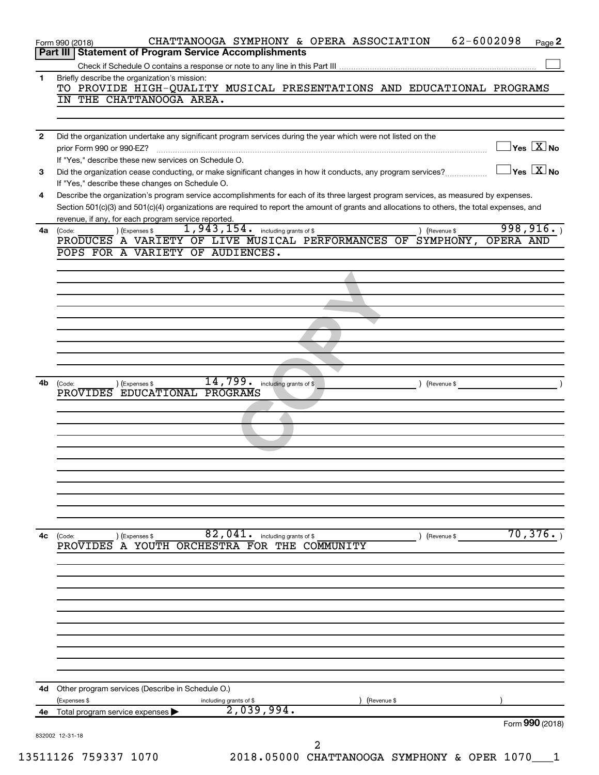|              | 62-6002098<br>CHATTANOOGA SYMPHONY & OPERA ASSOCIATION<br>Page 2<br>Form 990 (2018)<br>Part III   Statement of Program Service Accomplishments                                                                                                                                                                                          |
|--------------|-----------------------------------------------------------------------------------------------------------------------------------------------------------------------------------------------------------------------------------------------------------------------------------------------------------------------------------------|
|              |                                                                                                                                                                                                                                                                                                                                         |
| 1            | Briefly describe the organization's mission:<br>TO PROVIDE HIGH-QUALITY MUSICAL PRESENTATIONS AND EDUCATIONAL PROGRAMS<br>IN THE CHATTANOOGA AREA.                                                                                                                                                                                      |
|              |                                                                                                                                                                                                                                                                                                                                         |
| $\mathbf{2}$ | Did the organization undertake any significant program services during the year which were not listed on the<br>$\overline{\ }$ Yes $\overline{\rm X}$ No<br>prior Form 990 or 990-EZ?<br>If "Yes," describe these new services on Schedule O.                                                                                          |
| 3            | $\overline{\ }$ Yes $\overline{\rm X}$ No<br>Did the organization cease conducting, or make significant changes in how it conducts, any program services?                                                                                                                                                                               |
| 4            | If "Yes," describe these changes on Schedule O.<br>Describe the organization's program service accomplishments for each of its three largest program services, as measured by expenses.<br>Section 501(c)(3) and 501(c)(4) organizations are required to report the amount of grants and allocations to others, the total expenses, and |
| 4a           | revenue, if any, for each program service reported.<br>998, 916.<br>$1,943,154$ $\cdot$ including grants of \$<br>) (Expenses \$<br>(Code:<br>) (Revenue \$                                                                                                                                                                             |
|              | PRODUCES A VARIETY OF LIVE MUSICAL PERFORMANCES OF SYMPHONY,<br><b>OPERA AND</b><br>POPS FOR A VARIETY OF AUDIENCES.                                                                                                                                                                                                                    |
|              |                                                                                                                                                                                                                                                                                                                                         |
|              |                                                                                                                                                                                                                                                                                                                                         |
|              |                                                                                                                                                                                                                                                                                                                                         |
|              |                                                                                                                                                                                                                                                                                                                                         |
|              |                                                                                                                                                                                                                                                                                                                                         |
|              | 14,799.<br>including grants of \$                                                                                                                                                                                                                                                                                                       |
| 4b           | ) (Expenses \$<br>(Code:<br>(Revenue \$<br>PROVIDES EDUCATIONAL PROGRAMS                                                                                                                                                                                                                                                                |
|              |                                                                                                                                                                                                                                                                                                                                         |
|              |                                                                                                                                                                                                                                                                                                                                         |
|              |                                                                                                                                                                                                                                                                                                                                         |
|              |                                                                                                                                                                                                                                                                                                                                         |
|              |                                                                                                                                                                                                                                                                                                                                         |
|              |                                                                                                                                                                                                                                                                                                                                         |
| 4с           | 70,376.<br>82,041.<br>including grants of \$<br>(Code:<br>(Revenue \$<br>) (Expenses \$                                                                                                                                                                                                                                                 |
|              | PROVIDES A YOUTH ORCHESTRA FOR THE COMMUNITY                                                                                                                                                                                                                                                                                            |
|              |                                                                                                                                                                                                                                                                                                                                         |
|              |                                                                                                                                                                                                                                                                                                                                         |
|              |                                                                                                                                                                                                                                                                                                                                         |
|              |                                                                                                                                                                                                                                                                                                                                         |
|              |                                                                                                                                                                                                                                                                                                                                         |
|              |                                                                                                                                                                                                                                                                                                                                         |
|              | Other program services (Describe in Schedule O.)<br>(Expenses \$<br>including grants of \$<br>2,039,994.<br>(Revenue \$                                                                                                                                                                                                                 |
| 4d<br>4е     | Total program service expenses                                                                                                                                                                                                                                                                                                          |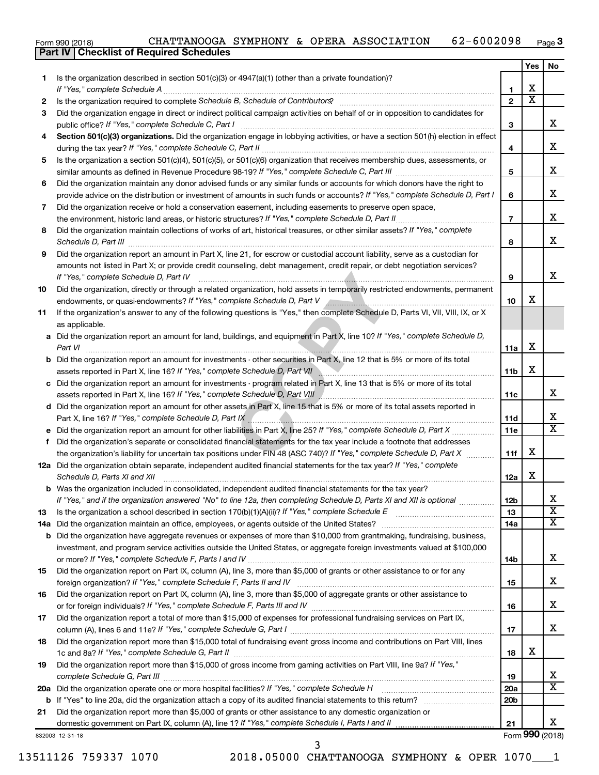|  | Form 990 (2018) | CHATTANOOGA SYMPHONY |  |  |  | & OPERA ASSOCIATION | $-6002098$<br>6 Z | Page <b>3</b> |
|--|-----------------|----------------------|--|--|--|---------------------|-------------------|---------------|
|--|-----------------|----------------------|--|--|--|---------------------|-------------------|---------------|

|     | Part IV   Checklist of Required Schedules                                                                                        |                 |                         |                              |
|-----|----------------------------------------------------------------------------------------------------------------------------------|-----------------|-------------------------|------------------------------|
|     |                                                                                                                                  |                 | Yes                     | No.                          |
| 1.  | Is the organization described in section 501(c)(3) or $4947(a)(1)$ (other than a private foundation)?                            |                 |                         |                              |
|     |                                                                                                                                  | 1               | х                       |                              |
| 2   |                                                                                                                                  | $\overline{2}$  | $\overline{\textbf{x}}$ |                              |
| 3   | Did the organization engage in direct or indirect political campaign activities on behalf of or in opposition to candidates for  |                 |                         |                              |
|     |                                                                                                                                  | 3               |                         | x                            |
|     |                                                                                                                                  |                 |                         |                              |
| 4   | Section 501(c)(3) organizations. Did the organization engage in lobbying activities, or have a section 501(h) election in effect |                 |                         | х                            |
|     |                                                                                                                                  | 4               |                         |                              |
| 5   | Is the organization a section 501(c)(4), 501(c)(5), or 501(c)(6) organization that receives membership dues, assessments, or     |                 |                         |                              |
|     |                                                                                                                                  | 5               |                         | X                            |
| 6   | Did the organization maintain any donor advised funds or any similar funds or accounts for which donors have the right to        |                 |                         |                              |
|     | provide advice on the distribution or investment of amounts in such funds or accounts? If "Yes," complete Schedule D, Part I     | 6               |                         | X                            |
| 7   | Did the organization receive or hold a conservation easement, including easements to preserve open space,                        |                 |                         |                              |
|     | the environment, historic land areas, or historic structures? If "Yes," complete Schedule D, Part II                             | $\overline{7}$  |                         | X                            |
| 8   | Did the organization maintain collections of works of art, historical treasures, or other similar assets? If "Yes," complete     |                 |                         |                              |
|     |                                                                                                                                  | 8               |                         | х                            |
| 9   | Did the organization report an amount in Part X, line 21, for escrow or custodial account liability, serve as a custodian for    |                 |                         |                              |
|     | amounts not listed in Part X; or provide credit counseling, debt management, credit repair, or debt negotiation services?        |                 |                         |                              |
|     | If "Yes," complete Schedule D, Part IV                                                                                           | 9               |                         | х                            |
|     | Did the organization, directly or through a related organization, hold assets in temporarily restricted endowments, permanent    |                 |                         |                              |
| 10  |                                                                                                                                  |                 | x                       |                              |
|     | endowments, or quasi-endowments? If "Yes," complete Schedule D, Part V Annumerman and Communication control of                   | 10              |                         |                              |
| 11  | If the organization's answer to any of the following questions is "Yes," then complete Schedule D, Parts VI, VII, VIII, IX, or X |                 |                         |                              |
|     | as applicable.                                                                                                                   |                 |                         |                              |
| а   | Did the organization report an amount for land, buildings, and equipment in Part X, line 10? If "Yes," complete Schedule D,      |                 |                         |                              |
|     | Part VI                                                                                                                          | 11a             | X                       |                              |
| b   | Did the organization report an amount for investments - other securities in Part X, line 12 that is 5% or more of its total      |                 |                         |                              |
|     | assets reported in Part X, line 16? If "Yes," complete Schedule D, Part VII                                                      | 11b             | X                       |                              |
| с   | Did the organization report an amount for investments - program related in Part X, line 13 that is 5% or more of its total       |                 |                         |                              |
|     | assets reported in Part X, line 16? If "Yes," complete Schedule D, Part VIII                                                     | 11c             |                         | x                            |
| d   | Did the organization report an amount for other assets in Part X, line 15 that is 5% or more of its total assets reported in     |                 |                         |                              |
|     |                                                                                                                                  | 11d             |                         | х                            |
|     | Did the organization report an amount for other liabilities in Part X, line 25? If "Yes," complete Schedule D, Part X            | 11e             |                         | X                            |
| f   | Did the organization's separate or consolidated financial statements for the tax year include a footnote that addresses          |                 |                         |                              |
|     | the organization's liability for uncertain tax positions under FIN 48 (ASC 740)? If "Yes," complete Schedule D, Part X           | 11f             | X                       |                              |
|     | 12a Did the organization obtain separate, independent audited financial statements for the tax year? If "Yes," complete          |                 |                         |                              |
|     | Schedule D, Parts XI and XII                                                                                                     | 12a             | X                       |                              |
|     | Was the organization included in consolidated, independent audited financial statements for the tax year?                        |                 |                         |                              |
|     |                                                                                                                                  |                 |                         |                              |
|     | If "Yes," and if the organization answered "No" to line 12a, then completing Schedule D, Parts XI and XII is optional            | 12b             |                         | х<br>$\overline{\textbf{X}}$ |
| 13  |                                                                                                                                  | 13              |                         |                              |
| 14a | Did the organization maintain an office, employees, or agents outside of the United States?                                      | 14a             |                         | х                            |
| b   | Did the organization have aggregate revenues or expenses of more than \$10,000 from grantmaking, fundraising, business,          |                 |                         |                              |
|     | investment, and program service activities outside the United States, or aggregate foreign investments valued at \$100,000       |                 |                         |                              |
|     |                                                                                                                                  | 14b             |                         | х                            |
| 15  | Did the organization report on Part IX, column (A), line 3, more than \$5,000 of grants or other assistance to or for any        |                 |                         |                              |
|     | foreign organization? If "Yes," complete Schedule F, Parts II and IV                                                             | 15              |                         | х                            |
| 16  | Did the organization report on Part IX, column (A), line 3, more than \$5,000 of aggregate grants or other assistance to         |                 |                         |                              |
|     |                                                                                                                                  | 16              |                         | x                            |
| 17  | Did the organization report a total of more than \$15,000 of expenses for professional fundraising services on Part IX,          |                 |                         |                              |
|     |                                                                                                                                  | 17              |                         | x                            |
| 18  | Did the organization report more than \$15,000 total of fundraising event gross income and contributions on Part VIII, lines     |                 |                         |                              |
|     |                                                                                                                                  | 18              | х                       |                              |
| 19  | Did the organization report more than \$15,000 of gross income from gaming activities on Part VIII, line 9a? If "Yes,"           |                 |                         |                              |
|     |                                                                                                                                  | 19              |                         | x                            |
|     | 20a Did the organization operate one or more hospital facilities? If "Yes," complete Schedule H                                  |                 |                         | X                            |
|     |                                                                                                                                  | <b>20a</b>      |                         |                              |
|     |                                                                                                                                  | 20 <sub>b</sub> |                         |                              |
| 21  | Did the organization report more than \$5,000 of grants or other assistance to any domestic organization or                      |                 |                         |                              |
|     | domestic government on Part IX, column (A), line 1? If "Yes," complete Schedule I, Parts I and II                                | 21              |                         | x                            |
|     | 832003 12-31-18<br>3                                                                                                             |                 |                         | Form 990 (2018)              |
|     |                                                                                                                                  |                 |                         |                              |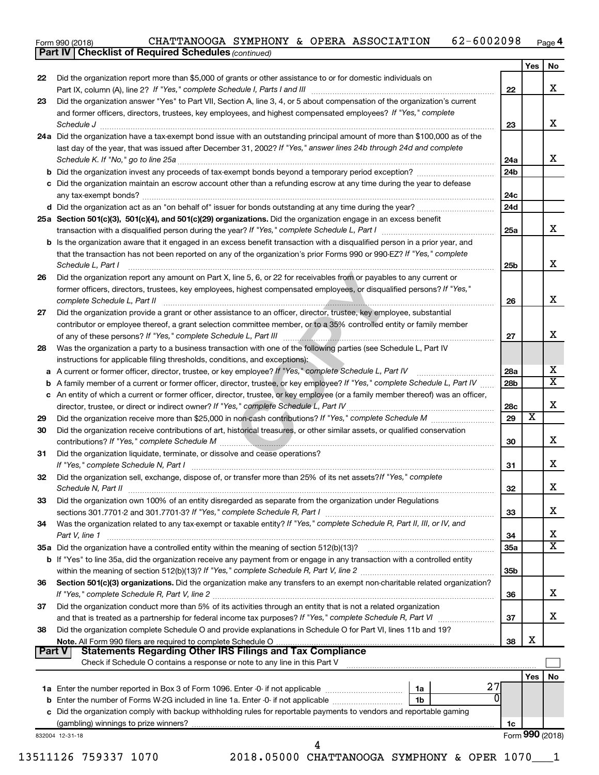| Form 990 (2018) |  |  |  | CHATTANOOGA SYMPHONY & OPERA ASSOCIATION | 62-6002098 | Page 4 |
|-----------------|--|--|--|------------------------------------------|------------|--------|
|-----------------|--|--|--|------------------------------------------|------------|--------|

*(continued)*

**Part IV Checklist of Required Schedules**

| 22            | Did the organization report more than \$5,000 of grants or other assistance to or for domestic individuals on                                                                                                                        |                 | Yes                     | No |
|---------------|--------------------------------------------------------------------------------------------------------------------------------------------------------------------------------------------------------------------------------------|-----------------|-------------------------|----|
|               |                                                                                                                                                                                                                                      | 22              |                         | x  |
| 23            | Did the organization answer "Yes" to Part VII, Section A, line 3, 4, or 5 about compensation of the organization's current                                                                                                           |                 |                         |    |
|               | and former officers, directors, trustees, key employees, and highest compensated employees? If "Yes," complete                                                                                                                       |                 |                         |    |
|               | Schedule J <b>Martin Communication Contract Contract Contract Contract Contract Contract Contract Contract Contract Contract Contract Contract Contract Contract Contract Contract Contract Contract Contract Contract Contract </b> | 23              |                         | x  |
|               | 24a Did the organization have a tax-exempt bond issue with an outstanding principal amount of more than \$100,000 as of the                                                                                                          |                 |                         |    |
|               | last day of the year, that was issued after December 31, 2002? If "Yes," answer lines 24b through 24d and complete                                                                                                                   |                 |                         |    |
|               |                                                                                                                                                                                                                                      | 24a             |                         |    |
|               | <b>b</b> Did the organization invest any proceeds of tax-exempt bonds beyond a temporary period exception?                                                                                                                           | 24b             |                         |    |
|               | c Did the organization maintain an escrow account other than a refunding escrow at any time during the year to defease                                                                                                               |                 |                         |    |
|               |                                                                                                                                                                                                                                      | 24 <sub>c</sub> |                         |    |
|               |                                                                                                                                                                                                                                      | 24d             |                         |    |
|               | 25a Section 501(c)(3), 501(c)(4), and 501(c)(29) organizations. Did the organization engage in an excess benefit                                                                                                                     |                 |                         |    |
|               |                                                                                                                                                                                                                                      | 25a             |                         |    |
|               | <b>b</b> Is the organization aware that it engaged in an excess benefit transaction with a disqualified person in a prior year, and                                                                                                  |                 |                         |    |
|               | that the transaction has not been reported on any of the organization's prior Forms 990 or 990-EZ? If "Yes," complete                                                                                                                |                 |                         |    |
|               | Schedule L, Part I                                                                                                                                                                                                                   | 25b             |                         |    |
| 26            | Did the organization report any amount on Part X, line 5, 6, or 22 for receivables from or payables to any current or                                                                                                                |                 |                         |    |
|               |                                                                                                                                                                                                                                      |                 |                         |    |
|               | former officers, directors, trustees, key employees, highest compensated employees, or disqualified persons? If "Yes,"<br>complete Schedule L, Part II                                                                               | 26              |                         |    |
| 27            | Did the organization provide a grant or other assistance to an officer, director, trustee, key employee, substantial                                                                                                                 |                 |                         |    |
|               |                                                                                                                                                                                                                                      |                 |                         |    |
|               | contributor or employee thereof, a grant selection committee member, or to a 35% controlled entity or family member                                                                                                                  | 27              |                         |    |
|               | Was the organization a party to a business transaction with one of the following parties (see Schedule L, Part IV                                                                                                                    |                 |                         |    |
| 28            |                                                                                                                                                                                                                                      |                 |                         |    |
|               | instructions for applicable filing thresholds, conditions, and exceptions):                                                                                                                                                          |                 |                         |    |
|               | a A current or former officer, director, trustee, or key employee? If "Yes," complete Schedule L, Part IV                                                                                                                            | 28a             |                         |    |
|               | b A family member of a current or former officer, director, trustee, or key employee? If "Yes," complete Schedule L, Part IV                                                                                                         | 28 <sub>b</sub> |                         |    |
|               | c An entity of which a current or former officer, director, trustee, or key employee (or a family member thereof) was an officer,                                                                                                    |                 |                         |    |
|               | director, trustee, or direct or indirect owner? If "Yes," complete Schedule L, Part IV                                                                                                                                               | <b>28c</b>      | $\overline{\textbf{x}}$ |    |
| 29            |                                                                                                                                                                                                                                      | 29              |                         |    |
| 30            | Did the organization receive contributions of art, historical treasures, or other similar assets, or qualified conservation                                                                                                          |                 |                         |    |
|               |                                                                                                                                                                                                                                      | 30              |                         |    |
| 31            | Did the organization liquidate, terminate, or dissolve and cease operations?                                                                                                                                                         |                 |                         |    |
|               |                                                                                                                                                                                                                                      | 31              |                         |    |
| 32            | Did the organization sell, exchange, dispose of, or transfer more than 25% of its net assets? If "Yes," complete                                                                                                                     |                 |                         |    |
|               |                                                                                                                                                                                                                                      | 32              |                         |    |
| 33            | Did the organization own 100% of an entity disregarded as separate from the organization under Regulations                                                                                                                           |                 |                         |    |
|               | sections 301.7701-2 and 301.7701-3? If "Yes," complete Schedule R, Part I [1] [1] [1] [1] [1] [1] sections 301.7701-2 and 301.7701-3? If "Yes," complete Schedule R, Part I                                                          | 33              |                         |    |
| 34            | Was the organization related to any tax-exempt or taxable entity? If "Yes," complete Schedule R, Part II, III, or IV, and                                                                                                            |                 |                         |    |
|               | Part V, line 1                                                                                                                                                                                                                       | 34              |                         |    |
|               |                                                                                                                                                                                                                                      | <b>35a</b>      |                         |    |
|               | b If "Yes" to line 35a, did the organization receive any payment from or engage in any transaction with a controlled entity                                                                                                          |                 |                         |    |
|               |                                                                                                                                                                                                                                      | 35 <sub>b</sub> |                         |    |
| 36            | Section 501(c)(3) organizations. Did the organization make any transfers to an exempt non-charitable related organization?                                                                                                           |                 |                         |    |
|               |                                                                                                                                                                                                                                      | 36              |                         |    |
| 37            | Did the organization conduct more than 5% of its activities through an entity that is not a related organization                                                                                                                     |                 |                         |    |
|               |                                                                                                                                                                                                                                      | 37              |                         |    |
| 38            | Did the organization complete Schedule O and provide explanations in Schedule O for Part VI, lines 11b and 19?                                                                                                                       |                 |                         |    |
|               |                                                                                                                                                                                                                                      | 38              | X                       |    |
| <b>Part V</b> | <b>Statements Regarding Other IRS Filings and Tax Compliance</b>                                                                                                                                                                     |                 |                         |    |
|               | Check if Schedule O contains a response or note to any line in this Part V                                                                                                                                                           |                 |                         |    |
|               |                                                                                                                                                                                                                                      |                 | Yes                     | No |
|               | 27                                                                                                                                                                                                                                   |                 |                         |    |
|               | 0                                                                                                                                                                                                                                    |                 |                         |    |
|               | c Did the organization comply with backup withholding rules for reportable payments to vendors and reportable gaming                                                                                                                 |                 |                         |    |
|               |                                                                                                                                                                                                                                      |                 |                         |    |
|               |                                                                                                                                                                                                                                      | 1c              |                         |    |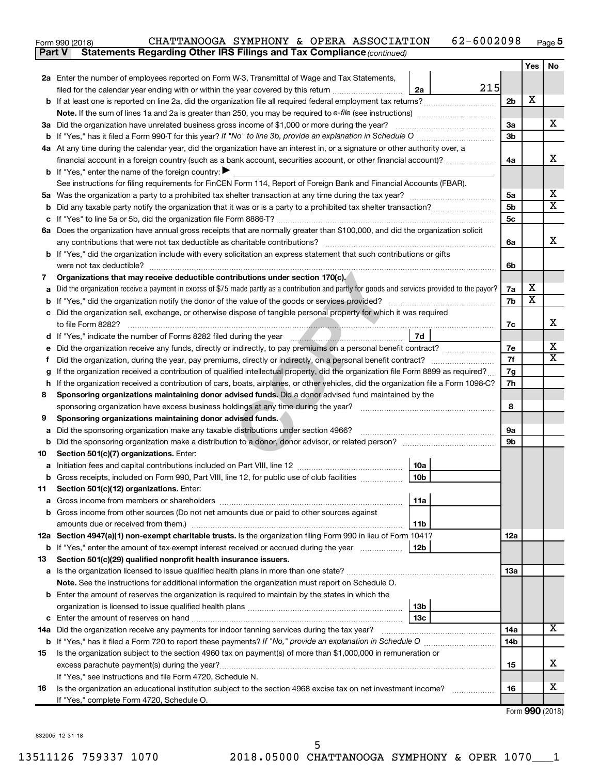| Form 990 (2018) | <b>CHATTANOOGA</b> | SYMPHONY<br>&. | OPERA | ASSOCIATION | 12098<br>E O<br>ENN'<br>2 U J | Page <b>ວ</b> |
|-----------------|--------------------|----------------|-------|-------------|-------------------------------|---------------|
|                 |                    |                |       |             |                               |               |

| <b>Part V</b> | <b>Statements Regarding Other IRS Filings and Tax Compliance (continued)</b>                                                                               |                |                         |     |
|---------------|------------------------------------------------------------------------------------------------------------------------------------------------------------|----------------|-------------------------|-----|
|               |                                                                                                                                                            |                | Yes                     | No. |
|               | 2a Enter the number of employees reported on Form W-3, Transmittal of Wage and Tax Statements,                                                             |                |                         |     |
|               | 215<br>filed for the calendar year ending with or within the year covered by this return<br>2a                                                             |                |                         |     |
|               | b If at least one is reported on line 2a, did the organization file all required federal employment tax returns?                                           | 2 <sub>b</sub> | х                       |     |
|               |                                                                                                                                                            |                |                         |     |
|               | 3a Did the organization have unrelated business gross income of \$1,000 or more during the year?                                                           | За             |                         | х   |
|               |                                                                                                                                                            | 3b             |                         |     |
|               | 4a At any time during the calendar year, did the organization have an interest in, or a signature or other authority over, a                               |                |                         |     |
|               | financial account in a foreign country (such as a bank account, securities account, or other financial account)?                                           | 4a             |                         | x   |
|               | <b>b</b> If "Yes," enter the name of the foreign country: $\blacktriangleright$                                                                            |                |                         |     |
|               | See instructions for filing requirements for FinCEN Form 114, Report of Foreign Bank and Financial Accounts (FBAR).                                        |                |                         |     |
| 5а            |                                                                                                                                                            | 5a             |                         | х   |
| b             |                                                                                                                                                            | 5b             |                         | X   |
|               |                                                                                                                                                            | 5c             |                         |     |
|               | 6a Does the organization have annual gross receipts that are normally greater than \$100,000, and did the organization solicit                             |                |                         |     |
|               |                                                                                                                                                            | 6a             |                         | х   |
|               | b If "Yes," did the organization include with every solicitation an express statement that such contributions or gifts                                     |                |                         |     |
|               | were not tax deductible?                                                                                                                                   | 6b             |                         |     |
| 7             | Organizations that may receive deductible contributions under section 170(c).                                                                              |                | х                       |     |
|               | Did the organization receive a payment in excess of \$75 made partly as a contribution and partly for goods and services provided to the payor?            | 7a<br>7b       | $\overline{\textbf{x}}$ |     |
| b             | Did the organization sell, exchange, or otherwise dispose of tangible personal property for which it was required                                          |                |                         |     |
|               |                                                                                                                                                            | 7c             |                         | х   |
|               | 7d                                                                                                                                                         |                |                         |     |
|               | Did the organization receive any funds, directly or indirectly, to pay premiums on a personal benefit contract?                                            | 7е             |                         | х   |
|               |                                                                                                                                                            | 7f             |                         | X   |
|               | If the organization received a contribution of qualified intellectual property, did the organization file Form 8899 as required?                           | 7g             |                         |     |
| h             | If the organization received a contribution of cars, boats, airplanes, or other vehicles, did the organization file a Form 1098-C?                         | 7h             |                         |     |
| 8             | Sponsoring organizations maintaining donor advised funds. Did a donor advised fund maintained by the                                                       |                |                         |     |
|               |                                                                                                                                                            | 8              |                         |     |
| 9             | Sponsoring organizations maintaining donor advised funds.                                                                                                  |                |                         |     |
| а             | Did the sponsoring organization make any taxable distributions under section 4966?                                                                         | 9а             |                         |     |
| b             | Did the sponsoring organization make a distribution to a donor, donor advisor, or related person?                                                          | 9b             |                         |     |
| 10            | Section 501(c)(7) organizations. Enter:                                                                                                                    |                |                         |     |
|               | 10a                                                                                                                                                        |                |                         |     |
|               | 10 <sub>b</sub><br>b Gross receipts, included on Form 990, Part VIII, line 12, for public use of club facilities                                           |                |                         |     |
| 11            | Section 501(c)(12) organizations. Enter:                                                                                                                   |                |                         |     |
|               | 11a                                                                                                                                                        |                |                         |     |
|               | b Gross income from other sources (Do not net amounts due or paid to other sources against                                                                 |                |                         |     |
|               | 11 <sub>b</sub><br>amounts due or received from them.)                                                                                                     |                |                         |     |
|               | 12a Section 4947(a)(1) non-exempt charitable trusts. Is the organization filing Form 990 in lieu of Form 1041?                                             | 12a            |                         |     |
|               | 12 <sub>b</sub><br><b>b</b> If "Yes," enter the amount of tax-exempt interest received or accrued during the year                                          |                |                         |     |
| 13            | Section 501(c)(29) qualified nonprofit health insurance issuers.<br>a Is the organization licensed to issue qualified health plans in more than one state? | 1За            |                         |     |
|               | Note. See the instructions for additional information the organization must report on Schedule O.                                                          |                |                         |     |
|               | <b>b</b> Enter the amount of reserves the organization is required to maintain by the states in which the                                                  |                |                         |     |
|               | 13b                                                                                                                                                        |                |                         |     |
|               | 13 <sub>c</sub>                                                                                                                                            |                |                         |     |
|               | 14a Did the organization receive any payments for indoor tanning services during the tax year?                                                             | 14a            |                         | x   |
|               |                                                                                                                                                            | 14b            |                         |     |
| 15            | Is the organization subject to the section 4960 tax on payment(s) of more than \$1,000,000 in remuneration or                                              |                |                         |     |
|               |                                                                                                                                                            | 15             |                         | х   |
|               | If "Yes," see instructions and file Form 4720, Schedule N.                                                                                                 |                |                         |     |
| 16            | Is the organization an educational institution subject to the section 4968 excise tax on net investment income?                                            | 16             |                         | х   |
|               | If "Yes," complete Form 4720, Schedule O.                                                                                                                  |                |                         |     |
|               |                                                                                                                                                            |                | Form 990 (2018)         |     |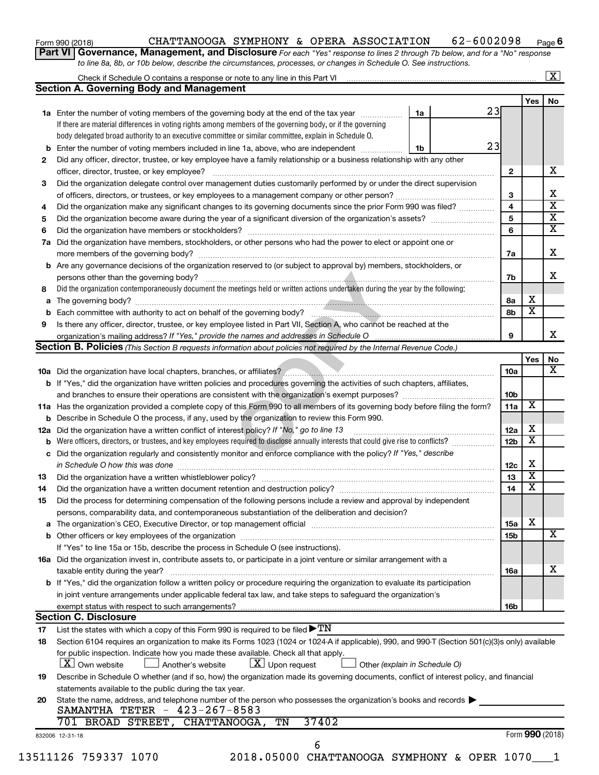| Form 990 (2018) |  |  |
|-----------------|--|--|
|-----------------|--|--|

#### Form 990 (2018)  $\,$  CHATTANOOGA SYMPHONY & OPERA ASSOCIATION  $\,$  62-6002098  $\,$  Page **6**

**Part VI** Governance, Management, and Disclosure For each "Yes" response to lines 2 through 7b below, and for a "No" response *to line 8a, 8b, or 10b below, describe the circumstances, processes, or changes in Schedule O. See instructions.*

|     | Check if Schedule O contains a response or note to any line in this Part VI [11] [12] Check if Schedule O contains a response or note to any line in this Part VI |    |    |                 |                         | $\overline{\mathbf{X}}$ |
|-----|-------------------------------------------------------------------------------------------------------------------------------------------------------------------|----|----|-----------------|-------------------------|-------------------------|
|     | <b>Section A. Governing Body and Management</b>                                                                                                                   |    |    |                 |                         | No                      |
|     |                                                                                                                                                                   |    | 23 |                 | Yes                     |                         |
|     | 1a Enter the number of voting members of the governing body at the end of the tax year                                                                            | 1a |    |                 |                         |                         |
|     | If there are material differences in voting rights among members of the governing body, or if the governing                                                       |    |    |                 |                         |                         |
|     | body delegated broad authority to an executive committee or similar committee, explain in Schedule O.                                                             |    | 23 |                 |                         |                         |
| b   | Enter the number of voting members included in line 1a, above, who are independent                                                                                | 1b |    |                 |                         |                         |
| 2   | Did any officer, director, trustee, or key employee have a family relationship or a business relationship with any other                                          |    |    |                 |                         |                         |
|     | officer, director, trustee, or key employee?                                                                                                                      |    |    | $\mathbf{2}$    |                         |                         |
| 3   | Did the organization delegate control over management duties customarily performed by or under the direct supervision                                             |    |    |                 |                         |                         |
|     |                                                                                                                                                                   |    |    | 3               |                         |                         |
| 4   | Did the organization make any significant changes to its governing documents since the prior Form 990 was filed?                                                  |    |    | $\overline{4}$  |                         |                         |
| 5   |                                                                                                                                                                   |    |    | 5               |                         |                         |
| 6   |                                                                                                                                                                   |    |    | 6               |                         |                         |
| 7a  | Did the organization have members, stockholders, or other persons who had the power to elect or appoint one or                                                    |    |    |                 |                         |                         |
|     |                                                                                                                                                                   |    |    | 7a              |                         |                         |
|     | <b>b</b> Are any governance decisions of the organization reserved to (or subject to approval by) members, stockholders, or                                       |    |    |                 |                         |                         |
|     | persons other than the governing body?                                                                                                                            |    |    | 7b              |                         |                         |
| 8   | Did the organization contemporaneously document the meetings held or written actions undertaken during the year by the following:                                 |    |    |                 |                         |                         |
|     |                                                                                                                                                                   |    |    | 8а              | х                       |                         |
|     |                                                                                                                                                                   |    |    | 8b              | $\overline{\text{x}}$   |                         |
| 9   | Is there any officer, director, trustee, or key employee listed in Part VII, Section A, who cannot be reached at the                                              |    |    |                 |                         |                         |
|     |                                                                                                                                                                   |    |    | 9               |                         |                         |
|     | Section B. Policies (This Section B requests information about policies not required by the Internal Revenue Code.)                                               |    |    |                 |                         |                         |
|     |                                                                                                                                                                   |    |    |                 | Yes                     |                         |
|     |                                                                                                                                                                   |    |    | 10a             |                         |                         |
|     | b If "Yes," did the organization have written policies and procedures governing the activities of such chapters, affiliates,                                      |    |    |                 |                         |                         |
|     |                                                                                                                                                                   |    |    | 10 <sub>b</sub> |                         |                         |
|     | 11a Has the organization provided a complete copy of this Form 990 to all members of its governing body before filing the form?                                   |    |    | 11a             | $\overline{\mathbf{X}}$ |                         |
|     | <b>b</b> Describe in Schedule O the process, if any, used by the organization to review this Form 990.                                                            |    |    |                 |                         |                         |
| 12a | Did the organization have a written conflict of interest policy? If "No," go to line 13                                                                           |    |    | 12a             | х                       |                         |
| b   | Were officers, directors, or trustees, and key employees required to disclose annually interests that could give rise to conflicts?                               |    |    | 12 <sub>b</sub> | $\overline{\text{x}}$   |                         |
|     | c Did the organization regularly and consistently monitor and enforce compliance with the policy? If "Yes," describe                                              |    |    |                 |                         |                         |
|     | in Schedule O how this was done manufactured and continuum and contact the way to the set of the set of the schedule O how this was done                          |    |    | 12c             | х                       |                         |
| 13  |                                                                                                                                                                   |    |    | 13              | $\overline{\textbf{x}}$ |                         |
| 14  | Did the organization have a written document retention and destruction policy? [11] manufaction manufaction in                                                    |    |    | 14              | $\overline{\textbf{x}}$ |                         |
| 15  | Did the process for determining compensation of the following persons include a review and approval by independent                                                |    |    |                 |                         |                         |
|     | persons, comparability data, and contemporaneous substantiation of the deliberation and decision?                                                                 |    |    |                 |                         |                         |
|     |                                                                                                                                                                   |    |    | 15a             | x                       |                         |
|     |                                                                                                                                                                   |    |    | 15b             |                         |                         |
|     | If "Yes" to line 15a or 15b, describe the process in Schedule O (see instructions).                                                                               |    |    |                 |                         |                         |
|     |                                                                                                                                                                   |    |    |                 |                         |                         |
|     | 16a Did the organization invest in, contribute assets to, or participate in a joint venture or similar arrangement with a                                         |    |    |                 |                         |                         |
|     | taxable entity during the year?<br>b If "Yes," did the organization follow a written policy or procedure requiring the organization to evaluate its participation |    |    | 16a             |                         |                         |
|     |                                                                                                                                                                   |    |    |                 |                         |                         |
|     | in joint venture arrangements under applicable federal tax law, and take steps to safeguard the organization's                                                    |    |    |                 |                         |                         |
|     | exempt status with respect to such arrangements?                                                                                                                  |    |    | 16b             |                         |                         |
|     | <b>Section C. Disclosure</b>                                                                                                                                      |    |    |                 |                         |                         |
| 17  | List the states with which a copy of this Form 990 is required to be filed $\blacktriangleright\mathrm{TN}$                                                       |    |    |                 |                         |                         |
| 18  | Section 6104 requires an organization to make its Forms 1023 (1024 or 1024 A if applicable), 990, and 990-T (Section 501(c)(3)s only) available                   |    |    |                 |                         |                         |
|     | for public inspection. Indicate how you made these available. Check all that apply.                                                                               |    |    |                 |                         |                         |
|     | X   Own website<br>$ \underline{X} $ Upon request<br>Another's website<br>Other (explain in Schedule O)                                                           |    |    |                 |                         |                         |
|     | Describe in Schedule O whether (and if so, how) the organization made its governing documents, conflict of interest policy, and financial                         |    |    |                 |                         |                         |
| 19  |                                                                                                                                                                   |    |    |                 |                         |                         |
|     | statements available to the public during the tax year.                                                                                                           |    |    |                 |                         |                         |
| 20  | State the name, address, and telephone number of the person who possesses the organization's books and records                                                    |    |    |                 |                         |                         |
|     | SAMANTHA TETER - 423-267-8583                                                                                                                                     |    |    |                 |                         |                         |
|     | 701 BROAD STREET, CHATTANOOGA,<br>37402<br>TN                                                                                                                     |    |    |                 | Form 990 (2018)         |                         |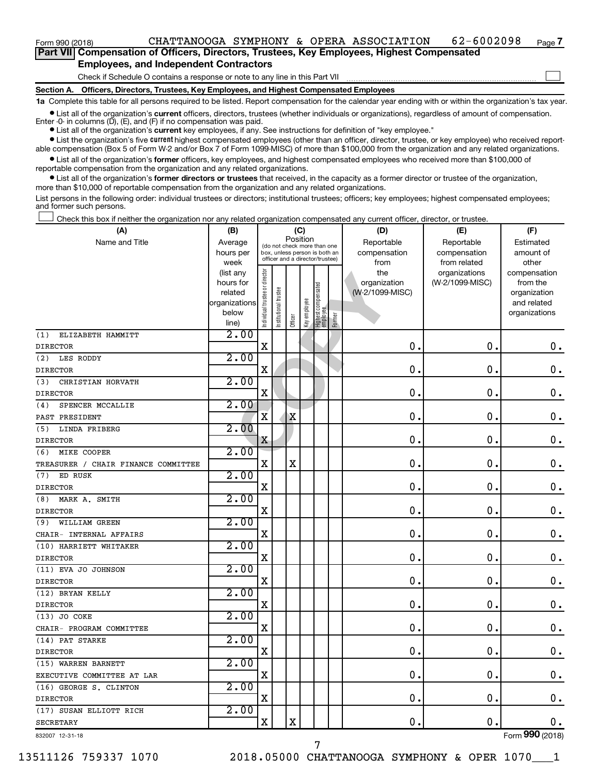## Form 990 (2018)  $\,$  CHATTANOOGA SYMPHONY & OPERA ASSOCIATION  $\,$  62-6002098  $\,$  Page

**Part VII Compensation of Officers, Directors, Trustees, Key Employees, Highest Compensated Employees, and Independent Contractors**

Check if Schedule O contains a response or note to any line in this Part VII

**Section A. Officers, Directors, Trustees, Key Employees, and Highest Compensated Employees**

**1a**  Complete this table for all persons required to be listed. Report compensation for the calendar year ending with or within the organization's tax year.

**•** List all of the organization's current officers, directors, trustees (whether individuals or organizations), regardless of amount of compensation. Enter -0- in columns  $(D)$ ,  $(E)$ , and  $(F)$  if no compensation was paid.

**•** List all of the organization's **current** key employees, if any. See instructions for definition of "key employee."

**•** List the organization's five current highest compensated employees (other than an officer, director, trustee, or key employee) who received reportable compensation (Box 5 of Form W-2 and/or Box 7 of Form 1099-MISC) of more than \$100,000 from the organization and any related organizations.

**•** List all of the organization's former officers, key employees, and highest compensated employees who received more than \$100,000 of reportable compensation from the organization and any related organizations.

**•** List all of the organization's former directors or trustees that received, in the capacity as a former director or trustee of the organization, more than \$10,000 of reportable compensation from the organization and any related organizations.

List persons in the following order: individual trustees or directors; institutional trustees; officers; key employees; highest compensated employees; and former such persons.

Check this box if neither the organization nor any related organization compensated any current officer, director, or trustee.  $\Box$ 

| (A)                                 | (B)                    |                               |                                                                  | (C)         |              |                                  |        | (D)                 | (E)                              | (F)                      |
|-------------------------------------|------------------------|-------------------------------|------------------------------------------------------------------|-------------|--------------|----------------------------------|--------|---------------------|----------------------------------|--------------------------|
| Name and Title                      | Average                |                               |                                                                  | Position    |              | (do not check more than one      |        | Reportable          | Reportable                       | Estimated                |
|                                     | hours per              |                               | box, unless person is both an<br>officer and a director/trustee) |             |              |                                  |        | compensation        | compensation                     | amount of                |
|                                     | week                   |                               |                                                                  |             |              |                                  |        | from                | from related                     | other                    |
|                                     | (list any<br>hours for | ndividual trustee or director |                                                                  |             |              |                                  |        | the<br>organization | organizations<br>(W-2/1099-MISC) | compensation<br>from the |
|                                     | related                |                               |                                                                  |             |              |                                  |        | (W-2/1099-MISC)     |                                  | organization             |
|                                     | organizations          |                               | nstitutional trustee                                             |             |              |                                  |        |                     |                                  | and related              |
|                                     | below                  |                               |                                                                  |             | Key employee |                                  |        |                     |                                  | organizations            |
|                                     | line)                  |                               |                                                                  | Officer     |              | Highest compensated<br> employee | Former |                     |                                  |                          |
| ELIZABETH HAMMITT<br>(1)            | 2.00                   |                               |                                                                  |             |              |                                  |        |                     |                                  |                          |
| <b>DIRECTOR</b>                     |                        | X                             |                                                                  |             |              |                                  |        | 0                   | $\mathbf 0$ .                    | $0$ .                    |
| LES RODDY<br>(2)                    | 2.00                   |                               |                                                                  |             |              |                                  |        |                     |                                  |                          |
| <b>DIRECTOR</b>                     |                        | $\mathbf X$                   |                                                                  |             |              |                                  |        | $\mathbf 0$ .       | $\mathbf 0$ .                    | $\boldsymbol{0}$ .       |
| (3)<br>CHRISTIAN HORVATH            | 2.00                   |                               |                                                                  |             |              |                                  |        |                     |                                  |                          |
| <b>DIRECTOR</b>                     |                        | $\mathbf X$                   |                                                                  |             |              |                                  |        | 0                   | $\mathbf 0$                      | 0.                       |
| SPENCER MCCALLIE<br>(4)             | 2.00                   |                               |                                                                  |             |              |                                  |        |                     |                                  |                          |
| PAST PRESIDENT                      |                        | X                             |                                                                  | X           |              |                                  |        | $\mathbf 0$         | $\mathbf 0$ .                    | $\mathbf 0$ .            |
| (5)<br>LINDA FRIBERG                | 2.00                   |                               |                                                                  |             |              |                                  |        |                     |                                  |                          |
| <b>DIRECTOR</b>                     |                        | X                             |                                                                  |             |              |                                  |        | 0                   | 0.                               | $\mathbf 0$ .            |
| MIKE COOPER<br>(6)                  | 2.00                   |                               |                                                                  |             |              |                                  |        |                     |                                  |                          |
| TREASURER / CHAIR FINANCE COMMITTEE |                        | X                             |                                                                  | $\mathbf X$ |              |                                  |        | 0                   | 0.                               | $\boldsymbol{0}$ .       |
| ED RUSK<br>(7)                      | 2.00                   |                               |                                                                  |             |              |                                  |        |                     |                                  |                          |
| <b>DIRECTOR</b>                     |                        | X                             |                                                                  |             |              |                                  |        | $\mathbf 0$         | $\mathbf 0$                      | $0$ .                    |
| MARK A. SMITH<br>(8)                | 2.00                   |                               |                                                                  |             |              |                                  |        |                     |                                  |                          |
| <b>DIRECTOR</b>                     |                        | X                             |                                                                  |             |              |                                  |        | 0                   | $\mathbf 0$ .                    | $\boldsymbol{0}$ .       |
| WILLIAM GREEN<br>(9)                | 2.00                   |                               |                                                                  |             |              |                                  |        |                     |                                  |                          |
| CHAIR- INTERNAL AFFAIRS             |                        | $\mathbf X$                   |                                                                  |             |              |                                  |        | 0                   | $\mathbf 0$ .                    | $\mathbf 0$ .            |
| (10) HARRIETT WHITAKER              | 2.00                   |                               |                                                                  |             |              |                                  |        |                     |                                  |                          |
| <b>DIRECTOR</b>                     |                        | X                             |                                                                  |             |              |                                  |        | 0                   | $\mathbf 0$ .                    | 0.                       |
| (11) EVA JO JOHNSON                 | 2.00                   |                               |                                                                  |             |              |                                  |        |                     |                                  |                          |
| <b>DIRECTOR</b>                     |                        | $\mathbf X$                   |                                                                  |             |              |                                  |        | 0                   | $\mathbf 0$                      | $\mathbf 0$ .            |
| (12) BRYAN KELLY                    | 2.00                   |                               |                                                                  |             |              |                                  |        |                     |                                  |                          |
| <b>DIRECTOR</b>                     |                        | X                             |                                                                  |             |              |                                  |        | 0                   | $\mathbf 0$ .                    | 0.                       |
| (13) JO COKE                        | 2.00                   |                               |                                                                  |             |              |                                  |        |                     |                                  |                          |
| CHAIR- PROGRAM COMMITTEE            |                        | X                             |                                                                  |             |              |                                  |        | $\mathbf 0$ .       | $\mathbf 0$ .                    | 0.                       |
| (14) PAT STARKE                     | 2.00                   |                               |                                                                  |             |              |                                  |        |                     |                                  |                          |
| <b>DIRECTOR</b>                     |                        | $\mathbf X$                   |                                                                  |             |              |                                  |        | $\mathbf 0$ .       | $\mathbf 0$ .                    | $0$ .                    |
| (15) WARREN BARNETT                 | 2.00                   |                               |                                                                  |             |              |                                  |        |                     |                                  |                          |
| EXECUTIVE COMMITTEE AT LAR          |                        | X                             |                                                                  |             |              |                                  |        | 0                   | $\mathbf 0$                      | 0.                       |
| (16) GEORGE S. CLINTON              | 2.00                   |                               |                                                                  |             |              |                                  |        |                     |                                  |                          |
| <b>DIRECTOR</b>                     |                        | X                             |                                                                  |             |              |                                  |        | 0                   | $\mathbf 0$ .                    | $0$ .                    |
| (17) SUSAN ELLIOTT RICH             | 2.00                   |                               |                                                                  |             |              |                                  |        |                     |                                  |                          |
| <b>SECRETARY</b>                    |                        | X                             |                                                                  | X           |              |                                  |        | $\mathbf 0$         | $\mathbf 0$ .                    | $0$ .                    |
| 832007 12-31-18                     |                        |                               |                                                                  |             |              |                                  |        |                     |                                  | Form 990 (2018)          |

7

832007 12-31-18

13511126 759337 1070 2018.05000 CHATTANOOGA SYMPHONY & OPER 1070\_\_\_1

**7**

 $\Box$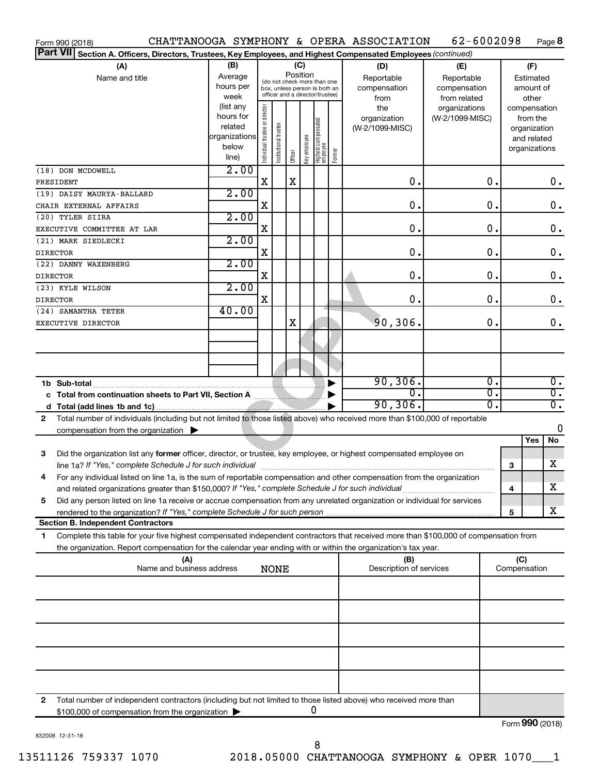|                 | Form 990 (2018)                                                                                                                      |               |                                                              |                      |          |              |                                   |              | CHATTANOOGA SYMPHONY & OPERA ASSOCIATION | 62-6002098      |               |           |                 | Page 8           |
|-----------------|--------------------------------------------------------------------------------------------------------------------------------------|---------------|--------------------------------------------------------------|----------------------|----------|--------------|-----------------------------------|--------------|------------------------------------------|-----------------|---------------|-----------|-----------------|------------------|
| <b>Part VII</b> | Section A. Officers, Directors, Trustees, Key Employees, and Highest Compensated Employees (continued)                               |               |                                                              |                      |          |              |                                   |              |                                          |                 |               |           |                 |                  |
|                 | (A)                                                                                                                                  | (B)<br>(C)    |                                                              |                      |          |              |                                   | (D)          | (E)                                      |                 |               | (F)       |                 |                  |
|                 | Name and title                                                                                                                       | Average       |                                                              |                      | Position |              |                                   |              | Reportable                               | Reportable      |               |           | Estimated       |                  |
|                 |                                                                                                                                      | hours per     | (do not check more than one<br>box, unless person is both an |                      |          |              |                                   | compensation | compensation                             |                 |               | amount of |                 |                  |
|                 |                                                                                                                                      | week          |                                                              |                      |          |              | officer and a director/trustee)   |              | from                                     | from related    |               |           | other           |                  |
|                 |                                                                                                                                      | (list any     |                                                              |                      |          |              |                                   |              | the                                      | organizations   |               |           | compensation    |                  |
|                 |                                                                                                                                      | hours for     |                                                              |                      |          |              |                                   |              | organization                             | (W-2/1099-MISC) |               |           | from the        |                  |
|                 |                                                                                                                                      | related       |                                                              |                      |          |              |                                   |              | (W-2/1099-MISC)                          |                 |               |           | organization    |                  |
|                 |                                                                                                                                      | organizations |                                                              |                      |          |              |                                   |              |                                          |                 |               |           | and related     |                  |
|                 |                                                                                                                                      | below         | Individual trustee or director                               | nstitutional trustee | Officer  | Key employee | Highest compensated<br>  employee | Former       |                                          |                 |               |           | organizations   |                  |
|                 |                                                                                                                                      | line)         |                                                              |                      |          |              |                                   |              |                                          |                 |               |           |                 |                  |
|                 | (18) DON MCDOWELL                                                                                                                    | 2.00          |                                                              |                      |          |              |                                   |              |                                          |                 |               |           |                 |                  |
| PRESIDENT       |                                                                                                                                      |               | X                                                            |                      | X        |              |                                   |              | 0.                                       |                 | 0.            |           |                 | $0$ .            |
|                 | (19) DAISY MAURYA-BALLARD                                                                                                            | 2.00          |                                                              |                      |          |              |                                   |              |                                          |                 |               |           |                 |                  |
|                 | CHAIR EXTERNAL AFFAIRS                                                                                                               |               | X                                                            |                      |          |              |                                   |              | 0.                                       |                 | 0.            |           |                 | $\mathbf 0$ .    |
|                 | (20) TYLER SIIRA                                                                                                                     | 2.00          |                                                              |                      |          |              |                                   |              |                                          |                 |               |           |                 |                  |
|                 | EXECUTIVE COMMITTEE AT LAR                                                                                                           |               | X                                                            |                      |          |              |                                   |              | 0.                                       |                 | 0.            |           |                 | $\mathbf 0$ .    |
|                 | (21) MARK SIEDLECKI                                                                                                                  | 2.00          |                                                              |                      |          |              |                                   |              |                                          |                 |               |           |                 |                  |
| <b>DIRECTOR</b> |                                                                                                                                      |               | X                                                            |                      |          |              |                                   |              | 0.                                       |                 | 0.            |           |                 | $\mathbf 0$ .    |
|                 | (22) DANNY WAXENBERG                                                                                                                 | 2.00          |                                                              |                      |          |              |                                   |              |                                          |                 |               |           |                 |                  |
| <b>DIRECTOR</b> |                                                                                                                                      |               | X                                                            |                      |          |              |                                   |              | 0.                                       |                 | 0.            |           |                 | $\mathbf 0$ .    |
|                 | (23) KYLE WILSON                                                                                                                     | 2.00          |                                                              |                      |          |              |                                   |              |                                          |                 |               |           |                 |                  |
| <b>DIRECTOR</b> |                                                                                                                                      |               | X                                                            |                      |          |              |                                   |              | 0.                                       |                 | $\mathbf 0$ . |           |                 | 0.               |
|                 | (24) SAMANTHA TETER                                                                                                                  | 40.00         |                                                              |                      |          |              |                                   |              |                                          |                 |               |           |                 |                  |
|                 | EXECUTIVE DIRECTOR                                                                                                                   |               |                                                              |                      | X        |              |                                   |              | 90,306.                                  |                 | 0.            |           |                 | 0.               |
|                 |                                                                                                                                      |               |                                                              |                      |          |              |                                   |              |                                          |                 |               |           |                 |                  |
|                 |                                                                                                                                      |               |                                                              |                      |          |              |                                   |              |                                          |                 |               |           |                 |                  |
|                 |                                                                                                                                      |               |                                                              |                      |          |              |                                   |              |                                          |                 |               |           |                 |                  |
|                 |                                                                                                                                      |               |                                                              |                      |          |              |                                   |              |                                          |                 |               |           |                 |                  |
|                 |                                                                                                                                      |               |                                                              |                      |          |              |                                   |              | 90, 306.                                 |                 | σ.            |           |                 | $\overline{0}$ . |
|                 | 1b Sub-total                                                                                                                         |               |                                                              |                      |          |              |                                   |              | $\overline{0}$ .                         |                 | σ.            |           |                 | $\overline{0}$ . |
|                 | c Total from continuation sheets to Part VII, Section A [100011]                                                                     |               |                                                              |                      |          |              |                                   |              | 90, 306.                                 |                 | σ.            |           |                 | $\overline{0}$ . |
|                 |                                                                                                                                      |               |                                                              |                      |          |              |                                   |              |                                          |                 |               |           |                 |                  |
| 2               | Total number of individuals (including but not limited to those listed above) who received more than \$100,000 of reportable         |               |                                                              |                      |          |              |                                   |              |                                          |                 |               |           |                 | 0                |
|                 | compensation from the organization                                                                                                   |               |                                                              |                      |          |              |                                   |              |                                          |                 |               |           |                 |                  |
|                 |                                                                                                                                      |               |                                                              |                      |          |              |                                   |              |                                          |                 |               |           | Yes             | No               |
| 3               | Did the organization list any former officer, director, or trustee, key employee, or highest compensated employee on                 |               |                                                              |                      |          |              |                                   |              |                                          |                 |               |           |                 |                  |
|                 | line 1a? If "Yes," complete Schedule J for such individual manufacture content to the set of the set of the su                       |               |                                                              |                      |          |              |                                   |              |                                          |                 |               | 3         |                 | х                |
|                 | For any individual listed on line 1a, is the sum of reportable compensation and other compensation from the organization             |               |                                                              |                      |          |              |                                   |              |                                          |                 |               |           |                 |                  |
|                 | and related organizations greater than \$150,000? If "Yes," complete Schedule J for such individual                                  |               |                                                              |                      |          |              |                                   |              |                                          |                 |               | 4         |                 | х                |
| 5               | Did any person listed on line 1a receive or accrue compensation from any unrelated organization or individual for services           |               |                                                              |                      |          |              |                                   |              |                                          |                 |               |           |                 |                  |
|                 |                                                                                                                                      |               |                                                              |                      |          |              |                                   |              |                                          |                 |               | 5         |                 | х                |
|                 | <b>Section B. Independent Contractors</b>                                                                                            |               |                                                              |                      |          |              |                                   |              |                                          |                 |               |           |                 |                  |
| 1               | Complete this table for your five highest compensated independent contractors that received more than \$100,000 of compensation from |               |                                                              |                      |          |              |                                   |              |                                          |                 |               |           |                 |                  |
|                 | the organization. Report compensation for the calendar year ending with or within the organization's tax year.                       |               |                                                              |                      |          |              |                                   |              |                                          |                 |               |           |                 |                  |
|                 | (A)                                                                                                                                  |               |                                                              |                      |          |              |                                   |              | (B)                                      |                 |               | (C)       |                 |                  |
|                 | Name and business address                                                                                                            |               |                                                              | <b>NONE</b>          |          |              |                                   |              | Description of services                  |                 |               |           | Compensation    |                  |
|                 |                                                                                                                                      |               |                                                              |                      |          |              |                                   |              |                                          |                 |               |           |                 |                  |
|                 |                                                                                                                                      |               |                                                              |                      |          |              |                                   |              |                                          |                 |               |           |                 |                  |
|                 |                                                                                                                                      |               |                                                              |                      |          |              |                                   |              |                                          |                 |               |           |                 |                  |
|                 |                                                                                                                                      |               |                                                              |                      |          |              |                                   |              |                                          |                 |               |           |                 |                  |
|                 |                                                                                                                                      |               |                                                              |                      |          |              |                                   |              |                                          |                 |               |           |                 |                  |
|                 |                                                                                                                                      |               |                                                              |                      |          |              |                                   |              |                                          |                 |               |           |                 |                  |
|                 |                                                                                                                                      |               |                                                              |                      |          |              |                                   |              |                                          |                 |               |           |                 |                  |
|                 |                                                                                                                                      |               |                                                              |                      |          |              |                                   |              |                                          |                 |               |           |                 |                  |
|                 |                                                                                                                                      |               |                                                              |                      |          |              |                                   |              |                                          |                 |               |           |                 |                  |
|                 |                                                                                                                                      |               |                                                              |                      |          |              |                                   |              |                                          |                 |               |           |                 |                  |
| 2               | Total number of independent contractors (including but not limited to those listed above) who received more than                     |               |                                                              |                      |          |              |                                   |              |                                          |                 |               |           |                 |                  |
|                 | \$100,000 of compensation from the organization                                                                                      |               |                                                              |                      |          |              | 0                                 |              |                                          |                 |               |           |                 |                  |
|                 |                                                                                                                                      |               |                                                              |                      |          |              |                                   |              |                                          |                 |               |           | Form 990 (2018) |                  |

832008 12-31-18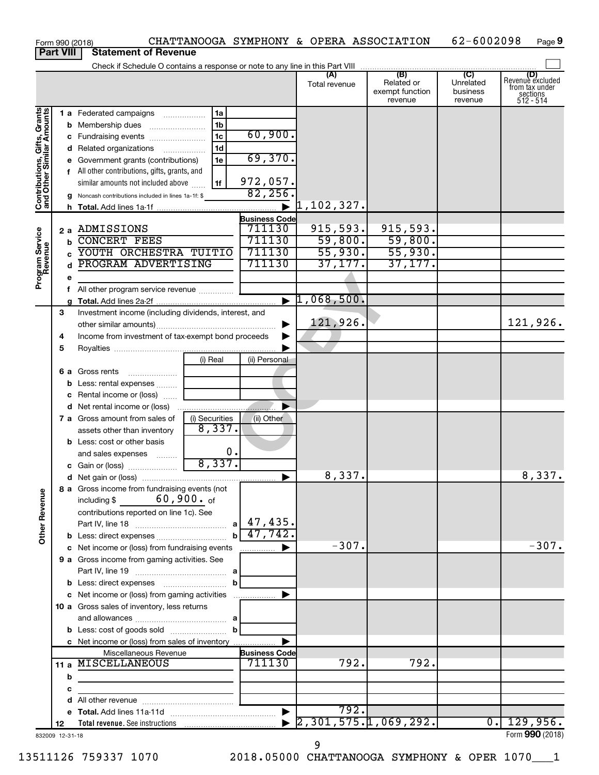| Form 990 (2018)                                           |                  |   |                                                                           |                |                         | CHATTANOOGA SYMPHONY & OPERA ASSOCIATION |                                                 | 62-6002098                              | Page 9                                                             |
|-----------------------------------------------------------|------------------|---|---------------------------------------------------------------------------|----------------|-------------------------|------------------------------------------|-------------------------------------------------|-----------------------------------------|--------------------------------------------------------------------|
|                                                           | <b>Part VIII</b> |   | <b>Statement of Revenue</b>                                               |                |                         |                                          |                                                 |                                         |                                                                    |
|                                                           |                  |   |                                                                           |                |                         |                                          |                                                 |                                         |                                                                    |
|                                                           |                  |   |                                                                           |                |                         | (A)<br>Total revenue                     | (B)<br>Related or<br>exempt function<br>revenue | (C)<br>Unrelated<br>business<br>revenue | (D)<br>Revenue excluded<br>from tax under<br>sections<br>512 - 514 |
|                                                           |                  |   | 1 a Federated campaigns                                                   | 1a             |                         |                                          |                                                 |                                         |                                                                    |
| Contributions, Gifts, Grants<br>and Other Similar Amounts |                  |   | <b>b</b> Membership dues                                                  | 1 <sub>b</sub> |                         |                                          |                                                 |                                         |                                                                    |
|                                                           |                  |   | c Fundraising events                                                      | 1 <sub>c</sub> | 60,900.                 |                                          |                                                 |                                         |                                                                    |
|                                                           |                  |   | d Related organizations                                                   | 1 <sub>d</sub> |                         |                                          |                                                 |                                         |                                                                    |
|                                                           |                  |   | e Government grants (contributions)                                       | 1e             | 69,370.                 |                                          |                                                 |                                         |                                                                    |
|                                                           |                  |   | f All other contributions, gifts, grants, and                             |                |                         |                                          |                                                 |                                         |                                                                    |
|                                                           |                  |   | similar amounts not included above                                        | 1f             | 972,057.                |                                          |                                                 |                                         |                                                                    |
|                                                           |                  |   | g Noncash contributions included in lines 1a-1f: \$                       |                | 82, 256.                |                                          |                                                 |                                         |                                                                    |
|                                                           |                  |   |                                                                           |                | $\blacktriangleright$   | 1,102,327.                               |                                                 |                                         |                                                                    |
|                                                           |                  |   |                                                                           |                | <b>Business Code</b>    |                                          |                                                 |                                         |                                                                    |
|                                                           |                  |   | 2 a ADMISSIONS                                                            |                | 711130                  | 915, 593.                                | 915,593.                                        |                                         |                                                                    |
|                                                           |                  | b | <b>CONCERT FEES</b>                                                       |                | 711130                  | 59,800.                                  | 59,800.                                         |                                         |                                                                    |
|                                                           |                  |   | YOUTH ORCHESTRA TUITIO                                                    |                | 711130                  | 55,930.                                  | 55,930.                                         |                                         |                                                                    |
|                                                           |                  |   | PROGRAM ADVERTISING                                                       |                | 711130                  | 37, 177.                                 | 37,177.                                         |                                         |                                                                    |
| Program Service<br>Revenue                                |                  | е |                                                                           |                |                         |                                          |                                                 |                                         |                                                                    |
|                                                           |                  |   | All other program service revenue                                         |                |                         |                                          |                                                 |                                         |                                                                    |
|                                                           |                  |   |                                                                           |                | $\blacktriangleright$   | 1,068,500.                               |                                                 |                                         |                                                                    |
|                                                           | 3                |   | Investment income (including dividends, interest, and                     |                |                         |                                          |                                                 |                                         |                                                                    |
|                                                           |                  |   |                                                                           |                |                         | 121,926.                                 |                                                 |                                         | 121,926.                                                           |
|                                                           | 4                |   | Income from investment of tax-exempt bond proceeds                        |                |                         |                                          |                                                 |                                         |                                                                    |
|                                                           | 5                |   |                                                                           |                |                         |                                          |                                                 |                                         |                                                                    |
|                                                           |                  |   |                                                                           | (i) Real       | (ii) Personal           |                                          |                                                 |                                         |                                                                    |
|                                                           |                  |   | 6 a Gross rents                                                           |                |                         |                                          |                                                 |                                         |                                                                    |
|                                                           |                  |   | <b>b</b> Less: rental expenses                                            |                |                         |                                          |                                                 |                                         |                                                                    |
|                                                           |                  | С | Rental income or (loss)                                                   |                |                         |                                          |                                                 |                                         |                                                                    |
|                                                           |                  |   |                                                                           |                |                         |                                          |                                                 |                                         |                                                                    |
|                                                           |                  |   | 7 a Gross amount from sales of                                            | (i) Securities | (ii) Other              |                                          |                                                 |                                         |                                                                    |
|                                                           |                  |   | assets other than inventory                                               | 8,337.         |                         |                                          |                                                 |                                         |                                                                    |
|                                                           |                  |   | <b>b</b> Less: cost or other basis                                        |                |                         |                                          |                                                 |                                         |                                                                    |
|                                                           |                  |   | and sales expenses                                                        | 0.             |                         |                                          |                                                 |                                         |                                                                    |
|                                                           |                  |   | c Gain or (loss)                                                          | 8,337.         |                         |                                          |                                                 |                                         |                                                                    |
|                                                           |                  |   |                                                                           |                |                         | 8,337.                                   |                                                 |                                         | 8,337.                                                             |
| <b>Other Revenue</b>                                      |                  |   | 8 a Gross income from fundraising events (not<br>including $$ 60,900.$ of |                |                         |                                          |                                                 |                                         |                                                                    |
|                                                           |                  |   | contributions reported on line 1c). See                                   |                |                         |                                          |                                                 |                                         |                                                                    |
|                                                           |                  |   |                                                                           |                |                         |                                          |                                                 |                                         |                                                                    |
|                                                           |                  |   |                                                                           |                | $b \overline{47,742}$ . |                                          |                                                 |                                         |                                                                    |
|                                                           |                  |   | c Net income or (loss) from fundraising events                            |                | $\blacksquare$          | $-307.$                                  |                                                 |                                         | $-307.$                                                            |
|                                                           |                  |   | 9 a Gross income from gaming activities. See                              |                |                         |                                          |                                                 |                                         |                                                                    |
|                                                           |                  |   |                                                                           |                |                         |                                          |                                                 |                                         |                                                                    |
|                                                           |                  |   |                                                                           | b              |                         |                                          |                                                 |                                         |                                                                    |
|                                                           |                  |   | c Net income or (loss) from gaming activities                             |                | $\blacktriangleright$   |                                          |                                                 |                                         |                                                                    |
|                                                           |                  |   | 10 a Gross sales of inventory, less returns                               |                |                         |                                          |                                                 |                                         |                                                                    |
|                                                           |                  |   |                                                                           |                |                         |                                          |                                                 |                                         |                                                                    |
|                                                           |                  |   |                                                                           |                |                         |                                          |                                                 |                                         |                                                                    |
|                                                           |                  |   | c Net income or (loss) from sales of inventory                            |                | ▶                       |                                          |                                                 |                                         |                                                                    |
|                                                           |                  |   | Miscellaneous Revenue                                                     |                | <b>Business Code</b>    |                                          |                                                 |                                         |                                                                    |
|                                                           |                  |   | 11 a MISCELLANEOUS                                                        |                | 711130                  | 792.                                     | 792.                                            |                                         |                                                                    |
|                                                           |                  | b |                                                                           |                |                         |                                          |                                                 |                                         |                                                                    |
|                                                           |                  | с |                                                                           |                |                         |                                          |                                                 |                                         |                                                                    |
|                                                           |                  | d |                                                                           |                |                         |                                          |                                                 |                                         |                                                                    |
|                                                           |                  |   |                                                                           |                | $\blacktriangleright$   | 792.                                     |                                                 |                                         |                                                                    |
|                                                           | 12               |   |                                                                           |                |                         |                                          | $\blacktriangleright$ 2,301,575.1,069,292.      | 0.1                                     | 129,956.                                                           |
| 832009 12-31-18                                           |                  |   |                                                                           |                |                         |                                          |                                                 |                                         | Form 990 (2018)                                                    |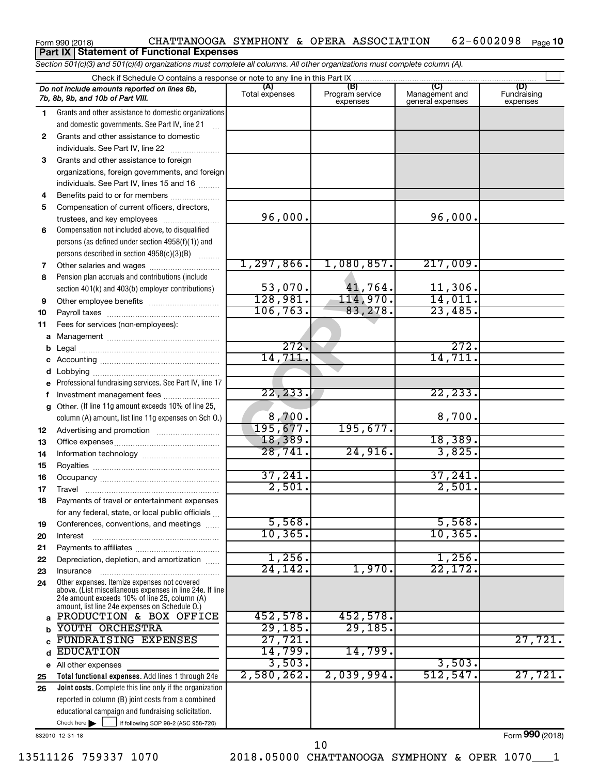#### Form 990 (2018)  $CHATTANOOGA$  SYMPHONY & OPERA ASSOCIATION  $62-6002098$  Page 62-6002098 Page 10 **Part IX Statement of Functional Expenses**

*Section 501(c)(3) and 501(c)(4) organizations must complete all columns. All other organizations must complete column (A).*

|    | Check if Schedule O contains a response or note to any line in this Part IX                              |                       |                                    |                                           |                                |  |  |  |  |  |
|----|----------------------------------------------------------------------------------------------------------|-----------------------|------------------------------------|-------------------------------------------|--------------------------------|--|--|--|--|--|
|    | Do not include amounts reported on lines 6b,<br>7b, 8b, 9b, and 10b of Part VIII.                        | (A)<br>Total expenses | (B)<br>Program service<br>expenses | (C)<br>Management and<br>general expenses | (D)<br>Fundraising<br>expenses |  |  |  |  |  |
| 1. | Grants and other assistance to domestic organizations                                                    |                       |                                    |                                           |                                |  |  |  |  |  |
|    | and domestic governments. See Part IV, line 21                                                           |                       |                                    |                                           |                                |  |  |  |  |  |
| 2  | Grants and other assistance to domestic                                                                  |                       |                                    |                                           |                                |  |  |  |  |  |
|    | individuals. See Part IV, line 22                                                                        |                       |                                    |                                           |                                |  |  |  |  |  |
| 3  | Grants and other assistance to foreign                                                                   |                       |                                    |                                           |                                |  |  |  |  |  |
|    | organizations, foreign governments, and foreign                                                          |                       |                                    |                                           |                                |  |  |  |  |  |
|    | individuals. See Part IV, lines 15 and 16                                                                |                       |                                    |                                           |                                |  |  |  |  |  |
| 4  | Benefits paid to or for members                                                                          |                       |                                    |                                           |                                |  |  |  |  |  |
| 5  | Compensation of current officers, directors,                                                             |                       |                                    |                                           |                                |  |  |  |  |  |
|    | trustees, and key employees                                                                              | 96,000.               |                                    | 96,000.                                   |                                |  |  |  |  |  |
| 6  | Compensation not included above, to disqualified                                                         |                       |                                    |                                           |                                |  |  |  |  |  |
|    | persons (as defined under section 4958(f)(1)) and                                                        |                       |                                    |                                           |                                |  |  |  |  |  |
|    | persons described in section 4958(c)(3)(B)                                                               |                       |                                    |                                           |                                |  |  |  |  |  |
| 7  | Other salaries and wages                                                                                 | 1, 297, 866.          | 1,080,857.                         | 217,009.                                  |                                |  |  |  |  |  |
| 8  | Pension plan accruals and contributions (include                                                         |                       |                                    |                                           |                                |  |  |  |  |  |
|    | section 401(k) and 403(b) employer contributions)                                                        | 53,070.               | 41,764.                            | 11,306.                                   |                                |  |  |  |  |  |
| 9  | Other employee benefits                                                                                  | 128,981.              | 114,970.                           | 14,011.                                   |                                |  |  |  |  |  |
| 10 |                                                                                                          | 106, 763.             | 83,278.                            | 23,485.                                   |                                |  |  |  |  |  |
| 11 | Fees for services (non-employees):                                                                       |                       |                                    |                                           |                                |  |  |  |  |  |
| а  |                                                                                                          |                       |                                    |                                           |                                |  |  |  |  |  |
| b  |                                                                                                          | 272.                  |                                    | 272.                                      |                                |  |  |  |  |  |
| с  |                                                                                                          | 14,711.               |                                    | 14,711                                    |                                |  |  |  |  |  |
|    | Lobbying                                                                                                 |                       |                                    |                                           |                                |  |  |  |  |  |
|    | Professional fundraising services. See Part IV, line 17                                                  |                       |                                    |                                           |                                |  |  |  |  |  |
|    | Investment management fees                                                                               | 22, 233.              |                                    | 22, 233.                                  |                                |  |  |  |  |  |
| g  | Other. (If line 11g amount exceeds 10% of line 25,                                                       |                       |                                    |                                           |                                |  |  |  |  |  |
|    | column (A) amount, list line 11g expenses on Sch O.)                                                     | 8,700.                |                                    | 8,700.                                    |                                |  |  |  |  |  |
| 12 |                                                                                                          | 195,677.              | 195,677.                           |                                           |                                |  |  |  |  |  |
| 13 |                                                                                                          | 18,389.               |                                    | 18,389.                                   |                                |  |  |  |  |  |
| 14 |                                                                                                          | 28,741.               | 24,916.                            | 3,825.                                    |                                |  |  |  |  |  |
| 15 |                                                                                                          |                       |                                    |                                           |                                |  |  |  |  |  |
| 16 |                                                                                                          | 37,241.               |                                    | 37,241.                                   |                                |  |  |  |  |  |
| 17 |                                                                                                          | 2,501.                |                                    | 2,501.                                    |                                |  |  |  |  |  |
| 18 | Payments of travel or entertainment expenses                                                             |                       |                                    |                                           |                                |  |  |  |  |  |
|    | for any federal, state, or local public officials                                                        |                       |                                    |                                           |                                |  |  |  |  |  |
| 19 | Conferences, conventions, and meetings                                                                   | 5,568.                |                                    | 5,568.                                    |                                |  |  |  |  |  |
| 20 | Interest                                                                                                 | 10, 365.              |                                    | 10, 365                                   |                                |  |  |  |  |  |
| 21 |                                                                                                          | 1,256.                |                                    | 1,256.                                    |                                |  |  |  |  |  |
| 22 | Depreciation, depletion, and amortization                                                                | 24,142.               | 1,970.                             | 22,172.                                   |                                |  |  |  |  |  |
| 23 | Insurance                                                                                                |                       |                                    |                                           |                                |  |  |  |  |  |
| 24 | Other expenses. Itemize expenses not covered<br>above. (List miscellaneous expenses in line 24e. If line |                       |                                    |                                           |                                |  |  |  |  |  |
|    | 24e amount exceeds 10% of line 25, column (A)<br>amount, list line 24e expenses on Schedule O.)          |                       |                                    |                                           |                                |  |  |  |  |  |
| a  | PRODUCTION & BOX OFFICE                                                                                  | 452,578.              | 452,578.                           |                                           |                                |  |  |  |  |  |
|    | YOUTH ORCHESTRA                                                                                          | 29,185.               | 29,185.                            |                                           |                                |  |  |  |  |  |
|    | FUNDRAISING EXPENSES                                                                                     | 27,721.               |                                    |                                           | 27,721.                        |  |  |  |  |  |
| d  | <b>EDUCATION</b>                                                                                         | 14,799.               | 14,799.                            |                                           |                                |  |  |  |  |  |
|    | e All other expenses                                                                                     | 3,503.                |                                    | 3,503.                                    |                                |  |  |  |  |  |
| 25 | Total functional expenses. Add lines 1 through 24e                                                       | 2,580,262.            | 2,039,994.                         | 512, 547.                                 | 27,721.                        |  |  |  |  |  |
| 26 | Joint costs. Complete this line only if the organization                                                 |                       |                                    |                                           |                                |  |  |  |  |  |
|    | reported in column (B) joint costs from a combined                                                       |                       |                                    |                                           |                                |  |  |  |  |  |
|    | educational campaign and fundraising solicitation.                                                       |                       |                                    |                                           |                                |  |  |  |  |  |
|    | Check here $\blacktriangleright$<br>if following SOP 98-2 (ASC 958-720)                                  |                       |                                    |                                           |                                |  |  |  |  |  |
|    | 832010 12-31-18                                                                                          |                       |                                    |                                           | Form 990 (2018)                |  |  |  |  |  |

13511126 759337 1070 2018.05000 CHATTANOOGA SYMPHONY & OPER 1070\_\_\_1

10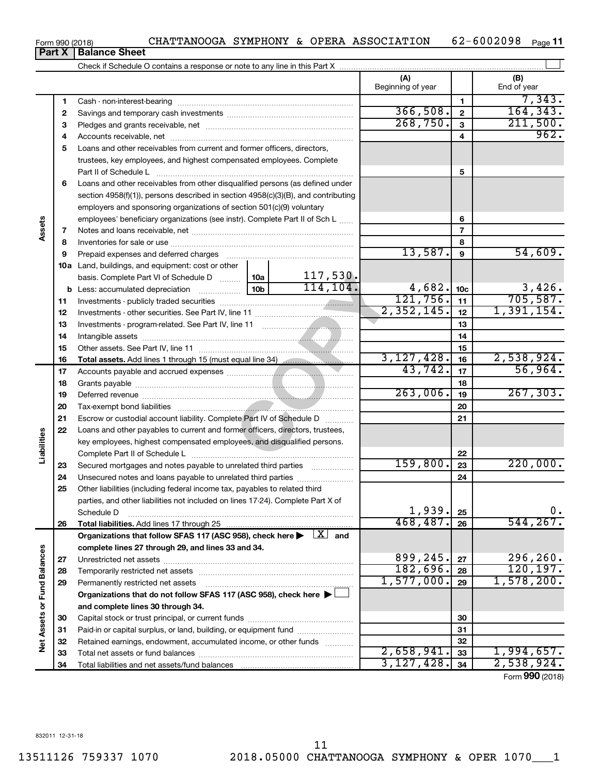Form 990 (2018) **CHATTANOOGA SYMPHONY & OPERA ASSOCIATION**  $62-6002098$  Page 62-6002098 Page 11

**Part X Balance Sheet**

|                             |    |                                                                                                                         | (A)<br>Beginning of year |                         | (B)<br>End of year           |
|-----------------------------|----|-------------------------------------------------------------------------------------------------------------------------|--------------------------|-------------------------|------------------------------|
|                             | 1  |                                                                                                                         |                          | 1                       | 7,343.                       |
|                             | 2  |                                                                                                                         | 366,508.                 | $\overline{\mathbf{2}}$ | 164, 343.                    |
|                             | З  |                                                                                                                         | 268,750.                 | $\mathbf{3}$            | 211,500.                     |
|                             | 4  |                                                                                                                         |                          | 4                       | 962.                         |
|                             | 5  | Loans and other receivables from current and former officers, directors,                                                |                          |                         |                              |
|                             |    | trustees, key employees, and highest compensated employees. Complete                                                    |                          |                         |                              |
|                             |    | Part II of Schedule L                                                                                                   |                          | 5                       |                              |
|                             | 6  | Loans and other receivables from other disqualified persons (as defined under                                           |                          |                         |                              |
|                             |    | section 4958(f)(1)), persons described in section 4958(c)(3)(B), and contributing                                       |                          |                         |                              |
|                             |    | employers and sponsoring organizations of section 501(c)(9) voluntary                                                   |                          |                         |                              |
|                             |    | employees' beneficiary organizations (see instr). Complete Part II of Sch L                                             |                          | 6                       |                              |
| Assets                      | 7  |                                                                                                                         |                          | $\overline{7}$          |                              |
|                             | 8  |                                                                                                                         |                          | 8                       |                              |
|                             | 9  | Prepaid expenses and deferred charges                                                                                   | 13,587.                  | 9                       | 54,609.                      |
|                             |    | 10a Land, buildings, and equipment: cost or other                                                                       |                          |                         |                              |
|                             |    | 117,530.<br>basis. Complete Part VI of Schedule D  10a                                                                  |                          |                         |                              |
|                             |    | 114, 104.<br>10b<br><b>b</b> Less: accumulated depreciation <i></i>                                                     | 4,682.                   | 10 <sub>c</sub>         | 3,426.                       |
|                             | 11 |                                                                                                                         | 121,756.                 | 11                      | 705, 587.                    |
|                             | 12 |                                                                                                                         | 2,352,145.               | 12                      | 1,391,154.                   |
|                             | 13 |                                                                                                                         |                          | 13                      |                              |
|                             | 14 |                                                                                                                         |                          | 14                      |                              |
|                             | 15 |                                                                                                                         |                          | 15                      |                              |
|                             | 16 | Total assets. Add lines 1 through 15 (must equal line 34)                                                               | 3,127,428.               | 16                      | $\frac{2,538,924.}{56,964.}$ |
|                             | 17 |                                                                                                                         | 43,742.                  | 17                      |                              |
|                             | 18 |                                                                                                                         |                          | 18                      |                              |
|                             | 19 |                                                                                                                         | 263,006.                 | 19                      | 267, 303.                    |
|                             | 20 |                                                                                                                         |                          | 20                      |                              |
|                             | 21 | Escrow or custodial account liability. Complete Part IV of Schedule D                                                   |                          | 21                      |                              |
|                             | 22 | Loans and other payables to current and former officers, directors, trustees,                                           |                          |                         |                              |
|                             |    | key employees, highest compensated employees, and disqualified persons.                                                 |                          |                         |                              |
| Liabilities                 |    |                                                                                                                         |                          | 22                      |                              |
|                             | 23 | Secured mortgages and notes payable to unrelated third parties                                                          | 159,800.                 | 23                      | 220,000.                     |
|                             | 24 | Unsecured notes and loans payable to unrelated third parties                                                            |                          | 24                      |                              |
|                             | 25 | Other liabilities (including federal income tax, payables to related third                                              |                          |                         |                              |
|                             |    | parties, and other liabilities not included on lines 17-24). Complete Part X of                                         |                          |                         |                              |
|                             |    | Schedule D                                                                                                              | 1,939.                   | 25                      | 0.                           |
|                             | 26 |                                                                                                                         | 468,487.                 | 26                      | 544, 267.                    |
|                             |    | Organizations that follow SFAS 117 (ASC 958), check here $\blacktriangleright \begin{array}{c} \perp X \end{array}$ and |                          |                         |                              |
|                             |    | complete lines 27 through 29, and lines 33 and 34.                                                                      | 899,245.                 |                         | 296, 260.                    |
|                             | 27 |                                                                                                                         | 182,696.                 | 27<br>28                | 120, 197.                    |
|                             | 28 |                                                                                                                         | 1,577,000.               | 29                      | 1,578,200.                   |
|                             | 29 | Permanently restricted net assets<br>Organizations that do not follow SFAS 117 (ASC 958), check here ▶                  |                          |                         |                              |
|                             |    | and complete lines 30 through 34.                                                                                       |                          |                         |                              |
| Net Assets or Fund Balances | 30 |                                                                                                                         |                          | 30                      |                              |
|                             | 31 | Paid-in or capital surplus, or land, building, or equipment fund                                                        |                          | 31                      |                              |
|                             | 32 | Retained earnings, endowment, accumulated income, or other funds                                                        |                          | 32                      |                              |
|                             | 33 |                                                                                                                         | 2,658,941.               | 33                      | 1,994,657.                   |
|                             | 34 |                                                                                                                         | 3,127,428.               | 34                      | 2,538,924.                   |
|                             |    |                                                                                                                         |                          |                         |                              |

Form (2018) **990**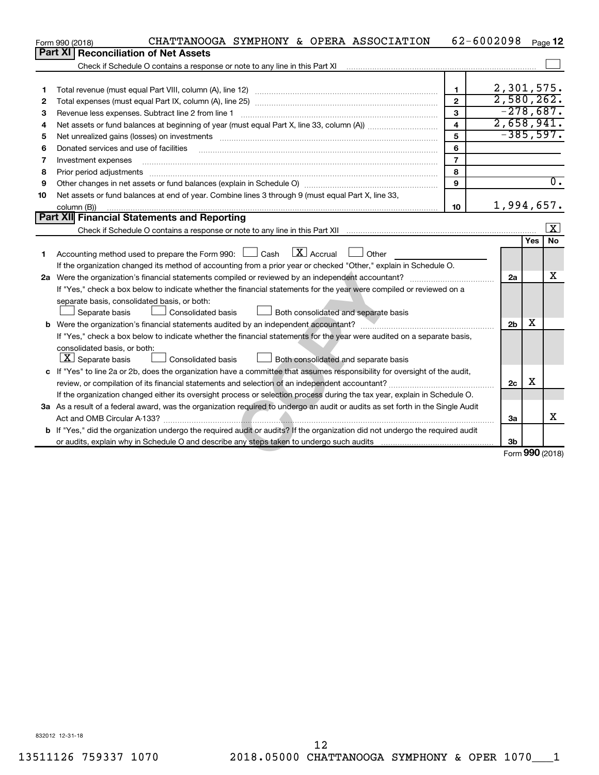|    | CHATTANOOGA SYMPHONY & OPERA ASSOCIATION<br>Form 990 (2018)                                                                                                                                                                    |                         | 62-6002098     |     | Page 12              |  |  |
|----|--------------------------------------------------------------------------------------------------------------------------------------------------------------------------------------------------------------------------------|-------------------------|----------------|-----|----------------------|--|--|
|    | Part XI<br><b>Reconciliation of Net Assets</b>                                                                                                                                                                                 |                         |                |     |                      |  |  |
|    |                                                                                                                                                                                                                                |                         |                |     |                      |  |  |
|    |                                                                                                                                                                                                                                |                         |                |     |                      |  |  |
| 1  |                                                                                                                                                                                                                                | $\mathbf 1$             | 2,301,575.     |     |                      |  |  |
| 2  |                                                                                                                                                                                                                                | $\mathbf{2}$            | 2,580,262.     |     |                      |  |  |
| 3  |                                                                                                                                                                                                                                | 3                       | $-278,687.$    |     |                      |  |  |
| 4  |                                                                                                                                                                                                                                | $\overline{\mathbf{A}}$ | 2,658,941.     |     |                      |  |  |
| 5  | Net unrealized gains (losses) on investments [11] matter than the control of the state of the state of the state of the state of the state of the state of the state of the state of the state of the state of the state of th | 5                       | $-385,597.$    |     |                      |  |  |
| 6  | Donated services and use of facilities                                                                                                                                                                                         | 6                       |                |     |                      |  |  |
| 7  | Investment expenses                                                                                                                                                                                                            | $\overline{7}$          |                |     |                      |  |  |
| 8  | Prior period adjustments                                                                                                                                                                                                       | 8                       |                |     |                      |  |  |
| 9  |                                                                                                                                                                                                                                | 9                       |                |     | $\overline{0}$ .     |  |  |
| 10 | Net assets or fund balances at end of year. Combine lines 3 through 9 (must equal Part X, line 33,                                                                                                                             |                         |                |     |                      |  |  |
|    | column (B))                                                                                                                                                                                                                    | 10                      | 1,994,657.     |     |                      |  |  |
|    | Part XII Financial Statements and Reporting                                                                                                                                                                                    |                         |                |     |                      |  |  |
|    |                                                                                                                                                                                                                                |                         |                |     | $\boxed{\textbf{X}}$ |  |  |
|    |                                                                                                                                                                                                                                |                         |                | Yes | No                   |  |  |
| 1. | $\boxed{\text{X}}$ Accrual<br>Accounting method used to prepare the Form 990: $\Box$ Cash<br>Other                                                                                                                             |                         |                |     |                      |  |  |
|    | If the organization changed its method of accounting from a prior year or checked "Other," explain in Schedule O.                                                                                                              |                         |                |     |                      |  |  |
|    |                                                                                                                                                                                                                                |                         |                |     |                      |  |  |
|    | If "Yes," check a box below to indicate whether the financial statements for the year were compiled or reviewed on a                                                                                                           |                         |                |     |                      |  |  |
|    | separate basis, consolidated basis, or both:                                                                                                                                                                                   |                         |                |     |                      |  |  |
|    | <b>Consolidated basis</b><br>Both consolidated and separate basis<br>Separate basis                                                                                                                                            |                         |                |     |                      |  |  |
|    |                                                                                                                                                                                                                                |                         | 2 <sub>b</sub> | x   |                      |  |  |
|    | If "Yes," check a box below to indicate whether the financial statements for the year were audited on a separate basis,                                                                                                        |                         |                |     |                      |  |  |
|    | consolidated basis, or both:                                                                                                                                                                                                   |                         |                |     |                      |  |  |
|    | $\boxed{\mathbf{X}}$ Separate basis<br>Consolidated basis<br>Both consolidated and separate basis                                                                                                                              |                         |                |     |                      |  |  |
|    | c If "Yes" to line 2a or 2b, does the organization have a committee that assumes responsibility for oversight of the audit,                                                                                                    |                         |                |     |                      |  |  |
|    |                                                                                                                                                                                                                                |                         | 2c             | х   |                      |  |  |
|    | If the organization changed either its oversight process or selection process during the tax year, explain in Schedule O.                                                                                                      |                         |                |     |                      |  |  |
|    | 3a As a result of a federal award, was the organization required to undergo an audit or audits as set forth in the Single Audit                                                                                                |                         |                |     |                      |  |  |
|    |                                                                                                                                                                                                                                |                         | 3a             |     | x                    |  |  |
|    | b If "Yes," did the organization undergo the required audit or audits? If the organization did not undergo the required audit                                                                                                  |                         |                |     |                      |  |  |
|    |                                                                                                                                                                                                                                |                         | 3 <sub>b</sub> |     |                      |  |  |
|    |                                                                                                                                                                                                                                |                         |                |     | Form 990 (2018)      |  |  |

832012 12-31-18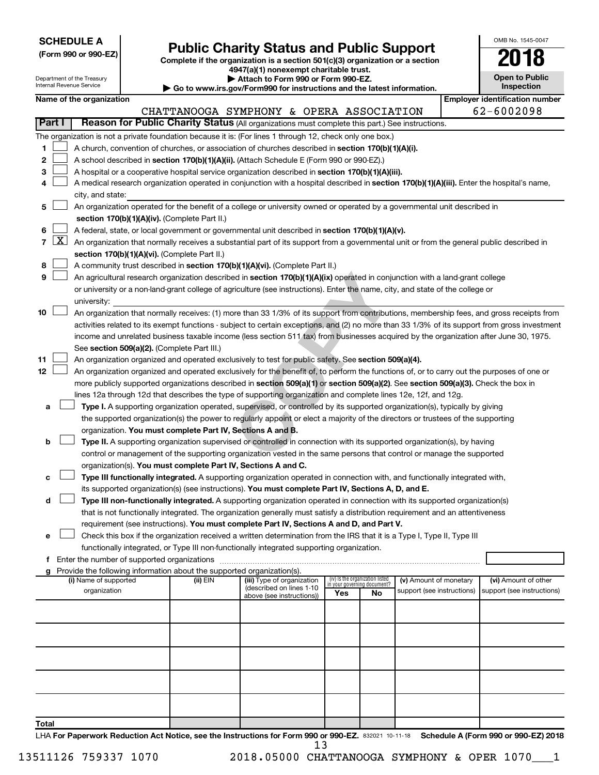| <b>SCHEDULE A</b> |  |
|-------------------|--|
|-------------------|--|

Department of the Treasury

Form 990 or 990-EZ)<br>
Complete if the organization is a section 501(c)(3) organization or a section<br> **Public Charity Status and Public Support 4947(a)(1) nonexempt charitable trust.**

**| Attach to Form 990 or Form 990-EZ.** 

| OMB No 1545-0047                    |
|-------------------------------------|
| 2018                                |
| <b>Open to Public</b><br>Inspection |

|                | Internal Revenue Service<br>Inspection<br>Go to www.irs.gov/Form990 for instructions and the latest information.                              |                                                                                                                                                                |  |                                                                                    |                                                                                                                                                                                                                                                                |     |                                                                |                            |  |                                       |  |
|----------------|-----------------------------------------------------------------------------------------------------------------------------------------------|----------------------------------------------------------------------------------------------------------------------------------------------------------------|--|------------------------------------------------------------------------------------|----------------------------------------------------------------------------------------------------------------------------------------------------------------------------------------------------------------------------------------------------------------|-----|----------------------------------------------------------------|----------------------------|--|---------------------------------------|--|
|                |                                                                                                                                               | Name of the organization                                                                                                                                       |  |                                                                                    |                                                                                                                                                                                                                                                                |     |                                                                |                            |  | <b>Employer identification number</b> |  |
|                | Part I                                                                                                                                        |                                                                                                                                                                |  |                                                                                    | CHATTANOOGA SYMPHONY & OPERA ASSOCIATION<br>Reason for Public Charity Status (All organizations must complete this part.) See instructions.                                                                                                                    |     |                                                                |                            |  | 62-6002098                            |  |
|                |                                                                                                                                               |                                                                                                                                                                |  |                                                                                    |                                                                                                                                                                                                                                                                |     |                                                                |                            |  |                                       |  |
| 1              |                                                                                                                                               |                                                                                                                                                                |  |                                                                                    | The organization is not a private foundation because it is: (For lines 1 through 12, check only one box.)<br>A church, convention of churches, or association of churches described in section 170(b)(1)(A)(i).                                                |     |                                                                |                            |  |                                       |  |
| 2              |                                                                                                                                               |                                                                                                                                                                |  |                                                                                    | A school described in section 170(b)(1)(A)(ii). (Attach Schedule E (Form 990 or 990-EZ).)                                                                                                                                                                      |     |                                                                |                            |  |                                       |  |
| 3              |                                                                                                                                               |                                                                                                                                                                |  |                                                                                    | A hospital or a cooperative hospital service organization described in section 170(b)(1)(A)(iii).                                                                                                                                                              |     |                                                                |                            |  |                                       |  |
| 4              |                                                                                                                                               |                                                                                                                                                                |  |                                                                                    |                                                                                                                                                                                                                                                                |     |                                                                |                            |  |                                       |  |
|                |                                                                                                                                               | A medical research organization operated in conjunction with a hospital described in section 170(b)(1)(A)(iii). Enter the hospital's name,<br>city, and state: |  |                                                                                    |                                                                                                                                                                                                                                                                |     |                                                                |                            |  |                                       |  |
| 5              |                                                                                                                                               |                                                                                                                                                                |  |                                                                                    | An organization operated for the benefit of a college or university owned or operated by a governmental unit described in                                                                                                                                      |     |                                                                |                            |  |                                       |  |
|                |                                                                                                                                               |                                                                                                                                                                |  | section 170(b)(1)(A)(iv). (Complete Part II.)                                      |                                                                                                                                                                                                                                                                |     |                                                                |                            |  |                                       |  |
| 6              |                                                                                                                                               | A federal, state, or local government or governmental unit described in section 170(b)(1)(A)(v).                                                               |  |                                                                                    |                                                                                                                                                                                                                                                                |     |                                                                |                            |  |                                       |  |
| $\overline{7}$ | $\lfloor x \rfloor$                                                                                                                           |                                                                                                                                                                |  |                                                                                    | An organization that normally receives a substantial part of its support from a governmental unit or from the general public described in                                                                                                                      |     |                                                                |                            |  |                                       |  |
|                |                                                                                                                                               |                                                                                                                                                                |  | section 170(b)(1)(A)(vi). (Complete Part II.)                                      |                                                                                                                                                                                                                                                                |     |                                                                |                            |  |                                       |  |
| 8              |                                                                                                                                               |                                                                                                                                                                |  |                                                                                    | A community trust described in section 170(b)(1)(A)(vi). (Complete Part II.)                                                                                                                                                                                   |     |                                                                |                            |  |                                       |  |
| 9              |                                                                                                                                               |                                                                                                                                                                |  |                                                                                    | An agricultural research organization described in section 170(b)(1)(A)(ix) operated in conjunction with a land-grant college                                                                                                                                  |     |                                                                |                            |  |                                       |  |
|                |                                                                                                                                               |                                                                                                                                                                |  |                                                                                    | or university or a non-land-grant college of agriculture (see instructions). Enter the name, city, and state of the college or                                                                                                                                 |     |                                                                |                            |  |                                       |  |
|                |                                                                                                                                               | university:                                                                                                                                                    |  |                                                                                    |                                                                                                                                                                                                                                                                |     |                                                                |                            |  |                                       |  |
| 10             |                                                                                                                                               |                                                                                                                                                                |  |                                                                                    | An organization that normally receives: (1) more than 33 1/3% of its support from contributions, membership fees, and gross receipts from                                                                                                                      |     |                                                                |                            |  |                                       |  |
|                | activities related to its exempt functions - subject to certain exceptions, and (2) no more than 33 1/3% of its support from gross investment |                                                                                                                                                                |  |                                                                                    |                                                                                                                                                                                                                                                                |     |                                                                |                            |  |                                       |  |
|                |                                                                                                                                               | income and unrelated business taxable income (less section 511 tax) from businesses acquired by the organization after June 30, 1975.                          |  |                                                                                    |                                                                                                                                                                                                                                                                |     |                                                                |                            |  |                                       |  |
|                |                                                                                                                                               |                                                                                                                                                                |  | See section 509(a)(2). (Complete Part III.)                                        |                                                                                                                                                                                                                                                                |     |                                                                |                            |  |                                       |  |
| 11             |                                                                                                                                               |                                                                                                                                                                |  |                                                                                    | An organization organized and operated exclusively to test for public safety. See section 509(a)(4).                                                                                                                                                           |     |                                                                |                            |  |                                       |  |
| 12             |                                                                                                                                               |                                                                                                                                                                |  |                                                                                    | An organization organized and operated exclusively for the benefit of, to perform the functions of, or to carry out the purposes of one or                                                                                                                     |     |                                                                |                            |  |                                       |  |
|                |                                                                                                                                               |                                                                                                                                                                |  |                                                                                    | more publicly supported organizations described in section 509(a)(1) or section 509(a)(2). See section 509(a)(3). Check the box in                                                                                                                             |     |                                                                |                            |  |                                       |  |
|                |                                                                                                                                               |                                                                                                                                                                |  |                                                                                    | lines 12a through 12d that describes the type of supporting organization and complete lines 12e, 12f, and 12g.                                                                                                                                                 |     |                                                                |                            |  |                                       |  |
| а              |                                                                                                                                               |                                                                                                                                                                |  |                                                                                    | Type I. A supporting organization operated, supervised, or controlled by its supported organization(s), typically by giving<br>the supported organization(s) the power to regularly appoint or elect a majority of the directors or trustees of the supporting |     |                                                                |                            |  |                                       |  |
|                |                                                                                                                                               |                                                                                                                                                                |  | organization. You must complete Part IV, Sections A and B.                         |                                                                                                                                                                                                                                                                |     |                                                                |                            |  |                                       |  |
| b              |                                                                                                                                               |                                                                                                                                                                |  |                                                                                    | Type II. A supporting organization supervised or controlled in connection with its supported organization(s), by having                                                                                                                                        |     |                                                                |                            |  |                                       |  |
|                |                                                                                                                                               |                                                                                                                                                                |  |                                                                                    | control or management of the supporting organization vested in the same persons that control or manage the supported                                                                                                                                           |     |                                                                |                            |  |                                       |  |
|                |                                                                                                                                               |                                                                                                                                                                |  | organization(s). You must complete Part IV, Sections A and C.                      |                                                                                                                                                                                                                                                                |     |                                                                |                            |  |                                       |  |
| с              |                                                                                                                                               |                                                                                                                                                                |  |                                                                                    | Type III functionally integrated. A supporting organization operated in connection with, and functionally integrated with,                                                                                                                                     |     |                                                                |                            |  |                                       |  |
|                |                                                                                                                                               |                                                                                                                                                                |  |                                                                                    | its supported organization(s) (see instructions). You must complete Part IV, Sections A, D, and E.                                                                                                                                                             |     |                                                                |                            |  |                                       |  |
| d              |                                                                                                                                               |                                                                                                                                                                |  |                                                                                    | Type III non-functionally integrated. A supporting organization operated in connection with its supported organization(s)                                                                                                                                      |     |                                                                |                            |  |                                       |  |
|                |                                                                                                                                               |                                                                                                                                                                |  |                                                                                    | that is not functionally integrated. The organization generally must satisfy a distribution requirement and an attentiveness                                                                                                                                   |     |                                                                |                            |  |                                       |  |
|                |                                                                                                                                               |                                                                                                                                                                |  |                                                                                    | requirement (see instructions). You must complete Part IV, Sections A and D, and Part V.                                                                                                                                                                       |     |                                                                |                            |  |                                       |  |
| е              |                                                                                                                                               |                                                                                                                                                                |  |                                                                                    | Check this box if the organization received a written determination from the IRS that it is a Type I, Type II, Type III                                                                                                                                        |     |                                                                |                            |  |                                       |  |
|                |                                                                                                                                               |                                                                                                                                                                |  |                                                                                    | functionally integrated, or Type III non-functionally integrated supporting organization.                                                                                                                                                                      |     |                                                                |                            |  |                                       |  |
| f              |                                                                                                                                               |                                                                                                                                                                |  |                                                                                    |                                                                                                                                                                                                                                                                |     |                                                                |                            |  |                                       |  |
| g              |                                                                                                                                               | (i) Name of supported                                                                                                                                          |  | Provide the following information about the supported organization(s).<br>(ii) EIN | (iii) Type of organization                                                                                                                                                                                                                                     |     | (iv) Is the organization listed<br>in your governing document? | (v) Amount of monetary     |  | (vi) Amount of other                  |  |
|                |                                                                                                                                               | organization                                                                                                                                                   |  |                                                                                    | (described on lines 1-10<br>above (see instructions))                                                                                                                                                                                                          | Yes | No                                                             | support (see instructions) |  | support (see instructions)            |  |
|                |                                                                                                                                               |                                                                                                                                                                |  |                                                                                    |                                                                                                                                                                                                                                                                |     |                                                                |                            |  |                                       |  |
|                |                                                                                                                                               |                                                                                                                                                                |  |                                                                                    |                                                                                                                                                                                                                                                                |     |                                                                |                            |  |                                       |  |
|                |                                                                                                                                               |                                                                                                                                                                |  |                                                                                    |                                                                                                                                                                                                                                                                |     |                                                                |                            |  |                                       |  |
|                |                                                                                                                                               |                                                                                                                                                                |  |                                                                                    |                                                                                                                                                                                                                                                                |     |                                                                |                            |  |                                       |  |
|                |                                                                                                                                               |                                                                                                                                                                |  |                                                                                    |                                                                                                                                                                                                                                                                |     |                                                                |                            |  |                                       |  |
|                |                                                                                                                                               |                                                                                                                                                                |  |                                                                                    |                                                                                                                                                                                                                                                                |     |                                                                |                            |  |                                       |  |
|                |                                                                                                                                               |                                                                                                                                                                |  |                                                                                    |                                                                                                                                                                                                                                                                |     |                                                                |                            |  |                                       |  |
|                |                                                                                                                                               |                                                                                                                                                                |  |                                                                                    |                                                                                                                                                                                                                                                                |     |                                                                |                            |  |                                       |  |
| Total          |                                                                                                                                               |                                                                                                                                                                |  |                                                                                    |                                                                                                                                                                                                                                                                |     |                                                                |                            |  |                                       |  |

LHA For Paperwork Reduction Act Notice, see the Instructions for Form 990 or 990-EZ. 832021 10-11-18 Schedule A (Form 990 or 990-EZ) 2018 13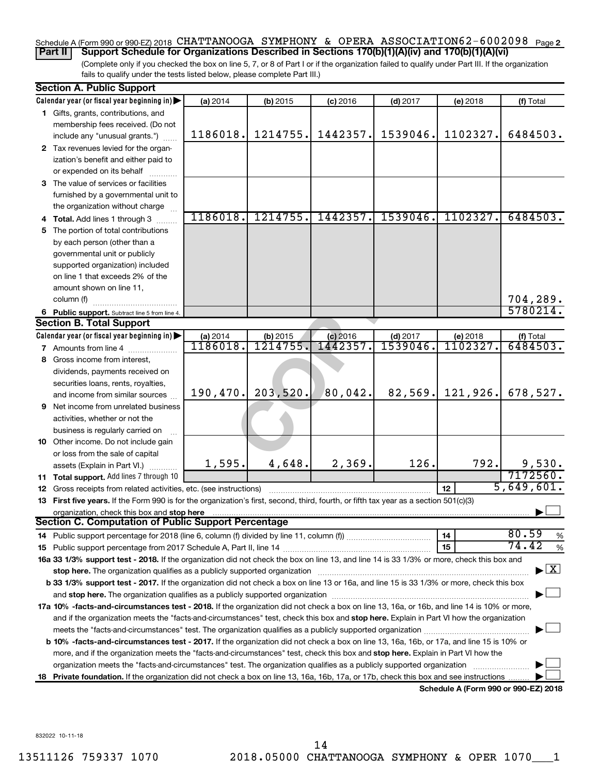#### Schedule A (Form 990 or 990-EZ) 2018 CHATTANOOGA SYMPHONY & OPERA ASSOCIATION62-6002098 <sub>Page 2</sub> **Part II Support Schedule for Organizations Described in Sections 170(b)(1)(A)(iv) and 170(b)(1)(A)(vi)**

(Complete only if you checked the box on line 5, 7, or 8 of Part I or if the organization failed to qualify under Part III. If the organization fails to qualify under the tests listed below, please complete Part III.)

|    | <b>Section A. Public Support</b>                                                                                                                                                                                              |                  |            |            |            |                                      |                                          |
|----|-------------------------------------------------------------------------------------------------------------------------------------------------------------------------------------------------------------------------------|------------------|------------|------------|------------|--------------------------------------|------------------------------------------|
|    | Calendar year (or fiscal year beginning in)                                                                                                                                                                                   | (a) 2014         | (b) 2015   | $(c)$ 2016 | $(d)$ 2017 | (e) 2018                             | (f) Total                                |
|    | 1 Gifts, grants, contributions, and                                                                                                                                                                                           |                  |            |            |            |                                      |                                          |
|    | membership fees received. (Do not                                                                                                                                                                                             |                  |            |            |            |                                      |                                          |
|    | include any "unusual grants.")                                                                                                                                                                                                | 1186018.         | 1214755.   | 1442357.   | 1539046.   | 1102327.                             | 6484503.                                 |
|    | 2 Tax revenues levied for the organ-                                                                                                                                                                                          |                  |            |            |            |                                      |                                          |
|    | ization's benefit and either paid to                                                                                                                                                                                          |                  |            |            |            |                                      |                                          |
|    | or expended on its behalf                                                                                                                                                                                                     |                  |            |            |            |                                      |                                          |
|    | 3 The value of services or facilities                                                                                                                                                                                         |                  |            |            |            |                                      |                                          |
|    | furnished by a governmental unit to                                                                                                                                                                                           |                  |            |            |            |                                      |                                          |
|    | the organization without charge                                                                                                                                                                                               |                  |            |            |            |                                      |                                          |
|    | 4 Total. Add lines 1 through 3                                                                                                                                                                                                | 1186018.         | 1214755.   | 1442357.   | 1539046.   | 1102327.                             | 6484503.                                 |
| 5. | The portion of total contributions                                                                                                                                                                                            |                  |            |            |            |                                      |                                          |
|    | by each person (other than a                                                                                                                                                                                                  |                  |            |            |            |                                      |                                          |
|    | governmental unit or publicly                                                                                                                                                                                                 |                  |            |            |            |                                      |                                          |
|    | supported organization) included                                                                                                                                                                                              |                  |            |            |            |                                      |                                          |
|    | on line 1 that exceeds 2% of the                                                                                                                                                                                              |                  |            |            |            |                                      |                                          |
|    | amount shown on line 11,                                                                                                                                                                                                      |                  |            |            |            |                                      |                                          |
|    | column (f)                                                                                                                                                                                                                    |                  |            |            |            |                                      | 704,289.                                 |
|    | 6 Public support. Subtract line 5 from line 4.                                                                                                                                                                                |                  |            |            |            |                                      | 5780214.                                 |
|    | <b>Section B. Total Support</b>                                                                                                                                                                                               |                  |            |            |            |                                      |                                          |
|    | Calendar year (or fiscal year beginning in)                                                                                                                                                                                   | (a) 2014         | $(b)$ 2015 | $(c)$ 2016 | $(d)$ 2017 | (e) 2018                             | (f) Total                                |
|    | <b>7</b> Amounts from line 4                                                                                                                                                                                                  | <u> 1186018.</u> | 1214755.   | 1442357.   | 1539046    | 1102327.                             | 6484503.                                 |
|    | 8 Gross income from interest,                                                                                                                                                                                                 |                  |            |            |            |                                      |                                          |
|    | dividends, payments received on                                                                                                                                                                                               |                  |            |            |            |                                      |                                          |
|    | securities loans, rents, royalties,                                                                                                                                                                                           |                  |            |            |            |                                      |                                          |
|    | and income from similar sources                                                                                                                                                                                               | 190,470.         | 203,520.   | 80,042.    | 82,569.    | 121,926.                             | 678,527.                                 |
|    | <b>9</b> Net income from unrelated business                                                                                                                                                                                   |                  |            |            |            |                                      |                                          |
|    | activities, whether or not the                                                                                                                                                                                                |                  |            |            |            |                                      |                                          |
|    | business is regularly carried on                                                                                                                                                                                              |                  |            |            |            |                                      |                                          |
|    | 10 Other income. Do not include gain                                                                                                                                                                                          |                  |            |            |            |                                      |                                          |
|    | or loss from the sale of capital                                                                                                                                                                                              |                  |            |            |            |                                      |                                          |
|    | assets (Explain in Part VI.)                                                                                                                                                                                                  | 1,595.           | 4,648.     | 2,369.     | 126.       | 792.                                 | 9,530.<br>7172560.                       |
|    | 11 Total support. Add lines 7 through 10                                                                                                                                                                                      |                  |            |            |            |                                      | 5,649,601.                               |
|    | <b>12</b> Gross receipts from related activities, etc. (see instructions)                                                                                                                                                     |                  |            |            |            | 12                                   |                                          |
|    | 13 First five years. If the Form 990 is for the organization's first, second, third, fourth, or fifth tax year as a section 501(c)(3)                                                                                         |                  |            |            |            |                                      |                                          |
|    | organization, check this box and stop here<br><b>Section C. Computation of Public Support Percentage</b>                                                                                                                      |                  |            |            |            |                                      |                                          |
|    |                                                                                                                                                                                                                               |                  |            |            |            | 14                                   | 80.59<br>$\%$                            |
|    |                                                                                                                                                                                                                               |                  |            |            |            | 15                                   | 74.42<br>$\%$                            |
|    | 16a 33 1/3% support test - 2018. If the organization did not check the box on line 13, and line 14 is 33 1/3% or more, check this box and                                                                                     |                  |            |            |            |                                      |                                          |
|    | stop here. The organization qualifies as a publicly supported organization manufaction manufacture or the organization manufacture or the organization manufacture or the organization of the state of the state of the state |                  |            |            |            |                                      | $\blacktriangleright$ $\boxed{\text{X}}$ |
|    | b 33 1/3% support test - 2017. If the organization did not check a box on line 13 or 16a, and line 15 is 33 1/3% or more, check this box                                                                                      |                  |            |            |            |                                      |                                          |
|    |                                                                                                                                                                                                                               |                  |            |            |            |                                      |                                          |
|    | 17a 10% -facts-and-circumstances test - 2018. If the organization did not check a box on line 13, 16a, or 16b, and line 14 is 10% or more,                                                                                    |                  |            |            |            |                                      |                                          |
|    | and if the organization meets the "facts-and-circumstances" test, check this box and stop here. Explain in Part VI how the organization                                                                                       |                  |            |            |            |                                      |                                          |
|    |                                                                                                                                                                                                                               |                  |            |            |            |                                      |                                          |
|    | <b>b 10%</b> -facts-and-circumstances test - 2017. If the organization did not check a box on line 13, 16a, 16b, or 17a, and line 15 is 10% or                                                                                |                  |            |            |            |                                      |                                          |
|    | more, and if the organization meets the "facts-and-circumstances" test, check this box and stop here. Explain in Part VI how the                                                                                              |                  |            |            |            |                                      |                                          |
|    | organization meets the "facts-and-circumstances" test. The organization qualifies as a publicly supported organization                                                                                                        |                  |            |            |            |                                      |                                          |
|    | 18 Private foundation. If the organization did not check a box on line 13, 16a, 16b, 17a, or 17b, check this box and see instructions.                                                                                        |                  |            |            |            |                                      |                                          |
|    |                                                                                                                                                                                                                               |                  |            |            |            | Schedule A (Form 990 or 990-EZ) 2018 |                                          |

832022 10-11-18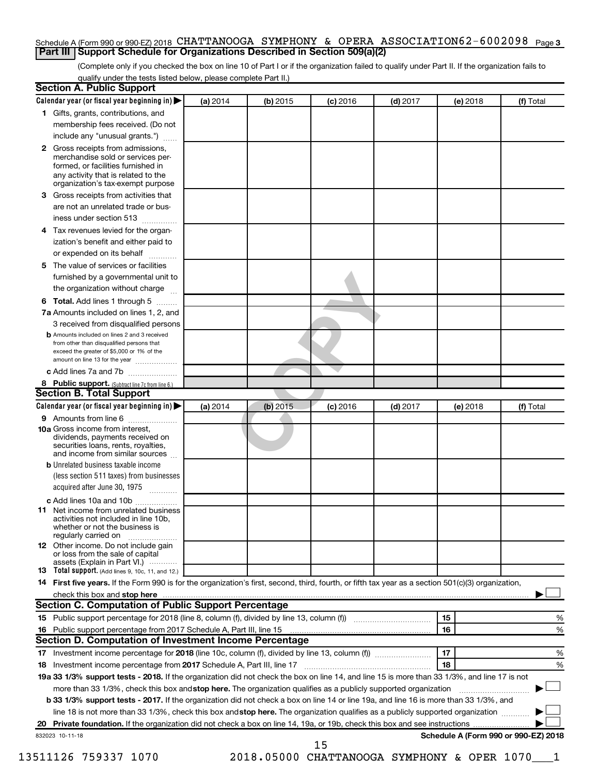#### Schedule A (Form 990 or 990-EZ) 2018 CHATTANOOGA SYMPHONY & OPERA ASSOCIATION62-6002098 <sub>Page 3</sub> **Part III Support Schedule for Organizations Described in Section 509(a)(2)**

(Complete only if you checked the box on line 10 of Part I or if the organization failed to qualify under Part II. If the organization fails to qualify under the tests listed below, please complete Part II.)

| Calendar year (or fiscal year beginning in)                                                                                                         | (a) 2014 | (b) 2015 | $(c)$ 2016 | $(d)$ 2017 |    | (e) 2018                                                                                                         | (f) Total                                                                                                                                                                                                                                                                                                                                                                                                                |
|-----------------------------------------------------------------------------------------------------------------------------------------------------|----------|----------|------------|------------|----|------------------------------------------------------------------------------------------------------------------|--------------------------------------------------------------------------------------------------------------------------------------------------------------------------------------------------------------------------------------------------------------------------------------------------------------------------------------------------------------------------------------------------------------------------|
| 1 Gifts, grants, contributions, and                                                                                                                 |          |          |            |            |    |                                                                                                                  |                                                                                                                                                                                                                                                                                                                                                                                                                          |
| membership fees received. (Do not                                                                                                                   |          |          |            |            |    |                                                                                                                  |                                                                                                                                                                                                                                                                                                                                                                                                                          |
| include any "unusual grants.")                                                                                                                      |          |          |            |            |    |                                                                                                                  |                                                                                                                                                                                                                                                                                                                                                                                                                          |
| Gross receipts from admissions,<br>merchandise sold or services per-<br>formed, or facilities furnished in<br>any activity that is related to the   |          |          |            |            |    |                                                                                                                  |                                                                                                                                                                                                                                                                                                                                                                                                                          |
| organization's tax-exempt purpose                                                                                                                   |          |          |            |            |    |                                                                                                                  |                                                                                                                                                                                                                                                                                                                                                                                                                          |
| Gross receipts from activities that                                                                                                                 |          |          |            |            |    |                                                                                                                  |                                                                                                                                                                                                                                                                                                                                                                                                                          |
| are not an unrelated trade or bus-                                                                                                                  |          |          |            |            |    |                                                                                                                  |                                                                                                                                                                                                                                                                                                                                                                                                                          |
| iness under section 513                                                                                                                             |          |          |            |            |    |                                                                                                                  |                                                                                                                                                                                                                                                                                                                                                                                                                          |
| Tax revenues levied for the organ-                                                                                                                  |          |          |            |            |    |                                                                                                                  |                                                                                                                                                                                                                                                                                                                                                                                                                          |
| ization's benefit and either paid to<br>or expended on its behalf                                                                                   |          |          |            |            |    |                                                                                                                  |                                                                                                                                                                                                                                                                                                                                                                                                                          |
| The value of services or facilities                                                                                                                 |          |          |            |            |    |                                                                                                                  |                                                                                                                                                                                                                                                                                                                                                                                                                          |
| furnished by a governmental unit to<br>the organization without charge                                                                              |          |          |            |            |    |                                                                                                                  |                                                                                                                                                                                                                                                                                                                                                                                                                          |
|                                                                                                                                                     |          |          |            |            |    |                                                                                                                  |                                                                                                                                                                                                                                                                                                                                                                                                                          |
| Total. Add lines 1 through 5                                                                                                                        |          |          |            |            |    |                                                                                                                  |                                                                                                                                                                                                                                                                                                                                                                                                                          |
| 7a Amounts included on lines 1, 2, and                                                                                                              |          |          |            |            |    |                                                                                                                  |                                                                                                                                                                                                                                                                                                                                                                                                                          |
| 3 received from disqualified persons<br><b>b</b> Amounts included on lines 2 and 3 received                                                         |          |          |            |            |    |                                                                                                                  |                                                                                                                                                                                                                                                                                                                                                                                                                          |
| from other than disqualified persons that<br>exceed the greater of \$5,000 or 1% of the<br>amount on line 13 for the year                           |          |          |            |            |    |                                                                                                                  |                                                                                                                                                                                                                                                                                                                                                                                                                          |
| c Add lines 7a and 7b                                                                                                                               |          |          |            |            |    |                                                                                                                  |                                                                                                                                                                                                                                                                                                                                                                                                                          |
| 8 Public support. (Subtract line 7c from line 6.)                                                                                                   |          |          |            |            |    |                                                                                                                  |                                                                                                                                                                                                                                                                                                                                                                                                                          |
| <b>Section B. Total Support</b>                                                                                                                     |          |          |            |            |    |                                                                                                                  |                                                                                                                                                                                                                                                                                                                                                                                                                          |
| Calendar year (or fiscal year beginning in)                                                                                                         | (a) 2014 | (b) 2015 | $(c)$ 2016 | $(d)$ 2017 |    | (e) 2018                                                                                                         | (f) Total                                                                                                                                                                                                                                                                                                                                                                                                                |
| 9 Amounts from line 6                                                                                                                               |          |          |            |            |    |                                                                                                                  |                                                                                                                                                                                                                                                                                                                                                                                                                          |
| <b>10a</b> Gross income from interest,<br>dividends, payments received on<br>securities loans, rents, royalties,<br>and income from similar sources |          |          |            |            |    |                                                                                                                  |                                                                                                                                                                                                                                                                                                                                                                                                                          |
| <b>b</b> Unrelated business taxable income                                                                                                          |          |          |            |            |    |                                                                                                                  |                                                                                                                                                                                                                                                                                                                                                                                                                          |
| (less section 511 taxes) from businesses<br>acquired after June 30, 1975                                                                            |          |          |            |            |    |                                                                                                                  |                                                                                                                                                                                                                                                                                                                                                                                                                          |
| c Add lines 10a and 10b                                                                                                                             |          |          |            |            |    |                                                                                                                  |                                                                                                                                                                                                                                                                                                                                                                                                                          |
| Net income from unrelated business<br>activities not included in line 10b.<br>whether or not the business is<br>regularly carried on                |          |          |            |            |    |                                                                                                                  |                                                                                                                                                                                                                                                                                                                                                                                                                          |
| <b>12</b> Other income. Do not include gain<br>or loss from the sale of capital                                                                     |          |          |            |            |    |                                                                                                                  |                                                                                                                                                                                                                                                                                                                                                                                                                          |
| assets (Explain in Part VI.)<br><b>13</b> Total support. (Add lines 9, 10c, 11, and 12.)                                                            |          |          |            |            |    |                                                                                                                  |                                                                                                                                                                                                                                                                                                                                                                                                                          |
| 14 First five years. If the Form 990 is for the organization's first, second, third, fourth, or fifth tax year as a section 501(c)(3) organization, |          |          |            |            |    |                                                                                                                  |                                                                                                                                                                                                                                                                                                                                                                                                                          |
|                                                                                                                                                     |          |          |            |            |    |                                                                                                                  |                                                                                                                                                                                                                                                                                                                                                                                                                          |
| Section C. Computation of Public Support Percentage                                                                                                 |          |          |            |            |    |                                                                                                                  |                                                                                                                                                                                                                                                                                                                                                                                                                          |
|                                                                                                                                                     |          |          |            |            | 15 |                                                                                                                  | %                                                                                                                                                                                                                                                                                                                                                                                                                        |
|                                                                                                                                                     |          |          |            |            | 16 |                                                                                                                  | %                                                                                                                                                                                                                                                                                                                                                                                                                        |
| Section D. Computation of Investment Income Percentage                                                                                              |          |          |            |            |    |                                                                                                                  |                                                                                                                                                                                                                                                                                                                                                                                                                          |
|                                                                                                                                                     |          |          |            |            | 17 |                                                                                                                  | %                                                                                                                                                                                                                                                                                                                                                                                                                        |
|                                                                                                                                                     |          |          |            |            | 18 |                                                                                                                  | %                                                                                                                                                                                                                                                                                                                                                                                                                        |
|                                                                                                                                                     |          |          |            |            |    |                                                                                                                  |                                                                                                                                                                                                                                                                                                                                                                                                                          |
|                                                                                                                                                     |          |          |            |            |    |                                                                                                                  |                                                                                                                                                                                                                                                                                                                                                                                                                          |
|                                                                                                                                                     |          |          |            |            |    |                                                                                                                  |                                                                                                                                                                                                                                                                                                                                                                                                                          |
|                                                                                                                                                     |          |          |            |            |    |                                                                                                                  |                                                                                                                                                                                                                                                                                                                                                                                                                          |
|                                                                                                                                                     |          |          |            |            |    |                                                                                                                  |                                                                                                                                                                                                                                                                                                                                                                                                                          |
|                                                                                                                                                     |          |          |            |            |    |                                                                                                                  |                                                                                                                                                                                                                                                                                                                                                                                                                          |
|                                                                                                                                                     |          |          |            |            |    | more than 33 1/3%, check this box and stop here. The organization qualifies as a publicly supported organization | 19a 33 1/3% support tests - 2018. If the organization did not check the box on line 14, and line 15 is more than 33 1/3%, and line 17 is not<br>b 33 1/3% support tests - 2017. If the organization did not check a box on line 14 or line 19a, and line 16 is more than 33 1/3%, and<br>line 18 is not more than 33 1/3%, check this box and stop here. The organization qualifies as a publicly supported organization |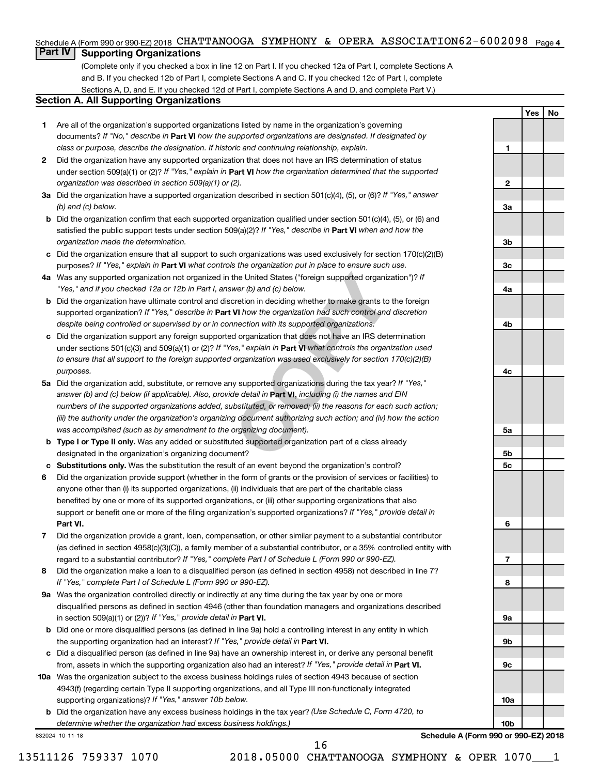#### Schedule A (Form 990 or 990-EZ) 2018 CHATTANOOGA SYMPHONY & OPERA ASSOCIATION62-6002098 <sub>Page 4</sub>

## **Part IV Supporting Organizations**

(Complete only if you checked a box in line 12 on Part I. If you checked 12a of Part I, complete Sections A and B. If you checked 12b of Part I, complete Sections A and C. If you checked 12c of Part I, complete Sections A, D, and E. If you checked 12d of Part I, complete Sections A and D, and complete Part V.)

#### **Section A. All Supporting Organizations**

- **1** Are all of the organization's supported organizations listed by name in the organization's governing documents? If "No," describe in Part VI how the supported organizations are designated. If designated by *class or purpose, describe the designation. If historic and continuing relationship, explain.*
- **2** Did the organization have any supported organization that does not have an IRS determination of status under section 509(a)(1) or (2)? If "Yes," explain in Part **VI** how the organization determined that the supported *organization was described in section 509(a)(1) or (2).*
- **3a** Did the organization have a supported organization described in section 501(c)(4), (5), or (6)? If "Yes," answer *(b) and (c) below.*
- **b** Did the organization confirm that each supported organization qualified under section 501(c)(4), (5), or (6) and satisfied the public support tests under section 509(a)(2)? If "Yes," describe in Part VI when and how the *organization made the determination.*
- **c** Did the organization ensure that all support to such organizations was used exclusively for section 170(c)(2)(B) purposes? If "Yes," explain in Part VI what controls the organization put in place to ensure such use.
- **4 a** *If* Was any supported organization not organized in the United States ("foreign supported organization")? *"Yes," and if you checked 12a or 12b in Part I, answer (b) and (c) below.*
- **b** Did the organization have ultimate control and discretion in deciding whether to make grants to the foreign supported organization? If "Yes," describe in Part VI how the organization had such control and discretion *despite being controlled or supervised by or in connection with its supported organizations.*
- **c** Did the organization support any foreign supported organization that does not have an IRS determination under sections 501(c)(3) and 509(a)(1) or (2)? If "Yes," explain in Part VI what controls the organization used *to ensure that all support to the foreign supported organization was used exclusively for section 170(c)(2)(B) purposes.*
- the United States ("foreign supported organization")? *I*<br>wer (b) and (c) below.<br>Correction in deciding whether to make grants to the foreignal to the foreign whether to make grants to the foreign<br>**VI** how the organization **5a** Did the organization add, substitute, or remove any supported organizations during the tax year? If "Yes," answer (b) and (c) below (if applicable). Also, provide detail in **Part VI,** including (i) the names and EIN *numbers of the supported organizations added, substituted, or removed; (ii) the reasons for each such action; (iii) the authority under the organization's organizing document authorizing such action; and (iv) how the action was accomplished (such as by amendment to the organizing document).*
- **b** Type I or Type II only. Was any added or substituted supported organization part of a class already designated in the organization's organizing document?
- **c Substitutions only.**  Was the substitution the result of an event beyond the organization's control?
- **6** Did the organization provide support (whether in the form of grants or the provision of services or facilities) to **Part VI.** support or benefit one or more of the filing organization's supported organizations? If "Yes," provide detail in anyone other than (i) its supported organizations, (ii) individuals that are part of the charitable class benefited by one or more of its supported organizations, or (iii) other supporting organizations that also
- **7** Did the organization provide a grant, loan, compensation, or other similar payment to a substantial contributor regard to a substantial contributor? If "Yes," complete Part I of Schedule L (Form 990 or 990-EZ). (as defined in section 4958(c)(3)(C)), a family member of a substantial contributor, or a 35% controlled entity with
- **8** Did the organization make a loan to a disqualified person (as defined in section 4958) not described in line 7? *If "Yes," complete Part I of Schedule L (Form 990 or 990-EZ).*
- **9 a** Was the organization controlled directly or indirectly at any time during the tax year by one or more in section 509(a)(1) or (2))? If "Yes," provide detail in **Part VI.** disqualified persons as defined in section 4946 (other than foundation managers and organizations described
- **b** Did one or more disqualified persons (as defined in line 9a) hold a controlling interest in any entity in which the supporting organization had an interest? If "Yes," provide detail in Part VI.
- **c** Did a disqualified person (as defined in line 9a) have an ownership interest in, or derive any personal benefit from, assets in which the supporting organization also had an interest? If "Yes," provide detail in Part VI.
- **10 a** Was the organization subject to the excess business holdings rules of section 4943 because of section supporting organizations)? If "Yes," answer 10b below. 4943(f) (regarding certain Type II supporting organizations, and all Type III non-functionally integrated
	- **b** Did the organization have any excess business holdings in the tax year? (Use Schedule C, Form 4720, to *determine whether the organization had excess business holdings.)*

832024 10-11-18

16

**10b Schedule A (Form 990 or 990-EZ) 2018**

**Yes No**

**1**

**2**

**3a**

**3b**

**3c**

**4a**

**4b**

**4c**

**5a**

**5b 5c**

**6**

**7**

**8**

**9a**

**9b**

**9c**

**10a**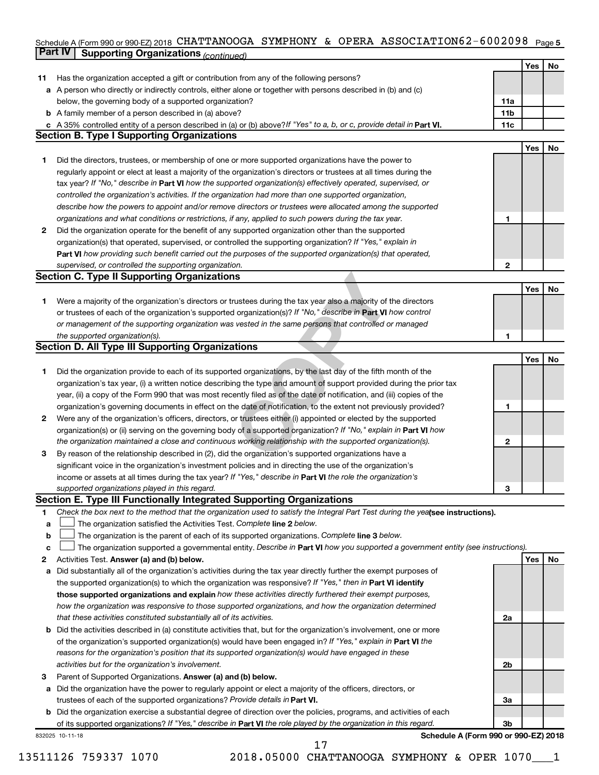#### Schedule A (Form 990 or 990-EZ) 2018 CHATTANOOGA SYMPHONY & OPERA ASSOCIATION6 Z = 6 0 0 ZU9 8 Page 5 **Part IV Supporting Organizations** *(continued)* CHATTANOOGA SYMPHONY & OPERA ASSOCIATION62-6002098

|              |                                                                                                                                 |                | Yes | No |
|--------------|---------------------------------------------------------------------------------------------------------------------------------|----------------|-----|----|
| 11           | Has the organization accepted a gift or contribution from any of the following persons?                                         |                |     |    |
|              | a A person who directly or indirectly controls, either alone or together with persons described in (b) and (c)                  |                |     |    |
|              | below, the governing body of a supported organization?                                                                          | 11a            |     |    |
|              | <b>b</b> A family member of a person described in (a) above?                                                                    | 11b            |     |    |
|              | c A 35% controlled entity of a person described in (a) or (b) above? If "Yes" to a, b, or c, provide detail in Part VI.         | 11c            |     |    |
|              | <b>Section B. Type I Supporting Organizations</b>                                                                               |                |     |    |
|              |                                                                                                                                 |                | Yes | No |
| 1.           | Did the directors, trustees, or membership of one or more supported organizations have the power to                             |                |     |    |
|              | regularly appoint or elect at least a majority of the organization's directors or trustees at all times during the              |                |     |    |
|              | tax year? If "No," describe in Part VI how the supported organization(s) effectively operated, supervised, or                   |                |     |    |
|              | controlled the organization's activities. If the organization had more than one supported organization,                         |                |     |    |
|              | describe how the powers to appoint and/or remove directors or trustees were allocated among the supported                       |                |     |    |
|              | organizations and what conditions or restrictions, if any, applied to such powers during the tax year.                          | 1              |     |    |
| $\mathbf{2}$ | Did the organization operate for the benefit of any supported organization other than the supported                             |                |     |    |
|              | organization(s) that operated, supervised, or controlled the supporting organization? If "Yes," explain in                      |                |     |    |
|              | Part VI how providing such benefit carried out the purposes of the supported organization(s) that operated,                     |                |     |    |
|              | supervised, or controlled the supporting organization.                                                                          | $\mathbf{2}$   |     |    |
|              | <b>Section C. Type II Supporting Organizations</b>                                                                              |                |     |    |
|              |                                                                                                                                 |                | Yes | No |
| 1.           | Were a majority of the organization's directors or trustees during the tax year also a majority of the directors                |                |     |    |
|              | or trustees of each of the organization's supported organization(s)? If "No," describe in Part VI how control                   |                |     |    |
|              | or management of the supporting organization was vested in the same persons that controlled or managed                          |                |     |    |
|              | the supported organization(s).                                                                                                  | 1              |     |    |
|              | <b>Section D. All Type III Supporting Organizations</b>                                                                         |                |     |    |
|              |                                                                                                                                 |                | Yes | No |
| 1.           | Did the organization provide to each of its supported organizations, by the last day of the fifth month of the                  |                |     |    |
|              | organization's tax year, (i) a written notice describing the type and amount of support provided during the prior tax           |                |     |    |
|              | year, (ii) a copy of the Form 990 that was most recently filed as of the date of notification, and (iii) copies of the          |                |     |    |
|              | organization's governing documents in effect on the date of notification, to the extent not previously provided?                | 1              |     |    |
| 2            | Were any of the organization's officers, directors, or trustees either (i) appointed or elected by the supported                |                |     |    |
|              | organization(s) or (ii) serving on the governing body of a supported organization? If "No," explain in <b>Part VI</b> how       |                |     |    |
|              | the organization maintained a close and continuous working relationship with the supported organization(s).                     | $\mathbf{2}$   |     |    |
| 3            | By reason of the relationship described in (2), did the organization's supported organizations have a                           |                |     |    |
|              |                                                                                                                                 |                |     |    |
|              | significant voice in the organization's investment policies and in directing the use of the organization's                      |                |     |    |
|              | income or assets at all times during the tax year? If "Yes," describe in Part VI the role the organization's                    |                |     |    |
|              | supported organizations played in this regard.<br>Section E. Type III Functionally Integrated Supporting Organizations          | 3              |     |    |
|              |                                                                                                                                 |                |     |    |
| 1            | Check the box next to the method that the organization used to satisfy the Integral Part Test during the yealsee instructions). |                |     |    |
| a            | The organization satisfied the Activities Test. Complete line 2 below.                                                          |                |     |    |
| b            | The organization is the parent of each of its supported organizations. Complete line 3 below.                                   |                |     |    |
| c            | The organization supported a governmental entity. Describe in Part VI how you supported a government entity (see instructions). |                |     |    |
| 2            | Activities Test. Answer (a) and (b) below.                                                                                      |                | Yes | No |
| a            | Did substantially all of the organization's activities during the tax year directly further the exempt purposes of              |                |     |    |
|              | the supported organization(s) to which the organization was responsive? If "Yes," then in Part VI identify                      |                |     |    |
|              | those supported organizations and explain how these activities directly furthered their exempt purposes,                        |                |     |    |
|              | how the organization was responsive to those supported organizations, and how the organization determined                       |                |     |    |
|              | that these activities constituted substantially all of its activities.                                                          | 2a             |     |    |
|              | <b>b</b> Did the activities described in (a) constitute activities that, but for the organization's involvement, one or more    |                |     |    |
|              | of the organization's supported organization(s) would have been engaged in? If "Yes," explain in Part VI the                    |                |     |    |
|              | reasons for the organization's position that its supported organization(s) would have engaged in these                          |                |     |    |
|              | activities but for the organization's involvement.                                                                              | 2b             |     |    |
| з            | Parent of Supported Organizations. Answer (a) and (b) below.                                                                    |                |     |    |
| a            | Did the organization have the power to regularly appoint or elect a majority of the officers, directors, or                     |                |     |    |
|              | trustees of each of the supported organizations? Provide details in Part VI.                                                    | За             |     |    |
| b            | Did the organization exercise a substantial degree of direction over the policies, programs, and activities of each             |                |     |    |
|              | of its supported organizations? If "Yes," describe in Part VI the role played by the organization in this regard.               | 3 <sub>b</sub> |     |    |
|              | Schedule A (Form 990 or 990-EZ) 2018<br>832025 10-11-18                                                                         |                |     |    |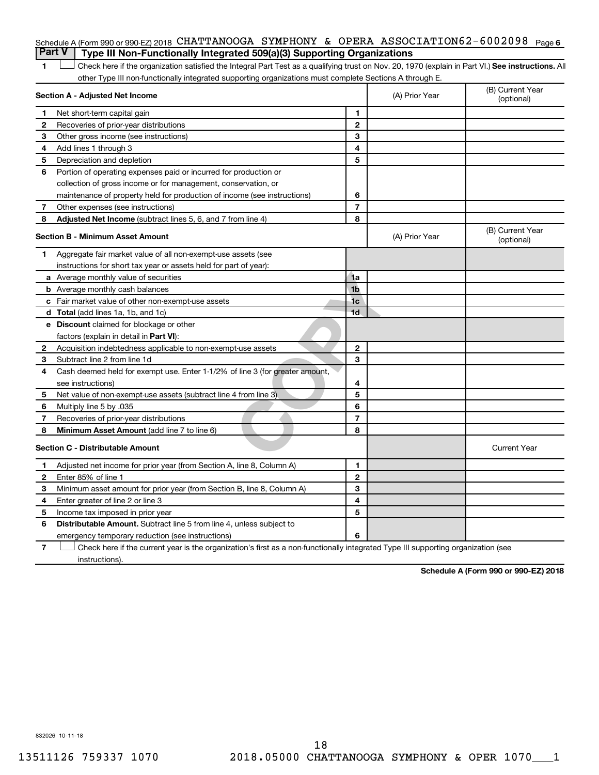## Schedule A (Form 990 or 990-EZ) 2018 CHATTANOOGA SYMPHONY & OPERA ASSOCIATION62-6002098 Page 6 **Part V Type III Non-Functionally Integrated 509(a)(3) Supporting Organizations**

1 **Letter See instructions.** All Check here if the organization satisfied the Integral Part Test as a qualifying trust on Nov. 20, 1970 (explain in Part VI.) See instructions. All other Type III non-functionally integrated supporting organizations must complete Sections A through E.

|    | Section A - Adjusted Net Income                                              |                | (A) Prior Year | (B) Current Year<br>(optional) |
|----|------------------------------------------------------------------------------|----------------|----------------|--------------------------------|
| 1  | Net short-term capital gain                                                  | 1              |                |                                |
| 2  | Recoveries of prior-year distributions                                       | $\overline{2}$ |                |                                |
| З  | Other gross income (see instructions)                                        | 3              |                |                                |
| 4  | Add lines 1 through 3                                                        | 4              |                |                                |
| 5  | Depreciation and depletion                                                   | 5              |                |                                |
| 6  | Portion of operating expenses paid or incurred for production or             |                |                |                                |
|    | collection of gross income or for management, conservation, or               |                |                |                                |
|    | maintenance of property held for production of income (see instructions)     | 6              |                |                                |
| 7  | Other expenses (see instructions)                                            | $\overline{7}$ |                |                                |
| 8  | Adjusted Net Income (subtract lines 5, 6, and 7 from line 4)                 | 8              |                |                                |
|    | <b>Section B - Minimum Asset Amount</b>                                      |                | (A) Prior Year | (B) Current Year<br>(optional) |
| 1. | Aggregate fair market value of all non-exempt-use assets (see                |                |                |                                |
|    | instructions for short tax year or assets held for part of year):            |                |                |                                |
|    | a Average monthly value of securities                                        | 1a             |                |                                |
|    | <b>b</b> Average monthly cash balances                                       | 1 <sub>b</sub> |                |                                |
|    | c Fair market value of other non-exempt-use assets                           | 1 <sub>c</sub> |                |                                |
|    | d Total (add lines 1a, 1b, and 1c)                                           | 1 <sub>d</sub> |                |                                |
|    | <b>e</b> Discount claimed for blockage or other                              |                |                |                                |
|    | factors (explain in detail in Part VI):                                      |                |                |                                |
| 2  | Acquisition indebtedness applicable to non-exempt-use assets                 | $\mathbf{2}$   |                |                                |
| 3  | Subtract line 2 from line 1d                                                 | 3              |                |                                |
| 4  | Cash deemed held for exempt use. Enter 1-1/2% of line 3 (for greater amount, |                |                |                                |
|    | see instructions)                                                            | 4              |                |                                |
| 5  | Net value of non-exempt-use assets (subtract line 4 from line 3)             | 5              |                |                                |
| 6  | Multiply line 5 by .035                                                      | 6              |                |                                |
| 7  | Recoveries of prior-year distributions                                       | 7              |                |                                |
| 8  | Minimum Asset Amount (add line 7 to line 6)                                  | 8              |                |                                |
|    | <b>Section C - Distributable Amount</b>                                      |                |                | <b>Current Year</b>            |
| 1  | Adjusted net income for prior year (from Section A, line 8, Column A)        | 1              |                |                                |
| 2  | Enter 85% of line 1                                                          | $\overline{2}$ |                |                                |
| З  | Minimum asset amount for prior year (from Section B, line 8, Column A)       | 3              |                |                                |
| 4  | Enter greater of line 2 or line 3                                            | 4              |                |                                |
| 5  | Income tax imposed in prior year                                             | 5              |                |                                |
| 6  | <b>Distributable Amount.</b> Subtract line 5 from line 4, unless subject to  |                |                |                                |
|    | emergency temporary reduction (see instructions)                             | 6              |                |                                |
|    |                                                                              |                |                |                                |

**7** Let Check here if the current year is the organization's first as a non-functionally integrated Type III supporting organization (see instructions).

**Schedule A (Form 990 or 990-EZ) 2018**

832026 10-11-18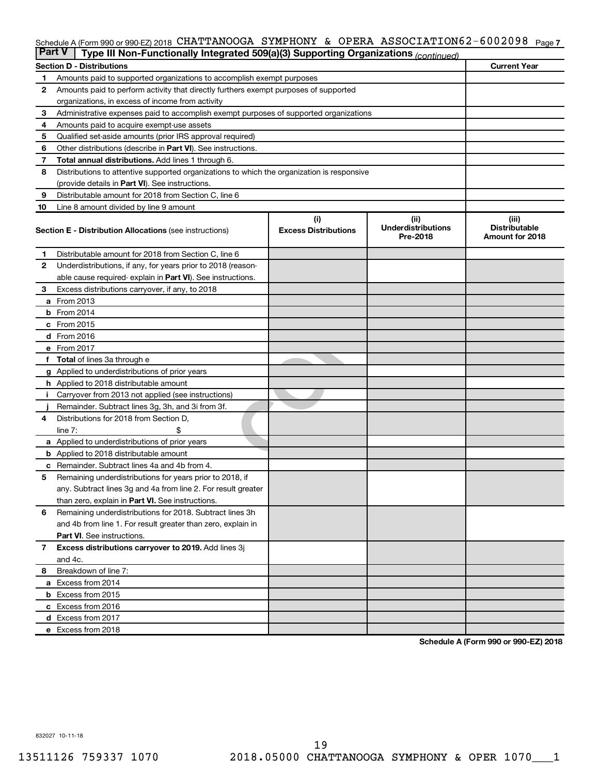#### Schedule A (Form 990 or 990-EZ) 2018 CHATTANOOGA SYMPHONY & OPERA ASSOCIATION62-6002098 <sub>Page 7</sub>

| <b>Part V</b> | Type III Non-Functionally Integrated 509(a)(3) Supporting Organizations (continued)        |                             |                                       |                                         |  |  |  |  |  |  |
|---------------|--------------------------------------------------------------------------------------------|-----------------------------|---------------------------------------|-----------------------------------------|--|--|--|--|--|--|
|               | <b>Current Year</b><br><b>Section D - Distributions</b>                                    |                             |                                       |                                         |  |  |  |  |  |  |
| 1             | Amounts paid to supported organizations to accomplish exempt purposes                      |                             |                                       |                                         |  |  |  |  |  |  |
| $\mathbf{2}$  | Amounts paid to perform activity that directly furthers exempt purposes of supported       |                             |                                       |                                         |  |  |  |  |  |  |
|               | organizations, in excess of income from activity                                           |                             |                                       |                                         |  |  |  |  |  |  |
| 3             | Administrative expenses paid to accomplish exempt purposes of supported organizations      |                             |                                       |                                         |  |  |  |  |  |  |
| 4             | Amounts paid to acquire exempt-use assets                                                  |                             |                                       |                                         |  |  |  |  |  |  |
| 5             | Qualified set-aside amounts (prior IRS approval required)                                  |                             |                                       |                                         |  |  |  |  |  |  |
| 6             | Other distributions (describe in <b>Part VI</b> ). See instructions.                       |                             |                                       |                                         |  |  |  |  |  |  |
| 7             | Total annual distributions. Add lines 1 through 6.                                         |                             |                                       |                                         |  |  |  |  |  |  |
| 8             | Distributions to attentive supported organizations to which the organization is responsive |                             |                                       |                                         |  |  |  |  |  |  |
|               | (provide details in Part VI). See instructions.                                            |                             |                                       |                                         |  |  |  |  |  |  |
| 9             | Distributable amount for 2018 from Section C, line 6                                       |                             |                                       |                                         |  |  |  |  |  |  |
| 10            | Line 8 amount divided by line 9 amount                                                     |                             |                                       |                                         |  |  |  |  |  |  |
|               |                                                                                            | (i)                         | (ii)                                  | (iii)                                   |  |  |  |  |  |  |
|               | <b>Section E - Distribution Allocations (see instructions)</b>                             | <b>Excess Distributions</b> | <b>Underdistributions</b><br>Pre-2018 | <b>Distributable</b><br>Amount for 2018 |  |  |  |  |  |  |
| 1             | Distributable amount for 2018 from Section C, line 6                                       |                             |                                       |                                         |  |  |  |  |  |  |
| $\mathbf{2}$  | Underdistributions, if any, for years prior to 2018 (reason-                               |                             |                                       |                                         |  |  |  |  |  |  |
|               | able cause required- explain in Part VI). See instructions.                                |                             |                                       |                                         |  |  |  |  |  |  |
| 3             | Excess distributions carryover, if any, to 2018                                            |                             |                                       |                                         |  |  |  |  |  |  |
|               | <b>a</b> From 2013                                                                         |                             |                                       |                                         |  |  |  |  |  |  |
|               | <b>b</b> From 2014                                                                         |                             |                                       |                                         |  |  |  |  |  |  |
|               | c From 2015                                                                                |                             |                                       |                                         |  |  |  |  |  |  |
|               | d From 2016                                                                                |                             |                                       |                                         |  |  |  |  |  |  |
|               | e From 2017                                                                                |                             |                                       |                                         |  |  |  |  |  |  |
|               | f Total of lines 3a through e                                                              |                             |                                       |                                         |  |  |  |  |  |  |
|               | g Applied to underdistributions of prior years                                             |                             |                                       |                                         |  |  |  |  |  |  |
|               | h Applied to 2018 distributable amount                                                     |                             |                                       |                                         |  |  |  |  |  |  |
| Ť.            | Carryover from 2013 not applied (see instructions)                                         |                             |                                       |                                         |  |  |  |  |  |  |
|               | Remainder. Subtract lines 3g, 3h, and 3i from 3f.                                          |                             |                                       |                                         |  |  |  |  |  |  |
| 4             | Distributions for 2018 from Section D,                                                     |                             |                                       |                                         |  |  |  |  |  |  |
|               | line $7:$                                                                                  |                             |                                       |                                         |  |  |  |  |  |  |
|               | a Applied to underdistributions of prior years                                             |                             |                                       |                                         |  |  |  |  |  |  |
|               | <b>b</b> Applied to 2018 distributable amount                                              |                             |                                       |                                         |  |  |  |  |  |  |
| с             | Remainder. Subtract lines 4a and 4b from 4.                                                |                             |                                       |                                         |  |  |  |  |  |  |
| 5             | Remaining underdistributions for years prior to 2018, if                                   |                             |                                       |                                         |  |  |  |  |  |  |
|               | any. Subtract lines 3g and 4a from line 2. For result greater                              |                             |                                       |                                         |  |  |  |  |  |  |
|               | than zero, explain in Part VI. See instructions.                                           |                             |                                       |                                         |  |  |  |  |  |  |
| 6             | Remaining underdistributions for 2018. Subtract lines 3h                                   |                             |                                       |                                         |  |  |  |  |  |  |
|               | and 4b from line 1. For result greater than zero, explain in                               |                             |                                       |                                         |  |  |  |  |  |  |
|               | <b>Part VI.</b> See instructions.                                                          |                             |                                       |                                         |  |  |  |  |  |  |
| $\mathbf{7}$  | Excess distributions carryover to 2019. Add lines 3j                                       |                             |                                       |                                         |  |  |  |  |  |  |
|               | and 4c.                                                                                    |                             |                                       |                                         |  |  |  |  |  |  |
| 8             | Breakdown of line 7:                                                                       |                             |                                       |                                         |  |  |  |  |  |  |
|               | a Excess from 2014                                                                         |                             |                                       |                                         |  |  |  |  |  |  |
|               | <b>b</b> Excess from 2015                                                                  |                             |                                       |                                         |  |  |  |  |  |  |
|               | c Excess from 2016                                                                         |                             |                                       |                                         |  |  |  |  |  |  |
|               | d Excess from 2017                                                                         |                             |                                       |                                         |  |  |  |  |  |  |
|               | e Excess from 2018                                                                         |                             |                                       |                                         |  |  |  |  |  |  |

**Schedule A (Form 990 or 990-EZ) 2018**

832027 10-11-18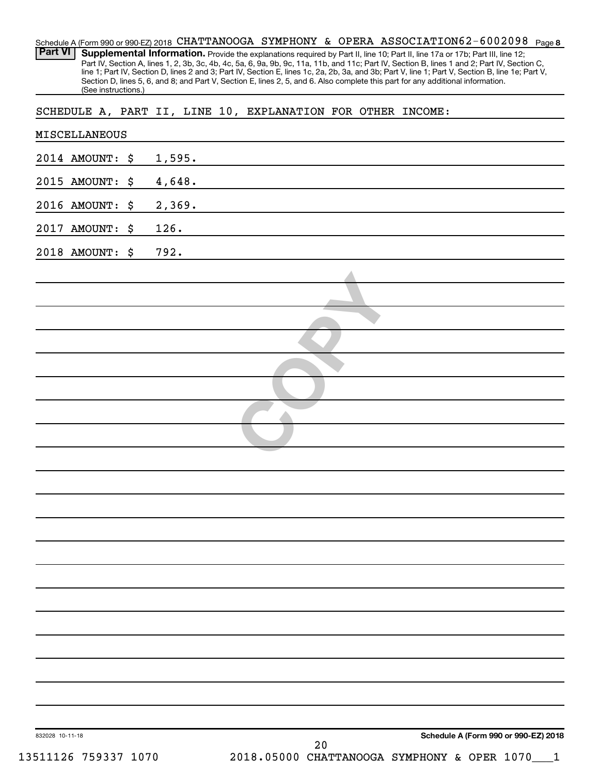| Part VI                                 | (See instructions.) |        | Schedule A (Form 990 or 990-EZ) 2018 CHATTANOOGA SYMPHONY & OPERA ASSOCIATION62-6002098 Page 8<br>Supplemental Information. Provide the explanations required by Part II, line 10; Part II, line 17a or 17b; Part III, line 12;<br>Part IV, Section A, lines 1, 2, 3b, 3c, 4b, 4c, 5a, 6, 9a, 9b, 9c, 11a, 11b, and 11c; Part IV, Section B, lines 1 and 2; Part IV, Section C,<br>line 1; Part IV, Section D, lines 2 and 3; Part IV, Section E, lines 1c, 2a, 2b, 3a, and 3b; Part V, line 1; Part V, Section B, line 1e; Part V,<br>Section D, lines 5, 6, and 8; and Part V, Section E, lines 2, 5, and 6. Also complete this part for any additional information. |                                      |
|-----------------------------------------|---------------------|--------|------------------------------------------------------------------------------------------------------------------------------------------------------------------------------------------------------------------------------------------------------------------------------------------------------------------------------------------------------------------------------------------------------------------------------------------------------------------------------------------------------------------------------------------------------------------------------------------------------------------------------------------------------------------------|--------------------------------------|
|                                         |                     |        | SCHEDULE A, PART II, LINE 10, EXPLANATION FOR OTHER INCOME:                                                                                                                                                                                                                                                                                                                                                                                                                                                                                                                                                                                                            |                                      |
| MISCELLANEOUS                           |                     |        |                                                                                                                                                                                                                                                                                                                                                                                                                                                                                                                                                                                                                                                                        |                                      |
| 2014 AMOUNT:                            | \$                  | 1,595. |                                                                                                                                                                                                                                                                                                                                                                                                                                                                                                                                                                                                                                                                        |                                      |
| 2015 AMOUNT:                            | \$                  | 4,648. |                                                                                                                                                                                                                                                                                                                                                                                                                                                                                                                                                                                                                                                                        |                                      |
| 2016 AMOUNT:                            | \$                  | 2,369. |                                                                                                                                                                                                                                                                                                                                                                                                                                                                                                                                                                                                                                                                        |                                      |
| 2017 AMOUNT:                            | \$                  | 126.   |                                                                                                                                                                                                                                                                                                                                                                                                                                                                                                                                                                                                                                                                        |                                      |
| 2018 AMOUNT:                            | \$                  | 792.   |                                                                                                                                                                                                                                                                                                                                                                                                                                                                                                                                                                                                                                                                        |                                      |
|                                         |                     |        |                                                                                                                                                                                                                                                                                                                                                                                                                                                                                                                                                                                                                                                                        |                                      |
|                                         |                     |        |                                                                                                                                                                                                                                                                                                                                                                                                                                                                                                                                                                                                                                                                        |                                      |
|                                         |                     |        |                                                                                                                                                                                                                                                                                                                                                                                                                                                                                                                                                                                                                                                                        |                                      |
|                                         |                     |        |                                                                                                                                                                                                                                                                                                                                                                                                                                                                                                                                                                                                                                                                        |                                      |
|                                         |                     |        |                                                                                                                                                                                                                                                                                                                                                                                                                                                                                                                                                                                                                                                                        |                                      |
|                                         |                     |        |                                                                                                                                                                                                                                                                                                                                                                                                                                                                                                                                                                                                                                                                        |                                      |
|                                         |                     |        |                                                                                                                                                                                                                                                                                                                                                                                                                                                                                                                                                                                                                                                                        |                                      |
|                                         |                     |        |                                                                                                                                                                                                                                                                                                                                                                                                                                                                                                                                                                                                                                                                        |                                      |
|                                         |                     |        |                                                                                                                                                                                                                                                                                                                                                                                                                                                                                                                                                                                                                                                                        |                                      |
|                                         |                     |        |                                                                                                                                                                                                                                                                                                                                                                                                                                                                                                                                                                                                                                                                        |                                      |
|                                         |                     |        |                                                                                                                                                                                                                                                                                                                                                                                                                                                                                                                                                                                                                                                                        |                                      |
|                                         |                     |        |                                                                                                                                                                                                                                                                                                                                                                                                                                                                                                                                                                                                                                                                        |                                      |
|                                         |                     |        |                                                                                                                                                                                                                                                                                                                                                                                                                                                                                                                                                                                                                                                                        |                                      |
|                                         |                     |        |                                                                                                                                                                                                                                                                                                                                                                                                                                                                                                                                                                                                                                                                        |                                      |
|                                         |                     |        |                                                                                                                                                                                                                                                                                                                                                                                                                                                                                                                                                                                                                                                                        |                                      |
|                                         |                     |        |                                                                                                                                                                                                                                                                                                                                                                                                                                                                                                                                                                                                                                                                        |                                      |
|                                         |                     |        |                                                                                                                                                                                                                                                                                                                                                                                                                                                                                                                                                                                                                                                                        |                                      |
|                                         |                     |        |                                                                                                                                                                                                                                                                                                                                                                                                                                                                                                                                                                                                                                                                        |                                      |
|                                         |                     |        |                                                                                                                                                                                                                                                                                                                                                                                                                                                                                                                                                                                                                                                                        |                                      |
|                                         |                     |        |                                                                                                                                                                                                                                                                                                                                                                                                                                                                                                                                                                                                                                                                        |                                      |
|                                         |                     |        |                                                                                                                                                                                                                                                                                                                                                                                                                                                                                                                                                                                                                                                                        |                                      |
| 832028 10-11-18<br>13511126 759337 1070 |                     |        | 20<br>2018.05000 CHATTANOOGA SYMPHONY & OPER 1070                                                                                                                                                                                                                                                                                                                                                                                                                                                                                                                                                                                                                      | Schedule A (Form 990 or 990-EZ) 2018 |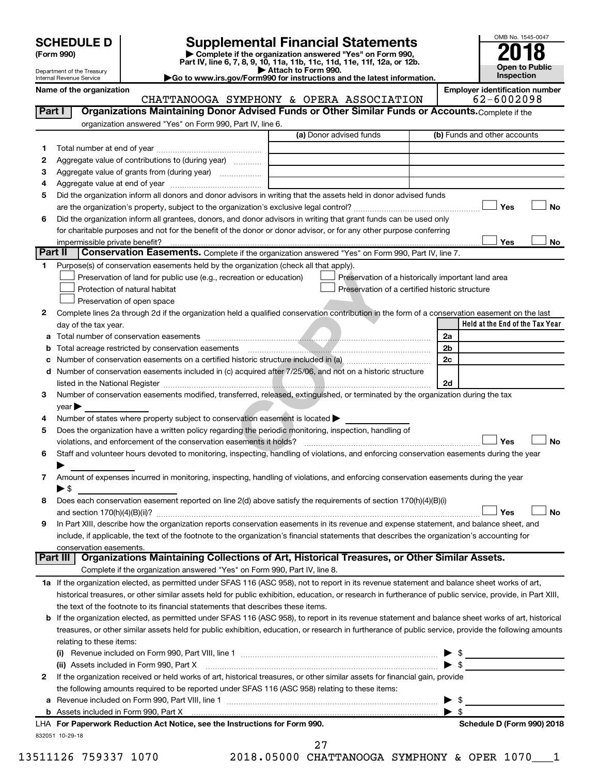| <b>SCHEDULE D</b> |  |
|-------------------|--|
|-------------------|--|

**(Form 990) | Complete if the organization answered "Yes" on Form 990, Part IV, line 6, 7, 8, 9, 10, 11a, 11b, 11c, 11d, 11e, 11f, 12a, or 12b. SCHEDULE D Supplemental Financial Statements**<br> **Form 990 2018**<br> **Part IV** line 6.7.8.9.10, 11a, 11b, 11d, 11d, 11d, 11d, 11d, 12a, 0r, 12b

**| Attach to Form 990. |Go to www.irs.gov/Form990 for instructions and the latest information.**



Department of the Treasury Internal Revenue Service

Name of the organization<br>CHATTANOOGA SYMPHONY & OPERA ASSOCTATION 62-6002098 CHATTANOOGA SYMPHONY & OPERA ASSOCIATION

| Part I          | Organizations Maintaining Donor Advised Funds or Other Similar Funds or Accounts. Complete if the                                                                                                                                                                                                          |                                                    |                                            |
|-----------------|------------------------------------------------------------------------------------------------------------------------------------------------------------------------------------------------------------------------------------------------------------------------------------------------------------|----------------------------------------------------|--------------------------------------------|
|                 | organization answered "Yes" on Form 990, Part IV, line 6.                                                                                                                                                                                                                                                  |                                                    |                                            |
|                 |                                                                                                                                                                                                                                                                                                            | (a) Donor advised funds                            | (b) Funds and other accounts               |
| 1.              |                                                                                                                                                                                                                                                                                                            |                                                    |                                            |
| 2               | Aggregate value of contributions to (during year)                                                                                                                                                                                                                                                          |                                                    |                                            |
| з               | Aggregate value of grants from (during year)                                                                                                                                                                                                                                                               |                                                    |                                            |
| 4               |                                                                                                                                                                                                                                                                                                            |                                                    |                                            |
| 5               | Did the organization inform all donors and donor advisors in writing that the assets held in donor advised funds                                                                                                                                                                                           |                                                    |                                            |
|                 |                                                                                                                                                                                                                                                                                                            |                                                    | Yes<br>No                                  |
| 6               | Did the organization inform all grantees, donors, and donor advisors in writing that grant funds can be used only                                                                                                                                                                                          |                                                    |                                            |
|                 | for charitable purposes and not for the benefit of the donor or donor advisor, or for any other purpose conferring                                                                                                                                                                                         |                                                    |                                            |
|                 | impermissible private benefit?                                                                                                                                                                                                                                                                             |                                                    | Yes<br>No                                  |
| <b>Part II</b>  | Conservation Easements. Complete if the organization answered "Yes" on Form 990, Part IV, line 7.                                                                                                                                                                                                          |                                                    |                                            |
| 1.              | Purpose(s) of conservation easements held by the organization (check all that apply).                                                                                                                                                                                                                      |                                                    |                                            |
|                 | Preservation of land for public use (e.g., recreation or education)                                                                                                                                                                                                                                        | Preservation of a historically important land area |                                            |
|                 | Protection of natural habitat                                                                                                                                                                                                                                                                              | Preservation of a certified historic structure     |                                            |
|                 | Preservation of open space                                                                                                                                                                                                                                                                                 |                                                    |                                            |
| 2.              | Complete lines 2a through 2d if the organization held a qualified conservation contribution in the form of a conservation easement on the last                                                                                                                                                             |                                                    |                                            |
|                 | day of the tax year.                                                                                                                                                                                                                                                                                       |                                                    | Held at the End of the Tax Year            |
| a               |                                                                                                                                                                                                                                                                                                            |                                                    | 2a                                         |
| b               | Total acreage restricted by conservation easements                                                                                                                                                                                                                                                         |                                                    | 2b                                         |
| c               | Number of conservation easements on a certified historic structure included in (a) manufacture included in (a)                                                                                                                                                                                             |                                                    | 2c                                         |
| d               | Number of conservation easements included in (c) acquired after 7/25/06, and not on a historic structure                                                                                                                                                                                                   |                                                    | 2d                                         |
| 3.              | Number of conservation easements modified, transferred, released, extinguished, or terminated by the organization during the tax                                                                                                                                                                           |                                                    |                                            |
|                 | $year \triangleright$                                                                                                                                                                                                                                                                                      |                                                    |                                            |
| 4               | Number of states where property subject to conservation easement is located >                                                                                                                                                                                                                              |                                                    |                                            |
| 5               | Does the organization have a written policy regarding the periodic monitoring, inspection, handling of                                                                                                                                                                                                     |                                                    |                                            |
|                 | violations, and enforcement of the conservation easements it holds?                                                                                                                                                                                                                                        |                                                    | Yes<br><b>No</b>                           |
| 6               | Staff and volunteer hours devoted to monitoring, inspecting, handling of violations, and enforcing conservation easements during the year                                                                                                                                                                  |                                                    |                                            |
|                 |                                                                                                                                                                                                                                                                                                            |                                                    |                                            |
| 7               | Amount of expenses incurred in monitoring, inspecting, handling of violations, and enforcing conservation easements during the year                                                                                                                                                                        |                                                    |                                            |
|                 | $\blacktriangleright$ \$                                                                                                                                                                                                                                                                                   |                                                    |                                            |
| 8               | Does each conservation easement reported on line 2(d) above satisfy the requirements of section 170(h)(4)(B)(i)                                                                                                                                                                                            |                                                    |                                            |
|                 |                                                                                                                                                                                                                                                                                                            |                                                    | Yes<br>No                                  |
| 9               | In Part XIII, describe how the organization reports conservation easements in its revenue and expense statement, and balance sheet, and                                                                                                                                                                    |                                                    |                                            |
|                 | include, if applicable, the text of the footnote to the organization's financial statements that describes the organization's accounting for                                                                                                                                                               |                                                    |                                            |
|                 | conservation easements.                                                                                                                                                                                                                                                                                    |                                                    |                                            |
| <b>Part III</b> | Organizations Maintaining Collections of Art, Historical Treasures, or Other Similar Assets.                                                                                                                                                                                                               |                                                    |                                            |
|                 | Complete if the organization answered "Yes" on Form 990, Part IV, line 8.                                                                                                                                                                                                                                  |                                                    |                                            |
|                 | 1a If the organization elected, as permitted under SFAS 116 (ASC 958), not to report in its revenue statement and balance sheet works of art,                                                                                                                                                              |                                                    |                                            |
|                 | historical treasures, or other similar assets held for public exhibition, education, or research in furtherance of public service, provide, in Part XIII,                                                                                                                                                  |                                                    |                                            |
|                 | the text of the footnote to its financial statements that describes these items.                                                                                                                                                                                                                           |                                                    |                                            |
|                 | If the organization elected, as permitted under SFAS 116 (ASC 958), to report in its revenue statement and balance sheet works of art, historical<br>treasures, or other similar assets held for public exhibition, education, or research in furtherance of public service, provide the following amounts |                                                    |                                            |
|                 | relating to these items:                                                                                                                                                                                                                                                                                   |                                                    |                                            |
|                 |                                                                                                                                                                                                                                                                                                            |                                                    |                                            |
|                 |                                                                                                                                                                                                                                                                                                            |                                                    | $\triangleright$ \$<br>$\triangleright$ \$ |
| 2               | If the organization received or held works of art, historical treasures, or other similar assets for financial gain, provide                                                                                                                                                                               |                                                    |                                            |
|                 | the following amounts required to be reported under SFAS 116 (ASC 958) relating to these items:                                                                                                                                                                                                            |                                                    |                                            |
| а               |                                                                                                                                                                                                                                                                                                            |                                                    | $\blacktriangleright$ \$                   |
|                 |                                                                                                                                                                                                                                                                                                            |                                                    | $\blacktriangleright$ \$                   |
|                 | LHA For Paperwork Reduction Act Notice, see the Instructions for Form 990.                                                                                                                                                                                                                                 |                                                    | Schedule D (Form 990) 2018                 |
|                 | 832051 10-29-18                                                                                                                                                                                                                                                                                            |                                                    |                                            |
|                 | 27                                                                                                                                                                                                                                                                                                         |                                                    |                                            |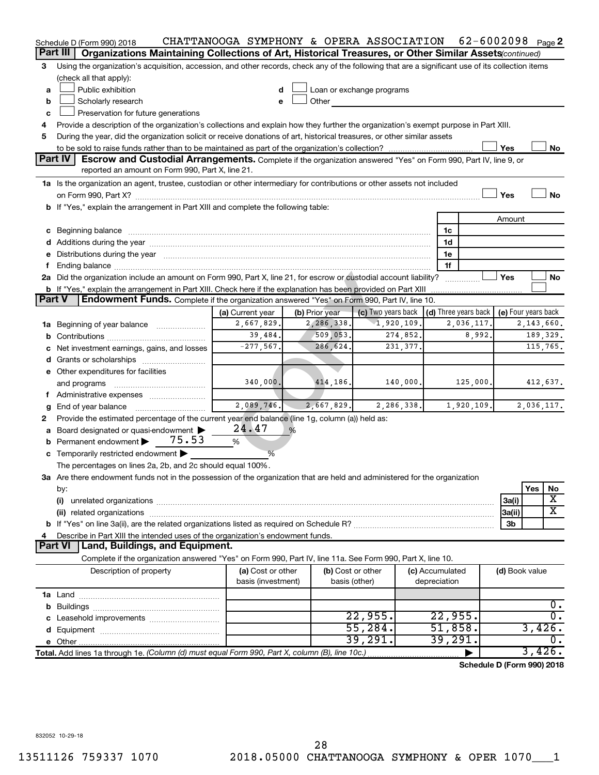|                                                                                    | Schedule D (Form 990) 2018                                                                                                                                                                                                     | CHATTANOOGA SYMPHONY & OPERA ASSOCIATION |   |                           |                    |            |                 | 62-6002098 $_{Page}$ 2               |                     |        |                  |
|------------------------------------------------------------------------------------|--------------------------------------------------------------------------------------------------------------------------------------------------------------------------------------------------------------------------------|------------------------------------------|---|---------------------------|--------------------|------------|-----------------|--------------------------------------|---------------------|--------|------------------|
| Part III                                                                           | Organizations Maintaining Collections of Art, Historical Treasures, or Other Similar Assets (continued)                                                                                                                        |                                          |   |                           |                    |            |                 |                                      |                     |        |                  |
| 3                                                                                  | Using the organization's acquisition, accession, and other records, check any of the following that are a significant use of its collection items                                                                              |                                          |   |                           |                    |            |                 |                                      |                     |        |                  |
|                                                                                    | (check all that apply):                                                                                                                                                                                                        |                                          |   |                           |                    |            |                 |                                      |                     |        |                  |
| a                                                                                  | Public exhibition                                                                                                                                                                                                              | d                                        |   | Loan or exchange programs |                    |            |                 |                                      |                     |        |                  |
| b                                                                                  | Scholarly research                                                                                                                                                                                                             | e                                        |   | Other                     |                    |            |                 |                                      |                     |        |                  |
| c                                                                                  | Preservation for future generations                                                                                                                                                                                            |                                          |   |                           |                    |            |                 |                                      |                     |        |                  |
| 4                                                                                  | Provide a description of the organization's collections and explain how they further the organization's exempt purpose in Part XIII.                                                                                           |                                          |   |                           |                    |            |                 |                                      |                     |        |                  |
| 5                                                                                  | During the year, did the organization solicit or receive donations of art, historical treasures, or other similar assets                                                                                                       |                                          |   |                           |                    |            |                 |                                      |                     |        |                  |
|                                                                                    |                                                                                                                                                                                                                                |                                          |   |                           |                    |            |                 |                                      | Yes                 |        | No               |
|                                                                                    | Part IV<br>Escrow and Custodial Arrangements. Complete if the organization answered "Yes" on Form 990, Part IV, line 9, or                                                                                                     |                                          |   |                           |                    |            |                 |                                      |                     |        |                  |
|                                                                                    | reported an amount on Form 990, Part X, line 21.                                                                                                                                                                               |                                          |   |                           |                    |            |                 |                                      |                     |        |                  |
|                                                                                    | 1a Is the organization an agent, trustee, custodian or other intermediary for contributions or other assets not included                                                                                                       |                                          |   |                           |                    |            |                 |                                      |                     |        |                  |
|                                                                                    |                                                                                                                                                                                                                                |                                          |   |                           |                    |            |                 |                                      | Yes                 |        | <b>No</b>        |
| b If "Yes," explain the arrangement in Part XIII and complete the following table: |                                                                                                                                                                                                                                |                                          |   |                           |                    |            |                 |                                      |                     |        |                  |
|                                                                                    |                                                                                                                                                                                                                                |                                          |   |                           |                    |            |                 |                                      | Amount              |        |                  |
|                                                                                    |                                                                                                                                                                                                                                |                                          |   |                           |                    |            | 1c              |                                      |                     |        |                  |
|                                                                                    | d Additions during the year manufactured and an account of the year manufactured and account of the year manufactured and account of the year manufactured and account of the year manufactured and account of the year manufa |                                          |   |                           |                    |            | 1d              |                                      |                     |        |                  |
|                                                                                    | Distributions during the year manufactured and an account of the year manufactured and the year manufactured and the                                                                                                           |                                          |   |                           |                    |            | 1e              |                                      |                     |        |                  |
| f                                                                                  | Ending balance manufactured and a series of the contractor of the contractor of the contractor of the contractor of the contractor of the contractor of the contractor of the contractor of the contractor of the contractor o |                                          |   |                           |                    |            | 1f              |                                      |                     |        |                  |
|                                                                                    | 2a Did the organization include an amount on Form 990, Part X, line 21, for escrow or custodial account liability?                                                                                                             |                                          |   |                           |                    |            |                 |                                      | Yes                 |        | No               |
|                                                                                    | b If "Yes," explain the arrangement in Part XIII. Check here if the explanation has been provided on Part XIII                                                                                                                 |                                          |   |                           |                    |            |                 |                                      |                     |        |                  |
| Part V                                                                             | <b>Endowment Funds.</b> Complete if the organization answered "Yes" on Form 990, Part IV, line 10.                                                                                                                             |                                          |   |                           |                    |            |                 |                                      |                     |        |                  |
|                                                                                    |                                                                                                                                                                                                                                | (a) Current year                         |   | (b) Prior year            | (c) Two years back |            |                 | $\vert$ (d) Three years back $\vert$ | (e) Four years back |        |                  |
|                                                                                    | 1a Beginning of year balance                                                                                                                                                                                                   | 2,667,829.                               |   | 2,286,338.                |                    | 1,920,109. |                 | 2,036,117.                           |                     |        | 2,143,660.       |
|                                                                                    |                                                                                                                                                                                                                                | 39,484.                                  |   | 509,053.                  |                    | 274,852.   |                 | 8,992.                               | 189,329.            |        |                  |
|                                                                                    | Net investment earnings, gains, and losses                                                                                                                                                                                     | $-277,567.$                              |   | 286, 624.                 |                    | 231,377.   |                 |                                      |                     |        | 115,765.         |
|                                                                                    |                                                                                                                                                                                                                                |                                          |   |                           |                    |            |                 |                                      |                     |        |                  |
|                                                                                    | e Other expenditures for facilities                                                                                                                                                                                            |                                          |   |                           |                    |            |                 |                                      |                     |        |                  |
|                                                                                    | and programs                                                                                                                                                                                                                   | 340,000.                                 |   | 414,186.                  |                    | 140,000.   |                 | 125,000.                             |                     |        | 412,637.         |
| f                                                                                  | Administrative expenses                                                                                                                                                                                                        |                                          |   |                           |                    |            |                 |                                      |                     |        |                  |
| g                                                                                  | End of year balance                                                                                                                                                                                                            | 2,089,746.                               |   | 2,667,829.                |                    | 2,286,338. |                 | 1,920,109.                           |                     |        | 2,036,117.       |
| 2                                                                                  | Provide the estimated percentage of the current year end balance (line 1g, column (a)) held as:                                                                                                                                |                                          |   |                           |                    |            |                 |                                      |                     |        |                  |
| a                                                                                  | Board designated or quasi-endowment                                                                                                                                                                                            | 24.47                                    | % |                           |                    |            |                 |                                      |                     |        |                  |
| b                                                                                  | 75.53<br>Permanent endowment                                                                                                                                                                                                   | %                                        |   |                           |                    |            |                 |                                      |                     |        |                  |
|                                                                                    | c Temporarily restricted endowment                                                                                                                                                                                             | %                                        |   |                           |                    |            |                 |                                      |                     |        |                  |
|                                                                                    | The percentages on lines 2a, 2b, and 2c should equal 100%.                                                                                                                                                                     |                                          |   |                           |                    |            |                 |                                      |                     |        |                  |
|                                                                                    | 3a Are there endowment funds not in the possession of the organization that are held and administered for the organization                                                                                                     |                                          |   |                           |                    |            |                 |                                      |                     |        |                  |
|                                                                                    | by:                                                                                                                                                                                                                            |                                          |   |                           |                    |            |                 |                                      |                     | Yes    | No               |
|                                                                                    |                                                                                                                                                                                                                                |                                          |   |                           |                    |            |                 |                                      | 3a(i)               |        | х                |
|                                                                                    |                                                                                                                                                                                                                                |                                          |   |                           |                    |            |                 |                                      | 3a(ii)              |        | X                |
|                                                                                    |                                                                                                                                                                                                                                |                                          |   |                           |                    |            |                 |                                      | 3b                  |        |                  |
|                                                                                    | Describe in Part XIII the intended uses of the organization's endowment funds.                                                                                                                                                 |                                          |   |                           |                    |            |                 |                                      |                     |        |                  |
|                                                                                    | <b>Part VI</b><br>Land, Buildings, and Equipment.                                                                                                                                                                              |                                          |   |                           |                    |            |                 |                                      |                     |        |                  |
|                                                                                    | Complete if the organization answered "Yes" on Form 990, Part IV, line 11a. See Form 990, Part X, line 10.                                                                                                                     |                                          |   |                           |                    |            |                 |                                      |                     |        |                  |
|                                                                                    | Description of property                                                                                                                                                                                                        | (a) Cost or other                        |   | (b) Cost or other         |                    |            | (c) Accumulated |                                      | (d) Book value      |        |                  |
|                                                                                    |                                                                                                                                                                                                                                | basis (investment)                       |   | basis (other)             |                    |            | depreciation    |                                      |                     |        |                  |
|                                                                                    |                                                                                                                                                                                                                                |                                          |   |                           |                    |            |                 |                                      |                     |        |                  |
|                                                                                    |                                                                                                                                                                                                                                |                                          |   |                           |                    |            |                 |                                      |                     |        | $0$ .            |
|                                                                                    |                                                                                                                                                                                                                                |                                          |   |                           | 22,955.            |            | 22,955.         |                                      |                     |        | $\overline{0}$ . |
|                                                                                    |                                                                                                                                                                                                                                |                                          |   |                           | 55,284.            |            |                 | 51,858.                              |                     | 3,426. |                  |
|                                                                                    |                                                                                                                                                                                                                                |                                          |   |                           | 39,291.            |            | 39,291.         |                                      |                     |        | $\overline{0}$ . |
|                                                                                    | Total. Add lines 1a through 1e. (Column (d) must equal Form 990, Part X, column (B), line 10c.)                                                                                                                                |                                          |   |                           |                    |            |                 |                                      |                     | 3,426. |                  |
|                                                                                    |                                                                                                                                                                                                                                |                                          |   |                           |                    |            |                 | Calcadola D. (Eau                    |                     |        | 0.0010040        |

**Schedule D (Form 990) 2018**

832052 10-29-18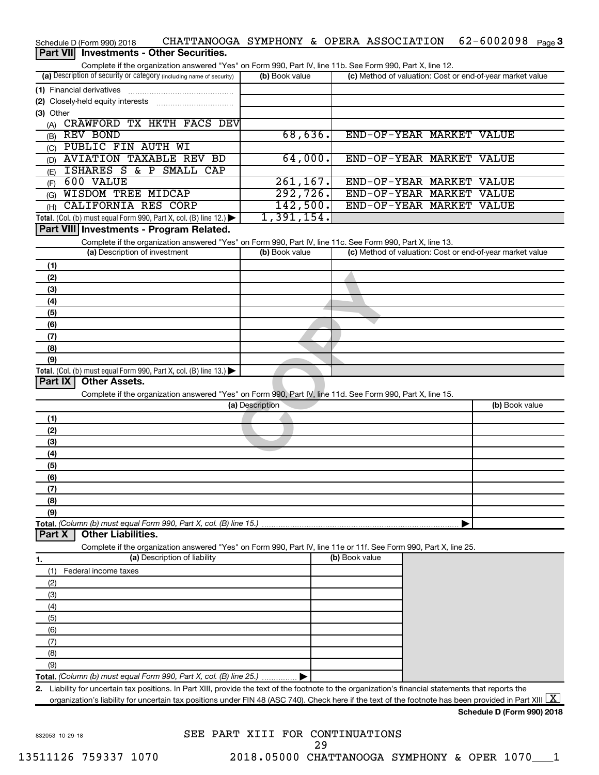| Schedule D (Form 990) 2018                                                                                                                               |                 | CHATTANOOGA SYMPHONY & OPERA ASSOCIATION | 62-6002098<br>Page 3                                      |
|----------------------------------------------------------------------------------------------------------------------------------------------------------|-----------------|------------------------------------------|-----------------------------------------------------------|
| Part VII Investments - Other Securities.                                                                                                                 |                 |                                          |                                                           |
| Complete if the organization answered "Yes" on Form 990, Part IV, line 11b. See Form 990, Part X, line 12.                                               |                 |                                          |                                                           |
| (a) Description of security or category (including name of security)                                                                                     | (b) Book value  |                                          | (c) Method of valuation: Cost or end-of-year market value |
| (1) Financial derivatives                                                                                                                                |                 |                                          |                                                           |
|                                                                                                                                                          |                 |                                          |                                                           |
| (3) Other                                                                                                                                                |                 |                                          |                                                           |
| CRAWFORD TX HKTH FACS DEV<br>(A)                                                                                                                         |                 |                                          |                                                           |
| REV BOND<br>(B)                                                                                                                                          | 68,636.         |                                          | END-OF-YEAR MARKET VALUE                                  |
| PUBLIC FIN AUTH WI<br>(C)                                                                                                                                |                 |                                          |                                                           |
| <b>AVIATION TAXABLE REV BD</b><br>(D)                                                                                                                    | 64,000.         |                                          | END-OF-YEAR MARKET VALUE                                  |
| ISHARES S & P SMALL CAP<br>(E)                                                                                                                           |                 |                                          |                                                           |
| 600 VALUE<br>(F)                                                                                                                                         | 261, 167.       |                                          | END-OF-YEAR MARKET VALUE                                  |
| <b>WISDOM TREE MIDCAP</b><br>(G)                                                                                                                         | 292,726.        |                                          | END-OF-YEAR MARKET VALUE                                  |
| CALIFORNIA RES CORP<br>(H)                                                                                                                               | 142,500.        | END-OF-YEAR MARKET                       | <b>VALUE</b>                                              |
| Total. (Col. (b) must equal Form 990, Part X, col. (B) line 12.) $\blacktriangleright$                                                                   | 1,391,154.      |                                          |                                                           |
| Part VIII Investments - Program Related.                                                                                                                 |                 |                                          |                                                           |
| Complete if the organization answered "Yes" on Form 990, Part IV, line 11c. See Form 990, Part X, line 13.                                               |                 |                                          |                                                           |
| (a) Description of investment                                                                                                                            | (b) Book value  |                                          | (c) Method of valuation: Cost or end-of-year market value |
| (1)                                                                                                                                                      |                 |                                          |                                                           |
| (2)                                                                                                                                                      |                 |                                          |                                                           |
| (3)                                                                                                                                                      |                 |                                          |                                                           |
| (4)                                                                                                                                                      |                 |                                          |                                                           |
| (5)                                                                                                                                                      |                 |                                          |                                                           |
| (6)                                                                                                                                                      |                 |                                          |                                                           |
| (7)                                                                                                                                                      |                 |                                          |                                                           |
| (8)                                                                                                                                                      |                 |                                          |                                                           |
| (9)                                                                                                                                                      |                 |                                          |                                                           |
| Total. (Col. (b) must equal Form 990, Part X, col. (B) line $13.$ )                                                                                      |                 |                                          |                                                           |
| <b>Other Assets.</b><br>Part IX                                                                                                                          |                 |                                          |                                                           |
| Complete if the organization answered "Yes" on Form 990, Part IV, line 11d. See Form 990, Part X, line 15.                                               |                 |                                          |                                                           |
|                                                                                                                                                          | (a) Description |                                          | (b) Book value                                            |
| (1)                                                                                                                                                      |                 |                                          |                                                           |
| (2)                                                                                                                                                      |                 |                                          |                                                           |
| (3)                                                                                                                                                      |                 |                                          |                                                           |
| (4)                                                                                                                                                      |                 |                                          |                                                           |
| (5)                                                                                                                                                      |                 |                                          |                                                           |
| (6)                                                                                                                                                      |                 |                                          |                                                           |
| (7)                                                                                                                                                      |                 |                                          |                                                           |
| (8)                                                                                                                                                      |                 |                                          |                                                           |
| (9)                                                                                                                                                      |                 |                                          |                                                           |
| Total. (Column (b) must equal Form 990, Part X, col. (B) line 15.)                                                                                       |                 |                                          |                                                           |
| <b>Other Liabilities.</b><br>Part X                                                                                                                      |                 |                                          |                                                           |
| Complete if the organization answered "Yes" on Form 990, Part IV, line 11e or 11f. See Form 990, Part X, line 25.                                        |                 |                                          |                                                           |
| (a) Description of liability<br>1.                                                                                                                       |                 | (b) Book value                           |                                                           |
| Federal income taxes<br>(1)                                                                                                                              |                 |                                          |                                                           |
| (2)                                                                                                                                                      |                 |                                          |                                                           |
| (3)                                                                                                                                                      |                 |                                          |                                                           |
| (4)                                                                                                                                                      |                 |                                          |                                                           |
| (5)                                                                                                                                                      |                 |                                          |                                                           |
| (6)                                                                                                                                                      |                 |                                          |                                                           |
| (7)                                                                                                                                                      |                 |                                          |                                                           |
| (8)                                                                                                                                                      |                 |                                          |                                                           |
| (9)                                                                                                                                                      |                 |                                          |                                                           |
| Total. (Column (b) must equal Form 990, Part X, col. (B) line 25.)                                                                                       |                 |                                          |                                                           |
| Liability for uncertain tax positions. In Part XIII, provide the text of the footnote to the organization's financial statements that reports the<br>2.  |                 |                                          |                                                           |
| organization's liability for uncertain tax positions under FIN 48 (ASC 740). Check here if the text of the footnote has been provided in Part XIII $ X $ |                 |                                          |                                                           |
|                                                                                                                                                          |                 |                                          | Schedule D (Form 990) 2018                                |
|                                                                                                                                                          |                 |                                          |                                                           |

832053 10-29-18

SEE PART XIII FOR CONTINUATIONS 13511126 759337 1070 2018.05000 CHATTANOOGA SYMPHONY & OPER 1070\_\_\_1 29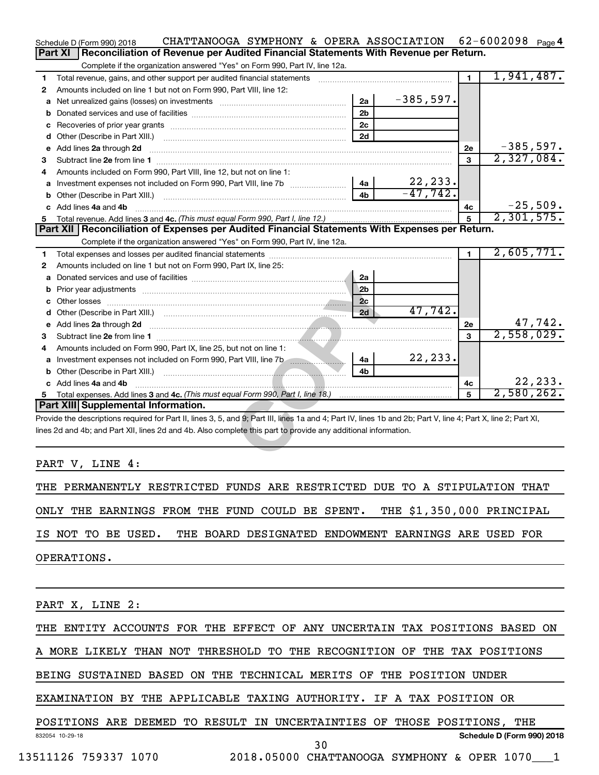|    | CHATTANOOGA SYMPHONY & OPERA ASSOCIATION<br>Schedule D (Form 990) 2018                                                                                         |                |             |                | 62-6002098 $_{Page}$ 4     |  |  |  |
|----|----------------------------------------------------------------------------------------------------------------------------------------------------------------|----------------|-------------|----------------|----------------------------|--|--|--|
|    | Reconciliation of Revenue per Audited Financial Statements With Revenue per Return.<br><b>Part XI</b>                                                          |                |             |                |                            |  |  |  |
|    | Complete if the organization answered "Yes" on Form 990, Part IV, line 12a.                                                                                    |                |             |                |                            |  |  |  |
| 1. | Total revenue, gains, and other support per audited financial statements                                                                                       |                |             | $\mathbf{1}$   | 1,941,487.                 |  |  |  |
| 2  | Amounts included on line 1 but not on Form 990, Part VIII, line 12:                                                                                            |                |             |                |                            |  |  |  |
| a  |                                                                                                                                                                | 2a             | $-385,597.$ |                |                            |  |  |  |
|    |                                                                                                                                                                | 2 <sub>b</sub> |             |                |                            |  |  |  |
|    |                                                                                                                                                                | 2c             |             |                |                            |  |  |  |
|    |                                                                                                                                                                | 2d             |             |                |                            |  |  |  |
|    | e Add lines 2a through 2d                                                                                                                                      |                |             | 2e             | $-385,597.$                |  |  |  |
| 3  |                                                                                                                                                                |                |             | 3              | 2,327,084.                 |  |  |  |
| 4  | Amounts included on Form 990, Part VIII, line 12, but not on line 1:                                                                                           |                |             |                |                            |  |  |  |
|    |                                                                                                                                                                | 4a             | 22, 233.    |                |                            |  |  |  |
|    |                                                                                                                                                                | 4 <sub>b</sub> | $-47,742.$  |                |                            |  |  |  |
|    | c Add lines 4a and 4b                                                                                                                                          |                |             | 4c             | $-25,509.$                 |  |  |  |
|    |                                                                                                                                                                |                |             | 5              | 2,301,575.                 |  |  |  |
|    | Part XII   Reconciliation of Expenses per Audited Financial Statements With Expenses per Return.                                                               |                |             |                |                            |  |  |  |
|    | Complete if the organization answered "Yes" on Form 990, Part IV, line 12a.                                                                                    |                |             |                |                            |  |  |  |
| 1. |                                                                                                                                                                |                |             | $\blacksquare$ | 2,605,771.                 |  |  |  |
| 2  | Amounts included on line 1 but not on Form 990, Part IX, line 25:                                                                                              |                |             |                |                            |  |  |  |
|    |                                                                                                                                                                | 2a             |             |                |                            |  |  |  |
|    | <b>b</b> Prior year adjustments <i>manually contained and a contained a prior year</i> adjustments                                                             | 2 <sub>b</sub> |             |                |                            |  |  |  |
|    |                                                                                                                                                                | 2c             |             |                |                            |  |  |  |
|    |                                                                                                                                                                | 2d             | 47,742.     |                |                            |  |  |  |
|    | e Add lines 2a through 2d                                                                                                                                      |                |             | 2е             | $\frac{47,742}{2,558,029}$ |  |  |  |
| 3  |                                                                                                                                                                |                |             | 3              |                            |  |  |  |
| 4  | Amounts included on Form 990, Part IX, line 25, but not on line 1:                                                                                             |                |             |                |                            |  |  |  |
|    | a Investment expenses not included on Form 990, Part VIII, line 7b                                                                                             | 4a             | 22, 233.    |                |                            |  |  |  |
|    |                                                                                                                                                                | 4 <sub>h</sub> |             |                |                            |  |  |  |
|    | c Add lines 4a and 4b                                                                                                                                          |                |             | 4c             | 22, 233.                   |  |  |  |
|    |                                                                                                                                                                |                |             | $\mathbf{5}$   | 2,580,262.                 |  |  |  |
|    | Part XIII Supplemental Information.                                                                                                                            |                |             |                |                            |  |  |  |
|    | Provide the descriptions required for Part II, lines 3, 5, and 9; Part III, lines 1a and 4; Part IV, lines 1b and 2b; Part V, line 4; Part X, line 2; Part XI, |                |             |                |                            |  |  |  |
|    | lines 2d and 4b; and Part XII, lines 2d and 4b. Also complete this part to provide any additional information.                                                 |                |             |                |                            |  |  |  |
|    |                                                                                                                                                                |                |             |                |                            |  |  |  |
|    |                                                                                                                                                                |                |             |                |                            |  |  |  |

PART V, LINE 4:

THE PERMANENTLY RESTRICTED FUNDS ARE RESTRICTED DUE TO A STIPULATION THAT ONLY THE EARNINGS FROM THE FUND COULD BE SPENT. THE \$1,350,000 PRINCIPAL IS NOT TO BE USED. THE BOARD DESIGNATED ENDOWMENT EARNINGS ARE USED FOR OPERATIONS.

PART X, LINE 2:

THE ENTITY ACCOUNTS FOR THE EFFECT OF ANY UNCERTAIN TAX POSITIONS BASED ON

A MORE LIKELY THAN NOT THRESHOLD TO THE RECOGNITION OF THE TAX POSITIONS

BEING SUSTAINED BASED ON THE TECHNICAL MERITS OF THE POSITION UNDER

EXAMINATION BY THE APPLICABLE TAXING AUTHORITY. IF A TAX POSITION OR

832054 10-29-18 **Schedule D (Form 990) 2018** POSITIONS ARE DEEMED TO RESULT IN UNCERTAINTIES OF THOSE POSITIONS, THE 30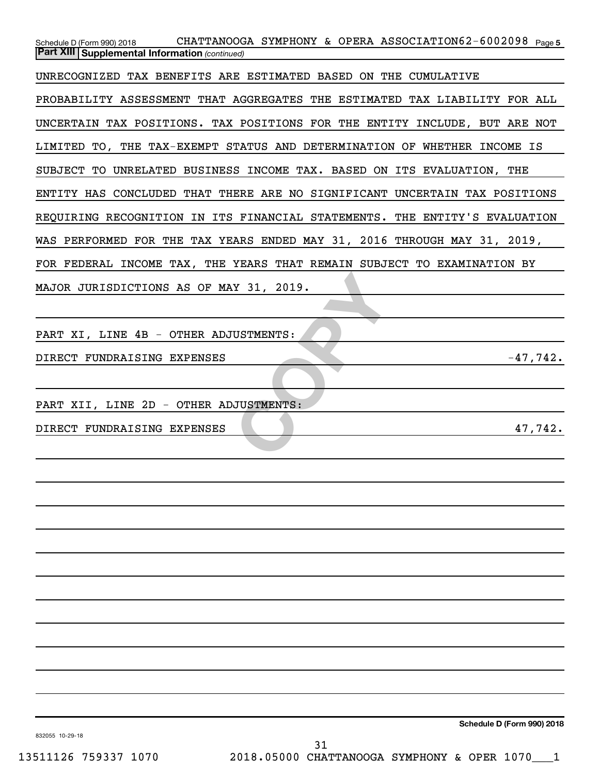| CHATTANOOGA SYMPHONY & OPERA ASSOCIATION62-6002098 Page 5<br>Schedule D (Form 990) 2018 |
|-----------------------------------------------------------------------------------------|
| <b>Part XIII Supplemental Information (continued)</b>                                   |
| UNRECOGNIZED TAX BENEFITS ARE ESTIMATED BASED ON THE CUMULATIVE                         |
| PROBABILITY ASSESSMENT THAT AGGREGATES THE ESTIMATED TAX LIABILITY FOR ALL              |
| UNCERTAIN TAX POSITIONS. TAX POSITIONS FOR THE ENTITY INCLUDE, BUT ARE NOT              |
| LIMITED TO, THE TAX-EXEMPT STATUS AND DETERMINATION OF WHETHER INCOME IS                |
| SUBJECT TO UNRELATED BUSINESS INCOME TAX. BASED ON ITS EVALUATION, THE                  |
| ENTITY HAS CONCLUDED THAT THERE ARE NO SIGNIFICANT UNCERTAIN TAX POSITIONS              |
| REQUIRING RECOGNITION IN ITS FINANCIAL STATEMENTS. THE ENTITY'S EVALUATION              |
| WAS PERFORMED FOR THE TAX YEARS ENDED MAY 31, 2016 THROUGH MAY 31, 2019,                |
| FOR FEDERAL INCOME TAX, THE YEARS THAT REMAIN SUBJECT TO EXAMINATION BY                 |
| MAJOR JURISDICTIONS AS OF MAY 31, 2019.                                                 |
|                                                                                         |
| PART XI, LINE 4B - OTHER ADJUSTMENTS:                                                   |
| DIRECT FUNDRAISING EXPENSES<br>$-47,742.$                                               |
|                                                                                         |
| PART XII, LINE 2D - OTHER ADJUSTMENTS:                                                  |
| 47,742.<br>DIRECT FUNDRAISING EXPENSES                                                  |
|                                                                                         |
|                                                                                         |
|                                                                                         |
|                                                                                         |
|                                                                                         |
|                                                                                         |
|                                                                                         |
|                                                                                         |
|                                                                                         |
|                                                                                         |
|                                                                                         |
|                                                                                         |

**Schedule D (Form 990) 2018**

832055 10-29-18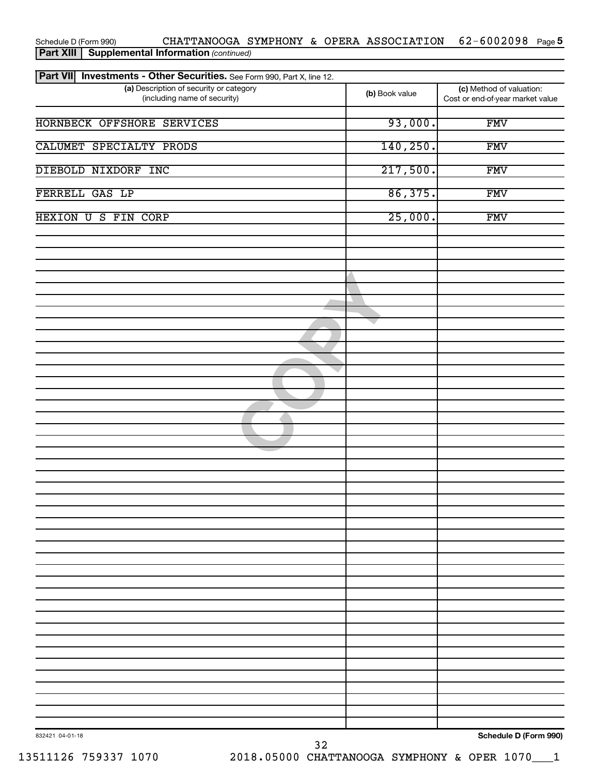| Part VII Investments - Other Securities. See Form 990, Part X, line 12. |                |                                                              |
|-------------------------------------------------------------------------|----------------|--------------------------------------------------------------|
| (a) Description of security or category<br>(including name of security) | (b) Book value | (c) Method of valuation:<br>Cost or end-of-year market value |
| HORNBECK OFFSHORE SERVICES                                              | 93,000.        | <b>FMV</b>                                                   |
| CALUMET SPECIALTY PRODS                                                 | 140, 250.      | <b>FMV</b>                                                   |
| DIEBOLD NIXDORF INC                                                     | 217,500.       | <b>FMV</b>                                                   |
| FERRELL GAS LP                                                          | 86,375.        | <b>FMV</b>                                                   |
| HEXION U S FIN CORP                                                     | 25,000.        | <b>FMV</b>                                                   |
|                                                                         |                |                                                              |
|                                                                         |                |                                                              |
|                                                                         |                |                                                              |
|                                                                         |                |                                                              |
|                                                                         |                |                                                              |
|                                                                         |                |                                                              |
|                                                                         |                |                                                              |
|                                                                         |                |                                                              |
|                                                                         |                |                                                              |
|                                                                         |                |                                                              |
|                                                                         |                |                                                              |
|                                                                         |                |                                                              |
|                                                                         |                |                                                              |
|                                                                         |                |                                                              |
|                                                                         |                |                                                              |
|                                                                         |                |                                                              |
|                                                                         |                |                                                              |
|                                                                         |                |                                                              |
|                                                                         |                |                                                              |
|                                                                         |                |                                                              |
|                                                                         |                |                                                              |
| 832421 04-01-18<br>32                                                   |                | Schedule D (Form 990)                                        |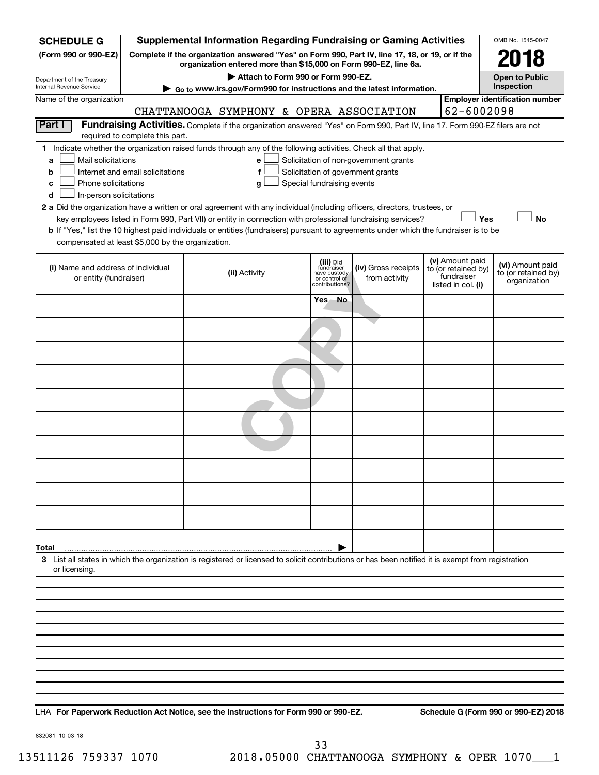| <b>SCHEDULE G</b>                                      |                                  | <b>Supplemental Information Regarding Fundraising or Gaming Activities</b>                                                                         |                                         |    |                                       |                                                      | OMB No. 1545-0047                       |
|--------------------------------------------------------|----------------------------------|----------------------------------------------------------------------------------------------------------------------------------------------------|-----------------------------------------|----|---------------------------------------|------------------------------------------------------|-----------------------------------------|
| (Form 990 or 990-EZ)                                   |                                  | Complete if the organization answered "Yes" on Form 990, Part IV, line 17, 18, or 19, or if the                                                    |                                         |    |                                       |                                                      | 018                                     |
|                                                        |                                  | organization entered more than \$15,000 on Form 990-EZ, line 6a.<br>Attach to Form 990 or Form 990-EZ.                                             |                                         |    |                                       |                                                      | <b>Open to Public</b>                   |
| Department of the Treasury<br>Internal Revenue Service |                                  | Go to www.irs.gov/Form990 for instructions and the latest information.                                                                             |                                         |    |                                       |                                                      | Inspection                              |
| Name of the organization                               |                                  | CHATTANOOGA SYMPHONY & OPERA ASSOCIATION                                                                                                           |                                         |    |                                       | 62-6002098                                           | <b>Employer identification number</b>   |
| Part I                                                 |                                  | Fundraising Activities. Complete if the organization answered "Yes" on Form 990, Part IV, line 17. Form 990-EZ filers are not                      |                                         |    |                                       |                                                      |                                         |
|                                                        | required to complete this part.  |                                                                                                                                                    |                                         |    |                                       |                                                      |                                         |
| Mail solicitations<br>a                                |                                  | 1 Indicate whether the organization raised funds through any of the following activities. Check all that apply.<br>e                               |                                         |    | Solicitation of non-government grants |                                                      |                                         |
| b                                                      | Internet and email solicitations | f                                                                                                                                                  |                                         |    | Solicitation of government grants     |                                                      |                                         |
| Phone solicitations<br>с                               |                                  | g                                                                                                                                                  | Special fundraising events              |    |                                       |                                                      |                                         |
| In-person solicitations<br>d                           |                                  | 2 a Did the organization have a written or oral agreement with any individual (including officers, directors, trustees, or                         |                                         |    |                                       |                                                      |                                         |
|                                                        |                                  | key employees listed in Form 990, Part VII) or entity in connection with professional fundraising services?                                        |                                         |    |                                       | Yes                                                  | <b>No</b>                               |
| compensated at least \$5,000 by the organization.      |                                  | b If "Yes," list the 10 highest paid individuals or entities (fundraisers) pursuant to agreements under which the fundraiser is to be              |                                         |    |                                       |                                                      |                                         |
|                                                        |                                  |                                                                                                                                                    |                                         |    |                                       |                                                      |                                         |
| (i) Name and address of individual                     |                                  | (ii) Activity                                                                                                                                      | (iii) Did<br>fundraiser<br>have custody |    | (iv) Gross receipts                   | (v) Amount paid<br>to (or retained by)<br>fundraiser | (vi) Amount paid<br>to (or retained by) |
| or entity (fundraiser)                                 |                                  |                                                                                                                                                    | or control of<br>contributions?         |    | from activity                         | listed in col. (i)                                   | organization                            |
|                                                        |                                  |                                                                                                                                                    | Yes.                                    | No |                                       |                                                      |                                         |
|                                                        |                                  |                                                                                                                                                    |                                         |    |                                       |                                                      |                                         |
|                                                        |                                  |                                                                                                                                                    |                                         |    |                                       |                                                      |                                         |
|                                                        |                                  |                                                                                                                                                    |                                         |    |                                       |                                                      |                                         |
|                                                        |                                  |                                                                                                                                                    |                                         |    |                                       |                                                      |                                         |
|                                                        |                                  |                                                                                                                                                    |                                         |    |                                       |                                                      |                                         |
|                                                        |                                  |                                                                                                                                                    |                                         |    |                                       |                                                      |                                         |
|                                                        |                                  |                                                                                                                                                    |                                         |    |                                       |                                                      |                                         |
|                                                        |                                  |                                                                                                                                                    |                                         |    |                                       |                                                      |                                         |
|                                                        |                                  |                                                                                                                                                    |                                         |    |                                       |                                                      |                                         |
|                                                        |                                  |                                                                                                                                                    |                                         |    |                                       |                                                      |                                         |
|                                                        |                                  |                                                                                                                                                    |                                         |    |                                       |                                                      |                                         |
|                                                        |                                  |                                                                                                                                                    |                                         |    |                                       |                                                      |                                         |
| Total                                                  |                                  | 3 List all states in which the organization is registered or licensed to solicit contributions or has been notified it is exempt from registration |                                         |    |                                       |                                                      |                                         |
| or licensing                                           |                                  |                                                                                                                                                    |                                         |    |                                       |                                                      |                                         |
|                                                        |                                  |                                                                                                                                                    |                                         |    |                                       |                                                      |                                         |
|                                                        |                                  |                                                                                                                                                    |                                         |    |                                       |                                                      |                                         |
|                                                        |                                  |                                                                                                                                                    |                                         |    |                                       |                                                      |                                         |
|                                                        |                                  |                                                                                                                                                    |                                         |    |                                       |                                                      |                                         |
|                                                        |                                  |                                                                                                                                                    |                                         |    |                                       |                                                      |                                         |
|                                                        |                                  |                                                                                                                                                    |                                         |    |                                       |                                                      |                                         |
|                                                        |                                  |                                                                                                                                                    |                                         |    |                                       |                                                      |                                         |
|                                                        |                                  |                                                                                                                                                    |                                         |    |                                       |                                                      |                                         |

**For Paperwork Reduction Act Notice, see the Instructions for Form 990 or 990-EZ. Schedule G (Form 990 or 990-EZ) 2018** LHA

832081 10-03-18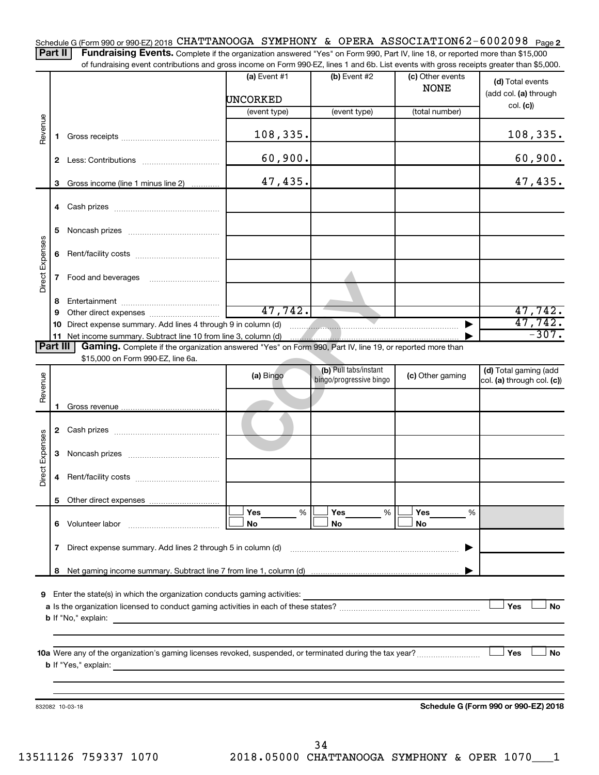Schedule G (Form 990 or 990-EZ) 2018 CHATTANOOGA SYMPHONY & OPERA ASSOCIATION62-6002098 <sub>Page 2</sub>

Part II | Fundraising Events. Complete if the organization answered "Yes" on Form 990, Part IV, line 18, or reported more than \$15,000 of fundraising event contributions and gross income on Form 990-EZ, lines 1 and 6b. List events with gross receipts greater than \$5,000.

|                 |    |                                                                                                                         | (a) Event $#1$<br>UNCORKED                               | $(b)$ Event #2                                   | (c) Other events<br><b>NONE</b> | (d) Total events<br>(add col. (a) through           |
|-----------------|----|-------------------------------------------------------------------------------------------------------------------------|----------------------------------------------------------|--------------------------------------------------|---------------------------------|-----------------------------------------------------|
|                 |    |                                                                                                                         | (event type)                                             | (event type)                                     | (total number)                  | col. (c)                                            |
|                 |    |                                                                                                                         |                                                          |                                                  |                                 |                                                     |
| Revenue         | 1. |                                                                                                                         | 108,335.                                                 |                                                  |                                 | 108,335.                                            |
|                 |    |                                                                                                                         | 60,900.                                                  |                                                  |                                 | 60,900.                                             |
|                 |    | 3 Gross income (line 1 minus line 2)                                                                                    | 47,435.                                                  |                                                  |                                 | 47,435.                                             |
|                 |    |                                                                                                                         |                                                          |                                                  |                                 |                                                     |
|                 | 5. |                                                                                                                         |                                                          |                                                  |                                 |                                                     |
| Direct Expenses | 6  |                                                                                                                         |                                                          |                                                  |                                 |                                                     |
|                 | 7  | Food and beverages                                                                                                      |                                                          |                                                  |                                 |                                                     |
|                 | 8  |                                                                                                                         |                                                          |                                                  |                                 |                                                     |
|                 | 9  |                                                                                                                         | 47,742.                                                  |                                                  |                                 | 47,742.                                             |
|                 | 10 | Direct expense summary. Add lines 4 through 9 in column (d)                                                             |                                                          | $\blacksquare$                                   |                                 | 47,742.<br>$-307.$                                  |
| Part III        |    | Gaming. Complete if the organization answered "Yes" on Form 990, Part IV, line 19, or reported more than                |                                                          |                                                  |                                 |                                                     |
|                 |    | \$15,000 on Form 990-EZ, line 6a.                                                                                       |                                                          |                                                  |                                 |                                                     |
| Revenue         |    |                                                                                                                         | (a) Bingo                                                | (b) Pull tabs/instant<br>bingo/progressive bingo | (c) Other gaming                | (d) Total gaming (add<br>col. (a) through col. (c)) |
|                 |    |                                                                                                                         |                                                          |                                                  |                                 |                                                     |
|                 |    |                                                                                                                         |                                                          |                                                  |                                 |                                                     |
|                 |    |                                                                                                                         |                                                          |                                                  |                                 |                                                     |
| Direct Expenses | 3  |                                                                                                                         |                                                          |                                                  |                                 |                                                     |
|                 | 4  |                                                                                                                         |                                                          |                                                  |                                 |                                                     |
|                 |    |                                                                                                                         |                                                          |                                                  |                                 |                                                     |
|                 |    |                                                                                                                         | Yes<br>%                                                 | Yes<br>%                                         | Yes<br>%                        |                                                     |
|                 | 6. | Volunteer labor                                                                                                         | No                                                       | No                                               | No                              |                                                     |
|                 | 7  | Direct expense summary. Add lines 2 through 5 in column (d)                                                             |                                                          |                                                  |                                 |                                                     |
|                 | 8  |                                                                                                                         |                                                          |                                                  |                                 |                                                     |
|                 |    |                                                                                                                         |                                                          |                                                  |                                 |                                                     |
| 9               |    | Enter the state(s) in which the organization conducts gaming activities:                                                |                                                          |                                                  |                                 |                                                     |
|                 |    |                                                                                                                         |                                                          |                                                  |                                 | Yes<br><b>No</b>                                    |
|                 |    | <b>b</b> If "No," explain:<br>the control of the control of the control of the control of the control of the control of |                                                          |                                                  |                                 |                                                     |
|                 |    |                                                                                                                         |                                                          |                                                  |                                 |                                                     |
|                 |    | <b>b</b> If "Yes," explain:                                                                                             | <u> 1980 - Johann John Stein, marwolaethau (b. 1980)</u> |                                                  |                                 | Yes<br>No                                           |
|                 |    |                                                                                                                         |                                                          |                                                  |                                 |                                                     |
|                 |    |                                                                                                                         |                                                          |                                                  |                                 |                                                     |
|                 |    | 832082 10-03-18                                                                                                         |                                                          |                                                  |                                 | Schedule G (Form 990 or 990-EZ) 2018                |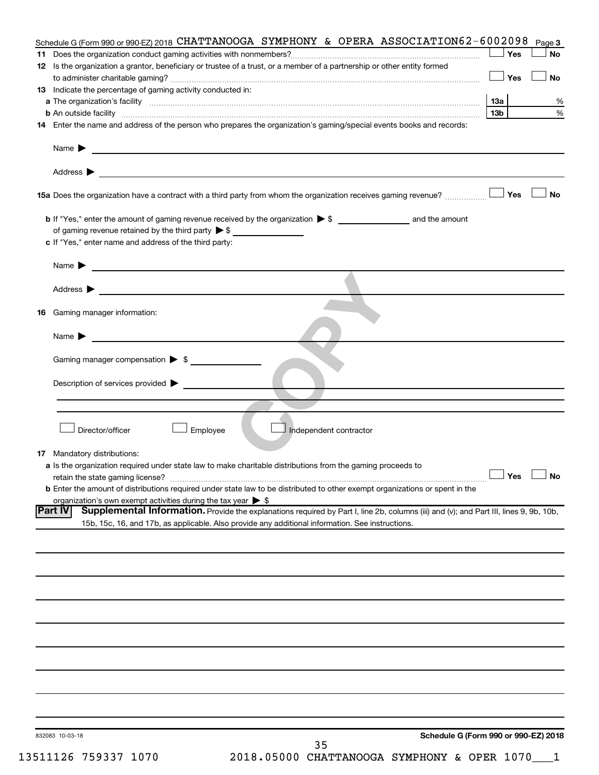| Schedule G (Form 990 or 990-EZ) 2018 CHATTANOOGA SYMPHONY & OPERA ASSOCIATION62-6002098                                                                                                                                                                               |                 | Page 3               |
|-----------------------------------------------------------------------------------------------------------------------------------------------------------------------------------------------------------------------------------------------------------------------|-----------------|----------------------|
|                                                                                                                                                                                                                                                                       | Yes             | <b>No</b>            |
| 12 Is the organization a grantor, beneficiary or trustee of a trust, or a member of a partnership or other entity formed                                                                                                                                              | Yes             | <b>No</b>            |
| 13 Indicate the percentage of gaming activity conducted in:                                                                                                                                                                                                           |                 |                      |
|                                                                                                                                                                                                                                                                       | 1За             | %                    |
| <b>b</b> An outside facility <i>www.communicality www.communicality.communicality www.communicality www.communicality.communicality www.communicality.com</i>                                                                                                         | 13 <sub>b</sub> | %                    |
| 14 Enter the name and address of the person who prepares the organization's gaming/special events books and records:                                                                                                                                                  |                 |                      |
| Name $\blacktriangleright$<br><u>and the contract of the contract of the contract of the contract of the contract of the contract of the contract of</u>                                                                                                              |                 |                      |
| Address $\blacktriangleright$                                                                                                                                                                                                                                         |                 |                      |
|                                                                                                                                                                                                                                                                       |                 | <b>No</b>            |
| of gaming revenue retained by the third party $\triangleright$ \$                                                                                                                                                                                                     |                 |                      |
| c If "Yes," enter name and address of the third party:                                                                                                                                                                                                                |                 |                      |
| <u> 1989 - Johann Barbara, martin amerikan basal dan berasal dalam basal dalam basal dalam basal dalam basal dala</u><br>Name $\blacktriangleright$                                                                                                                   |                 |                      |
| Address $\blacktriangleright$<br><u>and the state of the state of the state of the state of the state of the state of the state of the state of the state of the state of the state of the state of the state of the state of the state of the state of the state</u> |                 |                      |
| Gaming manager information:<br>16                                                                                                                                                                                                                                     |                 |                      |
| <u> 1989 - Johann Barbara, martxa al</u><br>Name $\blacktriangleright$                                                                                                                                                                                                |                 |                      |
| Gaming manager compensation > \$                                                                                                                                                                                                                                      |                 |                      |
| Description of services provided >                                                                                                                                                                                                                                    |                 |                      |
|                                                                                                                                                                                                                                                                       |                 |                      |
| Director/officer<br>Employee<br>Independent contractor                                                                                                                                                                                                                |                 |                      |
| <b>17</b> Mandatory distributions:                                                                                                                                                                                                                                    |                 |                      |
| a Is the organization required under state law to make charitable distributions from the gaming proceeds to<br>retain the state gaming license?                                                                                                                       |                 | $\Box$ Yes $\Box$ No |
| <b>b</b> Enter the amount of distributions required under state law to be distributed to other exempt organizations or spent in the<br>organization's own exempt activities during the tax year $\triangleright$ \$                                                   |                 |                      |
| <b>Part IV</b><br>Supplemental Information. Provide the explanations required by Part I, line 2b, columns (iii) and (v); and Part III, lines 9, 9b, 10b,                                                                                                              |                 |                      |
| 15b, 15c, 16, and 17b, as applicable. Also provide any additional information. See instructions.                                                                                                                                                                      |                 |                      |
|                                                                                                                                                                                                                                                                       |                 |                      |
|                                                                                                                                                                                                                                                                       |                 |                      |
|                                                                                                                                                                                                                                                                       |                 |                      |
|                                                                                                                                                                                                                                                                       |                 |                      |
|                                                                                                                                                                                                                                                                       |                 |                      |
|                                                                                                                                                                                                                                                                       |                 |                      |
|                                                                                                                                                                                                                                                                       |                 |                      |
|                                                                                                                                                                                                                                                                       |                 |                      |
| Schedule G (Form 990 or 990-EZ) 2018<br>832083 10-03-18<br>n r                                                                                                                                                                                                        |                 |                      |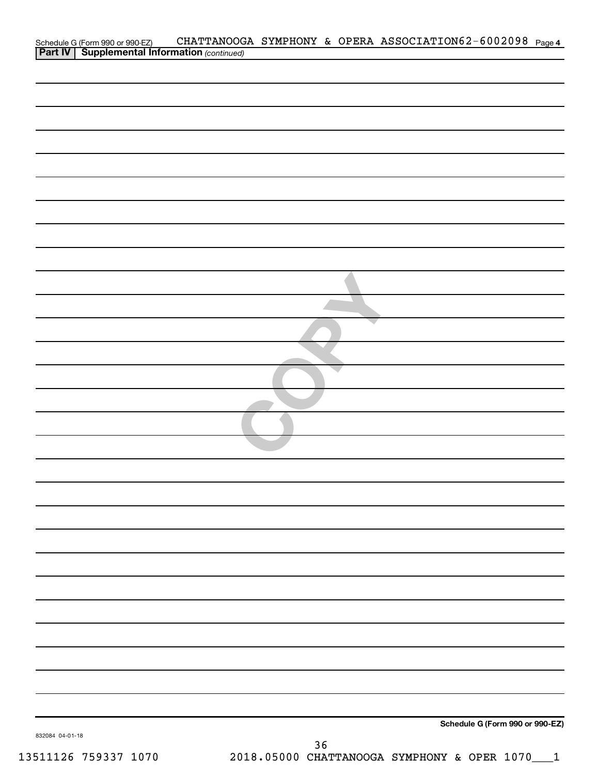| Schedule G (Form 990 or 990-EZ) CHATTANOOG.<br><b>Part IV   Supplemental Information</b> (continued) |  | CHATTANOOGA SYMPHONY & OPERA ASSOCIATION62-6002098 Page 4 |  |
|------------------------------------------------------------------------------------------------------|--|-----------------------------------------------------------|--|
|                                                                                                      |  |                                                           |  |
|                                                                                                      |  |                                                           |  |
|                                                                                                      |  |                                                           |  |
|                                                                                                      |  |                                                           |  |
|                                                                                                      |  |                                                           |  |
|                                                                                                      |  |                                                           |  |
|                                                                                                      |  |                                                           |  |
|                                                                                                      |  |                                                           |  |
|                                                                                                      |  |                                                           |  |
|                                                                                                      |  |                                                           |  |
|                                                                                                      |  |                                                           |  |
|                                                                                                      |  |                                                           |  |
|                                                                                                      |  |                                                           |  |
|                                                                                                      |  |                                                           |  |
|                                                                                                      |  |                                                           |  |
|                                                                                                      |  |                                                           |  |
|                                                                                                      |  |                                                           |  |
|                                                                                                      |  |                                                           |  |
|                                                                                                      |  |                                                           |  |
|                                                                                                      |  |                                                           |  |
|                                                                                                      |  |                                                           |  |
|                                                                                                      |  |                                                           |  |
|                                                                                                      |  |                                                           |  |
|                                                                                                      |  |                                                           |  |
|                                                                                                      |  |                                                           |  |
|                                                                                                      |  |                                                           |  |
|                                                                                                      |  |                                                           |  |
|                                                                                                      |  |                                                           |  |
|                                                                                                      |  |                                                           |  |
|                                                                                                      |  |                                                           |  |
|                                                                                                      |  |                                                           |  |
|                                                                                                      |  |                                                           |  |
|                                                                                                      |  |                                                           |  |
|                                                                                                      |  |                                                           |  |
|                                                                                                      |  |                                                           |  |
|                                                                                                      |  |                                                           |  |
|                                                                                                      |  |                                                           |  |
|                                                                                                      |  |                                                           |  |
|                                                                                                      |  |                                                           |  |
|                                                                                                      |  |                                                           |  |
|                                                                                                      |  |                                                           |  |
|                                                                                                      |  |                                                           |  |
|                                                                                                      |  |                                                           |  |
|                                                                                                      |  | Schedule G (Form 990 or 990-EZ)                           |  |
| 832084 04-01-18                                                                                      |  |                                                           |  |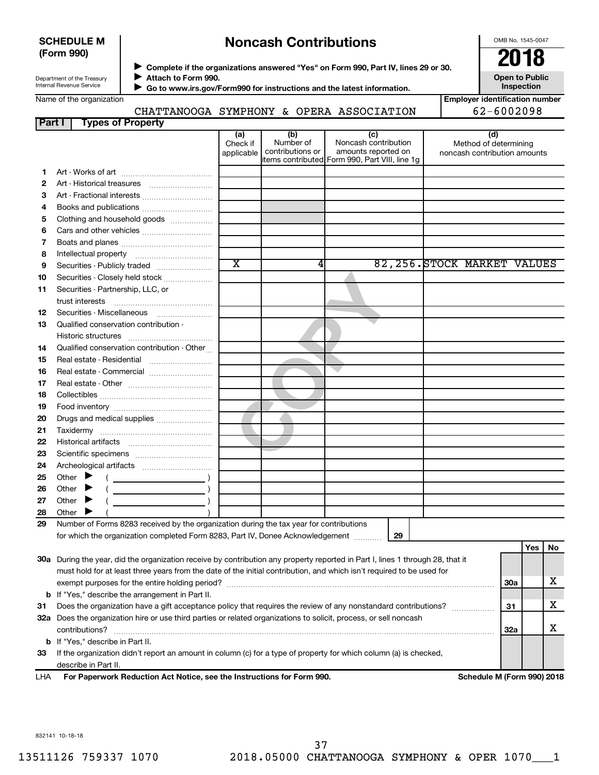### **SCHEDULE M (Form 990)**

# **Noncash Contributions**

OMB No. 1545-0047

| Department of the Treasury |
|----------------------------|
| Internal Revenue Service   |
|                            |

◆ Complete if the organizations answered "Yes" on Form 990, Part IV, lines 29 or 30.<br>▶ Complete if the organizations answered "Yes" on Form 990, Part IV, lines 29 or 30. **Attach to Form 990.**  $\blacktriangleright$ 

**Open to Public Inspection**

CHATTANOOGA SYMPHONY & OPERA ASSOCIATION 62-6002098

 **Go to www.irs.gov/Form990 for instructions and the latest information.** J

| <b>Employer identification number</b> |
|---------------------------------------|
| 62-6002098                            |

| Part I | <b>Types of Property</b>                                                                                                                                                                                                                                                                                                                                                                                                                                                                                                                                                |                       |                               |                                                 |                              |            |     |    |
|--------|-------------------------------------------------------------------------------------------------------------------------------------------------------------------------------------------------------------------------------------------------------------------------------------------------------------------------------------------------------------------------------------------------------------------------------------------------------------------------------------------------------------------------------------------------------------------------|-----------------------|-------------------------------|-------------------------------------------------|------------------------------|------------|-----|----|
|        |                                                                                                                                                                                                                                                                                                                                                                                                                                                                                                                                                                         | (a)                   | (b)                           | (c)                                             | (d)                          |            |     |    |
|        |                                                                                                                                                                                                                                                                                                                                                                                                                                                                                                                                                                         | Check if              | Number of<br>contributions or | Noncash contribution<br>amounts reported on     | Method of determining        |            |     |    |
|        |                                                                                                                                                                                                                                                                                                                                                                                                                                                                                                                                                                         | applicable            |                               | litems contributed Form 990, Part VIII, line 1g | noncash contribution amounts |            |     |    |
| 1      |                                                                                                                                                                                                                                                                                                                                                                                                                                                                                                                                                                         |                       |                               |                                                 |                              |            |     |    |
| 2      |                                                                                                                                                                                                                                                                                                                                                                                                                                                                                                                                                                         |                       |                               |                                                 |                              |            |     |    |
| 3      | Art - Fractional interests                                                                                                                                                                                                                                                                                                                                                                                                                                                                                                                                              |                       |                               |                                                 |                              |            |     |    |
| 4      | Books and publications                                                                                                                                                                                                                                                                                                                                                                                                                                                                                                                                                  |                       |                               |                                                 |                              |            |     |    |
| 5      | Clothing and household goods                                                                                                                                                                                                                                                                                                                                                                                                                                                                                                                                            |                       |                               |                                                 |                              |            |     |    |
| 6      |                                                                                                                                                                                                                                                                                                                                                                                                                                                                                                                                                                         |                       |                               |                                                 |                              |            |     |    |
| 7      |                                                                                                                                                                                                                                                                                                                                                                                                                                                                                                                                                                         |                       |                               |                                                 |                              |            |     |    |
| 8      |                                                                                                                                                                                                                                                                                                                                                                                                                                                                                                                                                                         |                       |                               |                                                 |                              |            |     |    |
| 9      | Securities - Publicly traded                                                                                                                                                                                                                                                                                                                                                                                                                                                                                                                                            | $\overline{\text{x}}$ | 4                             |                                                 | 82, 256. STOCK MARKET VALUES |            |     |    |
| 10     | Securities - Closely held stock                                                                                                                                                                                                                                                                                                                                                                                                                                                                                                                                         |                       |                               |                                                 |                              |            |     |    |
| 11     | Securities - Partnership, LLC, or                                                                                                                                                                                                                                                                                                                                                                                                                                                                                                                                       |                       |                               |                                                 |                              |            |     |    |
|        | $\begin{minipage}{0.5\textwidth} \centering \begin{minipage}{0.5\textwidth} \centering \centering \end{minipage} \begin{minipage}{0.5\textwidth} \centering \centering \end{minipage} \begin{minipage}{0.5\textwidth} \centering \centering \end{minipage} \begin{minipage}{0.5\textwidth} \centering \begin{minipage}{0.5\textwidth} \centering \centering \end{minipage} \end{minipage} \begin{minipage}{0.5\textwidth} \centering \end{minipage} \begin{minipage}{0.5\textwidth} \centering \end{minipage} \begin{minipage}{0.5\textwidth} \centering \end{minipage$ |                       |                               |                                                 |                              |            |     |    |
| 12     | Securities - Miscellaneous                                                                                                                                                                                                                                                                                                                                                                                                                                                                                                                                              |                       |                               |                                                 |                              |            |     |    |
| 13     | Qualified conservation contribution -                                                                                                                                                                                                                                                                                                                                                                                                                                                                                                                                   |                       |                               |                                                 |                              |            |     |    |
|        |                                                                                                                                                                                                                                                                                                                                                                                                                                                                                                                                                                         |                       |                               |                                                 |                              |            |     |    |
| 14     | Qualified conservation contribution - Other                                                                                                                                                                                                                                                                                                                                                                                                                                                                                                                             |                       |                               |                                                 |                              |            |     |    |
| 15     | Real estate - Residential                                                                                                                                                                                                                                                                                                                                                                                                                                                                                                                                               |                       |                               |                                                 |                              |            |     |    |
| 16     | Real estate - Commercial                                                                                                                                                                                                                                                                                                                                                                                                                                                                                                                                                |                       |                               |                                                 |                              |            |     |    |
| 17     |                                                                                                                                                                                                                                                                                                                                                                                                                                                                                                                                                                         |                       |                               |                                                 |                              |            |     |    |
| 18     |                                                                                                                                                                                                                                                                                                                                                                                                                                                                                                                                                                         |                       |                               |                                                 |                              |            |     |    |
| 19     |                                                                                                                                                                                                                                                                                                                                                                                                                                                                                                                                                                         |                       |                               |                                                 |                              |            |     |    |
| 20     | Drugs and medical supplies                                                                                                                                                                                                                                                                                                                                                                                                                                                                                                                                              |                       |                               |                                                 |                              |            |     |    |
| 21     |                                                                                                                                                                                                                                                                                                                                                                                                                                                                                                                                                                         |                       |                               |                                                 |                              |            |     |    |
| 22     |                                                                                                                                                                                                                                                                                                                                                                                                                                                                                                                                                                         |                       |                               |                                                 |                              |            |     |    |
| 23     |                                                                                                                                                                                                                                                                                                                                                                                                                                                                                                                                                                         |                       |                               |                                                 |                              |            |     |    |
| 24     |                                                                                                                                                                                                                                                                                                                                                                                                                                                                                                                                                                         |                       |                               |                                                 |                              |            |     |    |
| 25     | Other $\blacktriangleright$                                                                                                                                                                                                                                                                                                                                                                                                                                                                                                                                             |                       |                               |                                                 |                              |            |     |    |
| 26     | Other $\blacktriangleright$                                                                                                                                                                                                                                                                                                                                                                                                                                                                                                                                             |                       |                               |                                                 |                              |            |     |    |
| 27     | Other $\blacktriangleright$                                                                                                                                                                                                                                                                                                                                                                                                                                                                                                                                             |                       |                               |                                                 |                              |            |     |    |
| 28     | Other $\blacktriangleright$                                                                                                                                                                                                                                                                                                                                                                                                                                                                                                                                             |                       |                               |                                                 |                              |            |     |    |
| 29     | Number of Forms 8283 received by the organization during the tax year for contributions                                                                                                                                                                                                                                                                                                                                                                                                                                                                                 |                       |                               |                                                 |                              |            |     |    |
|        | for which the organization completed Form 8283, Part IV, Donee Acknowledgement                                                                                                                                                                                                                                                                                                                                                                                                                                                                                          |                       |                               | 29                                              |                              |            |     |    |
|        |                                                                                                                                                                                                                                                                                                                                                                                                                                                                                                                                                                         |                       |                               |                                                 |                              |            | Yes | No |
|        | 30a During the year, did the organization receive by contribution any property reported in Part I, lines 1 through 28, that it                                                                                                                                                                                                                                                                                                                                                                                                                                          |                       |                               |                                                 |                              |            |     |    |
|        | must hold for at least three years from the date of the initial contribution, and which isn't required to be used for                                                                                                                                                                                                                                                                                                                                                                                                                                                   |                       |                               |                                                 |                              |            |     |    |
|        |                                                                                                                                                                                                                                                                                                                                                                                                                                                                                                                                                                         |                       |                               |                                                 |                              | <b>30a</b> |     | х  |
|        | <b>b</b> If "Yes," describe the arrangement in Part II.                                                                                                                                                                                                                                                                                                                                                                                                                                                                                                                 |                       |                               |                                                 |                              |            |     |    |
| 31     | Does the organization have a gift acceptance policy that requires the review of any nonstandard contributions?                                                                                                                                                                                                                                                                                                                                                                                                                                                          |                       |                               |                                                 |                              | 31         |     | х  |
|        | 32a Does the organization hire or use third parties or related organizations to solicit, process, or sell noncash                                                                                                                                                                                                                                                                                                                                                                                                                                                       |                       |                               |                                                 |                              |            |     |    |
|        | contributions?                                                                                                                                                                                                                                                                                                                                                                                                                                                                                                                                                          |                       |                               |                                                 |                              | <b>32a</b> |     | х  |
|        | <b>b</b> If "Yes," describe in Part II.                                                                                                                                                                                                                                                                                                                                                                                                                                                                                                                                 |                       |                               |                                                 |                              |            |     |    |
| 33     | If the organization didn't report an amount in column (c) for a type of property for which column (a) is checked,                                                                                                                                                                                                                                                                                                                                                                                                                                                       |                       |                               |                                                 |                              |            |     |    |

describe in Part II.

**For Paperwork Reduction Act Notice, see the Instructions for Form 990. Schedule M (Form 990) 2018** LHA

832141 10-18-18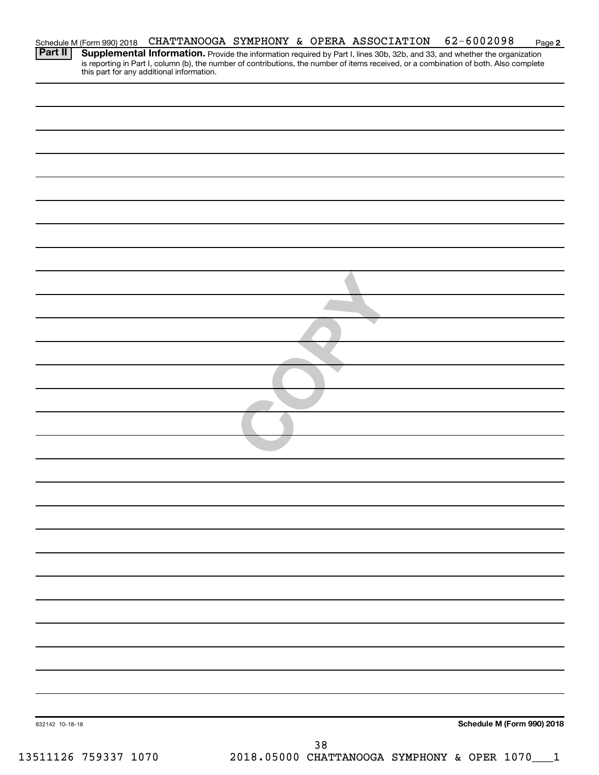| Schedule M (Form 990) 2018 |                                           |    | CHATTANOOGA SYMPHONY & OPERA ASSOCIATION | 62-6002098                                                                                                                                                                                                                                                           | Page 2 |
|----------------------------|-------------------------------------------|----|------------------------------------------|----------------------------------------------------------------------------------------------------------------------------------------------------------------------------------------------------------------------------------------------------------------------|--------|
| Part II                    | this part for any additional information. |    |                                          | Supplemental Information. Provide the information required by Part I, lines 30b, 32b, and 33, and whether the organization<br>is reporting in Part I, column (b), the number of contributions, the number of items received, or a combination of both. Also complete |        |
|                            |                                           |    |                                          |                                                                                                                                                                                                                                                                      |        |
|                            |                                           |    |                                          |                                                                                                                                                                                                                                                                      |        |
|                            |                                           |    |                                          |                                                                                                                                                                                                                                                                      |        |
|                            |                                           |    |                                          |                                                                                                                                                                                                                                                                      |        |
|                            |                                           |    |                                          |                                                                                                                                                                                                                                                                      |        |
|                            |                                           |    |                                          |                                                                                                                                                                                                                                                                      |        |
|                            |                                           |    |                                          |                                                                                                                                                                                                                                                                      |        |
|                            |                                           |    |                                          |                                                                                                                                                                                                                                                                      |        |
|                            |                                           |    |                                          |                                                                                                                                                                                                                                                                      |        |
|                            |                                           |    |                                          |                                                                                                                                                                                                                                                                      |        |
|                            |                                           |    |                                          |                                                                                                                                                                                                                                                                      |        |
|                            |                                           |    |                                          |                                                                                                                                                                                                                                                                      |        |
|                            |                                           |    |                                          |                                                                                                                                                                                                                                                                      |        |
|                            |                                           |    |                                          |                                                                                                                                                                                                                                                                      |        |
|                            |                                           |    |                                          |                                                                                                                                                                                                                                                                      |        |
|                            |                                           |    |                                          |                                                                                                                                                                                                                                                                      |        |
|                            |                                           |    |                                          |                                                                                                                                                                                                                                                                      |        |
|                            |                                           |    |                                          |                                                                                                                                                                                                                                                                      |        |
|                            |                                           |    |                                          |                                                                                                                                                                                                                                                                      |        |
|                            |                                           |    |                                          |                                                                                                                                                                                                                                                                      |        |
|                            |                                           |    |                                          |                                                                                                                                                                                                                                                                      |        |
|                            |                                           |    |                                          |                                                                                                                                                                                                                                                                      |        |
|                            |                                           |    |                                          |                                                                                                                                                                                                                                                                      |        |
|                            |                                           |    |                                          |                                                                                                                                                                                                                                                                      |        |
| 832142 10-18-18            |                                           |    |                                          | Schedule M (Form 990) 2018                                                                                                                                                                                                                                           |        |
| 13511126 759337 1070       |                                           | 38 |                                          | 2018.05000 CHATTANOOGA SYMPHONY & OPER 1070___1                                                                                                                                                                                                                      |        |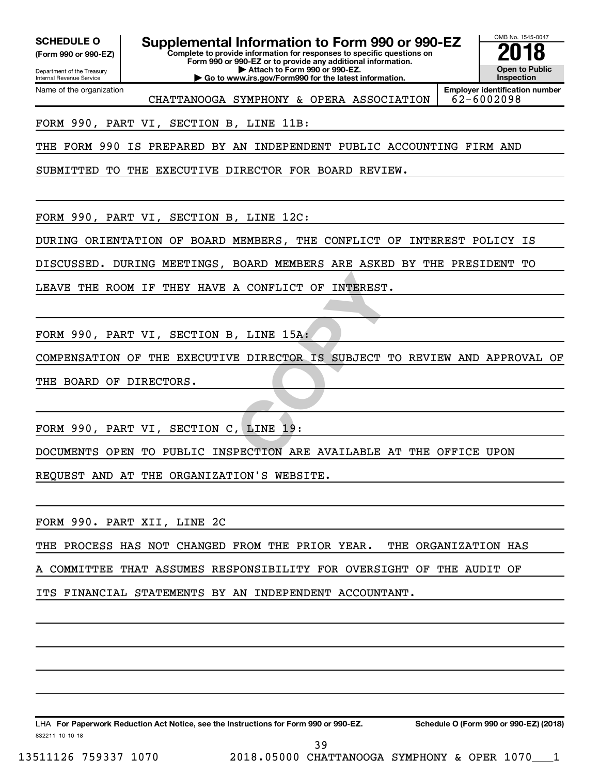Department of the Treasury **(Form 990 or 990-EZ)**

Name of the organization

Internal Revenue Service

SCHEDULE O **Supplemental Information to Form 990 or 990-EZ 2018**<br>(Form 990 or 990-EZ) **2018** 

**Complete to provide information for responses to specific questions on Form 990 or 990-EZ or to provide any additional information. | Attach to Form 990 or 990-EZ. | Go to www.irs.gov/Form990 for the latest information.**

OMB No. 1545-0047 **Open to Public Inspection**

CHATTANOOGA SYMPHONY & OPERA ASSOCIATION  $\vert$  62-6002098

**Employer identification number**

FORM 990, PART VI, SECTION B, LINE 11B:

THE FORM 990 IS PREPARED BY AN INDEPENDENT PUBLIC ACCOUNTING FIRM AND

SUBMITTED TO THE EXECUTIVE DIRECTOR FOR BOARD REVIEW.

FORM 990, PART VI, SECTION B, LINE 12C:

DURING ORIENTATION OF BOARD MEMBERS, THE CONFLICT OF INTEREST POLICY IS

DISCUSSED. DURING MEETINGS, BOARD MEMBERS ARE ASKED BY THE PRESIDENT TO

LEAVE THE ROOM IF THEY HAVE A CONFLICT OF INTEREST.

FORM 990, PART VI, SECTION B, LINE 15A:

**A CONFLICT OF INTEREST.<br>
, LINE 15A:<br>
E DIRECTOR IS SUBJECT TO RE<br>
, LINE 19:<br>
PECTION ARE AVAILABLE AT TH** COMPENSATION OF THE EXECUTIVE DIRECTOR IS SUBJECT TO REVIEW AND APPROVAL OF THE BOARD OF DIRECTORS.

FORM 990, PART VI, SECTION C, LINE 19:

DOCUMENTS OPEN TO PUBLIC INSPECTION ARE AVAILABLE AT THE OFFICE UPON

REQUEST AND AT THE ORGANIZATION'S WEBSITE.

FORM 990. PART XII, LINE 2C

THE PROCESS HAS NOT CHANGED FROM THE PRIOR YEAR. THE ORGANIZATION HAS

COMMITTEE THAT ASSUMES RESPONSIBILITY FOR OVERSIGHT OF THE AUDIT OF

ITS FINANCIAL STATEMENTS BY AN INDEPENDENT ACCOUNTANT.

832211 10-10-18 LHA For Paperwork Reduction Act Notice, see the Instructions for Form 990 or 990-EZ. Schedule O (Form 990 or 990-EZ) (2018)

39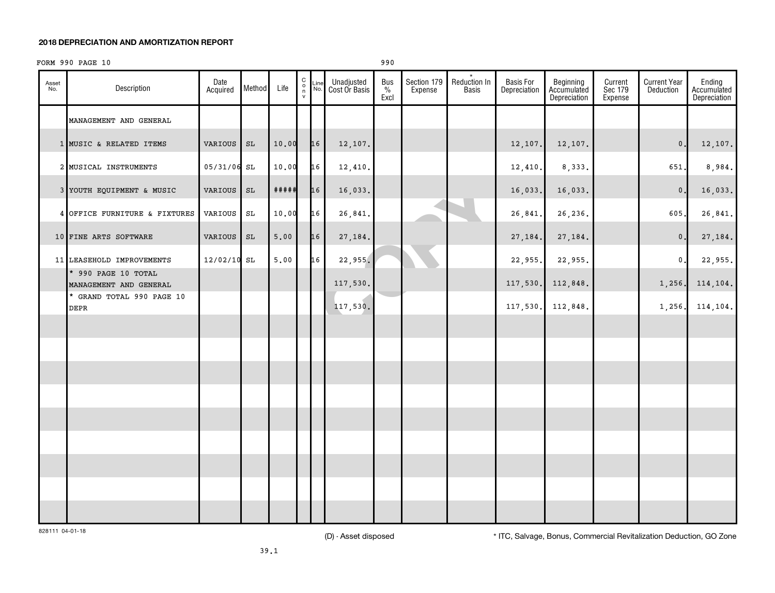#### **2018 DEPRECIATION AND AMORTIZATION REPORT**

## FORM 990 PAGE 10 990

| Asset<br>No. | Description                                   | Date<br>Acquired | Method              | Life        | $\begin{smallmatrix} 0 \\ 0 \\ 7 \end{smallmatrix}$ | Line<br>No. | Unadjusted<br>Cost Or Basis | Bus<br>$\%$<br>Excl | Section 179<br>Expense | Reduction In<br><b>Basis</b> | <b>Basis For</b><br>Depreciation | Beginning<br>Accumulated<br>Depreciation | Current<br>Sec 179<br>Expense | <b>Current Year</b><br>Deduction | Ending<br>Accumulated<br>Depreciation |
|--------------|-----------------------------------------------|------------------|---------------------|-------------|-----------------------------------------------------|-------------|-----------------------------|---------------------|------------------------|------------------------------|----------------------------------|------------------------------------------|-------------------------------|----------------------------------|---------------------------------------|
|              | MANAGEMENT AND GENERAL                        |                  |                     |             |                                                     |             |                             |                     |                        |                              |                                  |                                          |                               |                                  |                                       |
|              | 1 MUSIC & RELATED ITEMS                       | VARIOUS          | $\operatorname{SL}$ | 10.00       |                                                     | 16          | 12,107.                     |                     |                        |                              | 12,107.                          | 12,107.                                  |                               | $\mathbf 0$ .                    | 12,107.                               |
|              | 2 MUSICAL INSTRUMENTS                         | 05/31/06 SL      |                     | 10.00       |                                                     | 16          | 12,410.                     |                     |                        |                              | 12,410.                          | 8,333.                                   |                               | 651                              | 8,984.                                |
|              | 3 YOUTH EQUIPMENT & MUSIC                     | <b>VARIOUS</b>   | $\operatorname{SL}$ | $***$ # # # |                                                     | 16          | 16,033.                     |                     |                        |                              | 16,033.                          | 16,033.                                  |                               | $\mathbf 0$                      | 16,033.                               |
|              | 4 OFFICE FURNITURE & FIXTURES                 | VARIOUS          | SL                  | 10.00       |                                                     | 16          | 26,841.                     |                     |                        |                              | 26,841.                          | 26,236.                                  |                               | 605.                             | 26,841.                               |
|              | 10 FINE ARTS SOFTWARE                         | VARIOUS          | $\operatorname{SL}$ | 5.00        |                                                     | 16          | 27,184.                     |                     |                        |                              | 27,184.                          | 27, 184.                                 |                               | $\mathsf{0}$ .                   | 27,184.                               |
|              | 11 LEASEHOLD IMPROVEMENTS                     | 12/02/10 SL      |                     | 5.00        |                                                     | 16          | 22,955.                     |                     |                        |                              | 22,955.                          | 22,955.                                  |                               | $\mathbf 0$ .                    | 22,955.                               |
|              | * 990 PAGE 10 TOTAL<br>MANAGEMENT AND GENERAL |                  |                     |             |                                                     |             | 117,530.                    |                     |                        |                              | 117,530.                         | 112,848.                                 |                               | 1,256.                           | 114,104.                              |
|              | * GRAND TOTAL 990 PAGE 10<br>DEPR             |                  |                     |             |                                                     |             | 117,530.                    |                     |                        |                              | 117,530.                         | 112,848.                                 |                               | 1,256.                           | 114,104.                              |
|              |                                               |                  |                     |             |                                                     |             |                             |                     |                        |                              |                                  |                                          |                               |                                  |                                       |
|              |                                               |                  |                     |             |                                                     |             |                             |                     |                        |                              |                                  |                                          |                               |                                  |                                       |
|              |                                               |                  |                     |             |                                                     |             |                             |                     |                        |                              |                                  |                                          |                               |                                  |                                       |
|              |                                               |                  |                     |             |                                                     |             |                             |                     |                        |                              |                                  |                                          |                               |                                  |                                       |
|              |                                               |                  |                     |             |                                                     |             |                             |                     |                        |                              |                                  |                                          |                               |                                  |                                       |
|              |                                               |                  |                     |             |                                                     |             |                             |                     |                        |                              |                                  |                                          |                               |                                  |                                       |
|              |                                               |                  |                     |             |                                                     |             |                             |                     |                        |                              |                                  |                                          |                               |                                  |                                       |
|              |                                               |                  |                     |             |                                                     |             |                             |                     |                        |                              |                                  |                                          |                               |                                  |                                       |
|              |                                               |                  |                     |             |                                                     |             |                             |                     |                        |                              |                                  |                                          |                               |                                  |                                       |

828111 04-01-18

(D) - Asset disposed \* ITC, Salvage, Bonus, Commercial Revitalization Deduction, GO Zone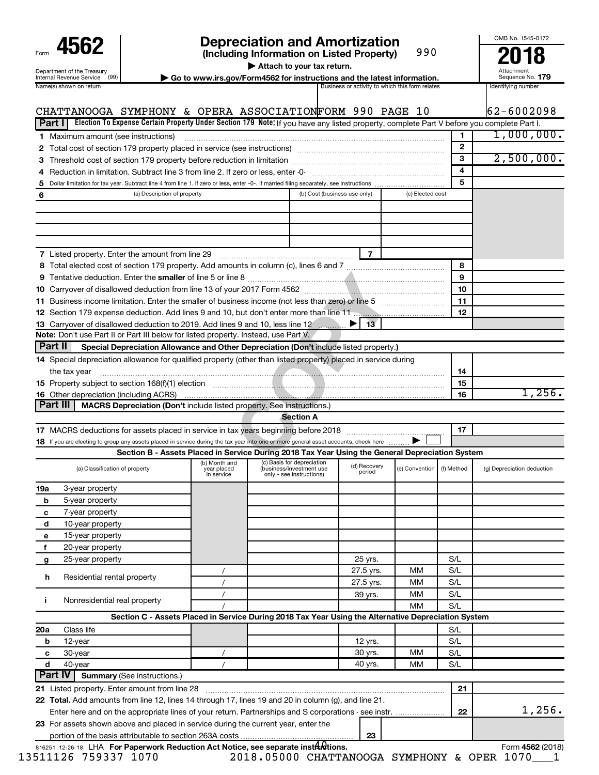| Form                                                   |
|--------------------------------------------------------|
| Department of the Treasury<br>Internal Revenue Service |
| $h$ lemente)                                           |

# **4562 Depreciation and Amortization**<br>(Including Information on Listed Property) 990 **2018**

**(Including Information on Listed Property)** 990

**| Attach to your tax return.**

**nternal Revenue Service**  $\left(99\right)$  **<b>b Go to www.irs.gov/Form4562 for instructions and the latest information.** Sequence No. 179<br>Name(s) shown on return and the lates and the lates are activity to which this form relates

Attachment Sequence No.

OMB No. 1545-0172

| Part I  | CHATTANOOGA SYMPHONY & OPERA ASSOCIATIONFORM 990 PAGE 10<br>Election To Expense Certain Property Under Section 179 Note: If you have any listed property, complete Part V before you complete Part I.        |                                            |                                                                                    |                        |                  |              | 162-6002098                |
|---------|--------------------------------------------------------------------------------------------------------------------------------------------------------------------------------------------------------------|--------------------------------------------|------------------------------------------------------------------------------------|------------------------|------------------|--------------|----------------------------|
|         |                                                                                                                                                                                                              |                                            |                                                                                    |                        |                  | 1            | 1,000,000.                 |
|         | 1 Maximum amount (see instructions)                                                                                                                                                                          |                                            |                                                                                    |                        |                  | $\mathbf{2}$ |                            |
|         |                                                                                                                                                                                                              |                                            |                                                                                    |                        |                  | 3            | 2,500,000.                 |
|         |                                                                                                                                                                                                              |                                            |                                                                                    |                        |                  | 4            |                            |
|         |                                                                                                                                                                                                              |                                            |                                                                                    |                        |                  | 5            |                            |
| 5       | (a) Description of property                                                                                                                                                                                  |                                            | (b) Cost (business use only)                                                       |                        | (c) Elected cost |              |                            |
| 6       |                                                                                                                                                                                                              |                                            |                                                                                    |                        |                  |              |                            |
|         | 7 Listed property. Enter the amount from line 29                                                                                                                                                             |                                            |                                                                                    | $\overline{7}$         |                  | 8            |                            |
|         |                                                                                                                                                                                                              |                                            |                                                                                    |                        |                  | 9            |                            |
|         |                                                                                                                                                                                                              |                                            |                                                                                    |                        |                  | 10           |                            |
|         |                                                                                                                                                                                                              |                                            |                                                                                    |                        |                  | 11           |                            |
|         |                                                                                                                                                                                                              |                                            |                                                                                    |                        |                  | 12           |                            |
|         | 13 Carryover of disallowed deduction to 2019. Add lines 9 and 10, less line 12                                                                                                                               |                                            |                                                                                    | 13 <sup>7</sup>        |                  |              |                            |
|         | Note: Don't use Part II or Part III below for listed property. Instead, use Part V.                                                                                                                          |                                            |                                                                                    |                        |                  |              |                            |
| Part II | Special Depreciation Allowance and Other Depreciation (Don't include listed property.)                                                                                                                       |                                            |                                                                                    |                        |                  |              |                            |
|         | 14 Special depreciation allowance for qualified property (other than listed property) placed in service during                                                                                               |                                            |                                                                                    |                        |                  |              |                            |
|         | the tax year                                                                                                                                                                                                 |                                            |                                                                                    |                        |                  | 14           |                            |
|         | 15 Property subject to section 168(f)(1) election                                                                                                                                                            |                                            |                                                                                    |                        |                  | 15           |                            |
|         | <b>16</b> Other depreciation (including ACRS)                                                                                                                                                                |                                            |                                                                                    |                        |                  | 16           | 1,256.                     |
|         | Part III<br>MACRS Depreciation (Don't include listed property. See instructions.)                                                                                                                            |                                            |                                                                                    |                        |                  |              |                            |
|         |                                                                                                                                                                                                              |                                            | <b>Section A</b>                                                                   |                        |                  |              |                            |
|         |                                                                                                                                                                                                              |                                            |                                                                                    |                        |                  | 17           |                            |
|         | 18 If you are electing to group any assets placed in service during the tax year into one or more general asset accounts, check here                                                                         |                                            |                                                                                    |                        |                  |              |                            |
|         | Section B - Assets Placed in Service During 2018 Tax Year Using the General Depreciation System                                                                                                              |                                            |                                                                                    |                        |                  |              |                            |
|         | (a) Classification of property                                                                                                                                                                               | (b) Month and<br>year placed<br>in service | (c) Basis for depreciation<br>(business/investment use<br>only - see instructions) | (d) Recovery<br>period | (e) Convention   | (f) Method   | (g) Depreciation deduction |
| 19a     | 3-year property                                                                                                                                                                                              |                                            |                                                                                    |                        |                  |              |                            |
| b       | 5-year property                                                                                                                                                                                              |                                            |                                                                                    |                        |                  |              |                            |
| c       | 7-year property                                                                                                                                                                                              |                                            |                                                                                    |                        |                  |              |                            |
| d       | 10-year property                                                                                                                                                                                             |                                            |                                                                                    |                        |                  |              |                            |
| е       | 15-year property                                                                                                                                                                                             |                                            |                                                                                    |                        |                  |              |                            |
| f       | 20-year property                                                                                                                                                                                             |                                            |                                                                                    |                        |                  |              |                            |
| g       | 25-year property                                                                                                                                                                                             |                                            |                                                                                    | 25 yrs.                |                  | S/L          |                            |
| h       | Residential rental property                                                                                                                                                                                  | $\prime$                                   |                                                                                    | 27.5 yrs.              | мм               | S/L          |                            |
|         |                                                                                                                                                                                                              | $\prime$                                   |                                                                                    | 27.5 yrs.              | МM               | S/L          |                            |
| j.      | Nonresidential real property                                                                                                                                                                                 |                                            |                                                                                    | 39 yrs.                | ΜМ               | S/L          |                            |
|         |                                                                                                                                                                                                              |                                            |                                                                                    |                        | MМ               | S/L          |                            |
|         | Section C - Assets Placed in Service During 2018 Tax Year Using the Alternative Depreciation System                                                                                                          |                                            |                                                                                    |                        |                  |              |                            |
| 20a     | Class life                                                                                                                                                                                                   |                                            |                                                                                    |                        |                  | S/L          |                            |
| b       | 12-year                                                                                                                                                                                                      |                                            |                                                                                    | 12 yrs.                |                  | S/L          |                            |
| с       | 30-year                                                                                                                                                                                                      | $\prime$                                   |                                                                                    | 30 yrs.                | МM               | S/L          |                            |
| d       | 40-year                                                                                                                                                                                                      | $\prime$                                   |                                                                                    | 40 yrs.                | МM               | S/L          |                            |
|         | <b>Part IV</b><br><b>Summary (See instructions.)</b>                                                                                                                                                         |                                            |                                                                                    |                        |                  |              |                            |
|         | 21 Listed property. Enter amount from line 28                                                                                                                                                                |                                            |                                                                                    |                        |                  | 21           |                            |
|         | 22 Total. Add amounts from line 12, lines 14 through 17, lines 19 and 20 in column (g), and line 21.<br>Enter here and on the appropriate lines of your return. Partnerships and S corporations - see instr. |                                            |                                                                                    |                        |                  | 22           | 1,256.                     |
|         | 23 For assets shown above and placed in service during the current year, enter the                                                                                                                           |                                            |                                                                                    |                        |                  |              |                            |
|         |                                                                                                                                                                                                              |                                            |                                                                                    | 23                     |                  |              |                            |

816251 12-26-18 LHA **For Paperwork Reduction Act Notice, see separate instructions.** 13511126 759337 1070 2018.05000 CHATTANOOGA SYMPHONY & OPER 1070\_\_\_1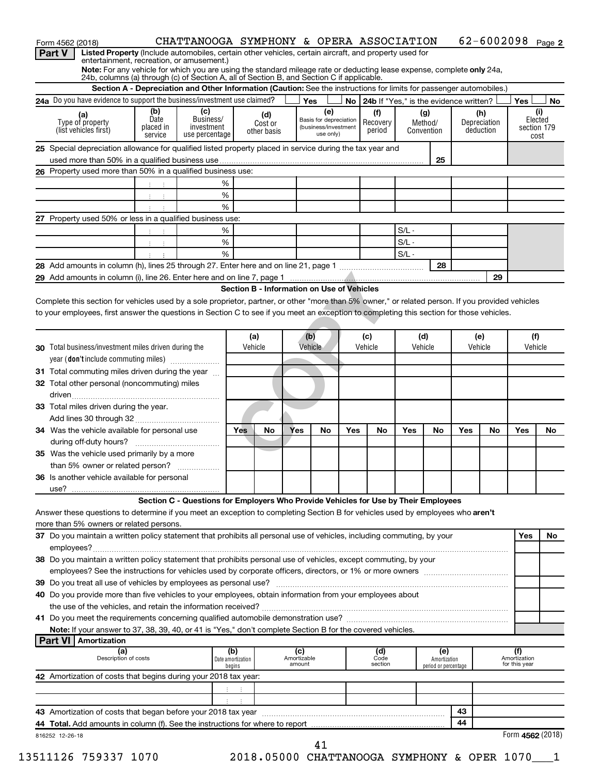|        | Form 4562 (2018)                                                                                                                                   |                              | CHATTANOOGA SYMPHONY & OPERA ASSOCIATION                                                                             |                             |                        |                    |                                            |     |                                             |         |                                      |     |                           | $62 - 6002098$ Page 2                |                |
|--------|----------------------------------------------------------------------------------------------------------------------------------------------------|------------------------------|----------------------------------------------------------------------------------------------------------------------|-----------------------------|------------------------|--------------------|--------------------------------------------|-----|---------------------------------------------|---------|--------------------------------------|-----|---------------------------|--------------------------------------|----------------|
| Part V | Listed Property (Include automobiles, certain other vehicles, certain aircraft, and property used for<br>entertainment, recreation, or amusement.) |                              |                                                                                                                      |                             |                        |                    |                                            |     |                                             |         |                                      |     |                           |                                      |                |
|        | Note: For any vehicle for which you are using the standard mileage rate or deducting lease expense, complete only 24a,                             |                              |                                                                                                                      |                             |                        |                    |                                            |     |                                             |         |                                      |     |                           |                                      |                |
|        | 24b, columns (a) through (c) of Section A, all of Section B, and Section C if applicable.                                                          |                              |                                                                                                                      |                             |                        |                    |                                            |     |                                             |         |                                      |     |                           |                                      |                |
|        |                                                                                                                                                    |                              | Section A - Depreciation and Other Information (Caution: See the instructions for limits for passenger automobiles.) |                             |                        |                    |                                            |     |                                             |         |                                      |     |                           |                                      |                |
|        | 24a Do you have evidence to support the business/investment use claimed?                                                                           |                              |                                                                                                                      |                             |                        |                    | Yes                                        |     | No   24b If "Yes," is the evidence written? |         |                                      |     |                           | Yes                                  | No.            |
|        |                                                                                                                                                    | (b)<br>Date                  | (c)<br>Business/                                                                                                     |                             | (d)                    |                    | (e)<br>Basis for depreciation              |     | (f)                                         | (g)     |                                      |     | (h)                       |                                      | (i)<br>Elected |
|        | Type of property<br>(list vehicles first)                                                                                                          | placed in                    | investment                                                                                                           |                             | Cost or<br>other basis |                    | (business/investment                       |     | Recovery<br>period                          | Method/ | Convention                           |     | Depreciation<br>deduction |                                      | section 179    |
|        |                                                                                                                                                    | service                      | use percentage                                                                                                       |                             |                        |                    | use only)                                  |     |                                             |         |                                      |     |                           |                                      | cost           |
|        | 25 Special depreciation allowance for qualified listed property placed in service during the tax year and                                          |                              |                                                                                                                      |                             |                        |                    |                                            |     |                                             |         |                                      |     |                           |                                      |                |
|        |                                                                                                                                                    |                              |                                                                                                                      |                             |                        |                    |                                            |     |                                             |         | 25                                   |     |                           |                                      |                |
|        | 26 Property used more than 50% in a qualified business use:                                                                                        |                              |                                                                                                                      |                             |                        |                    |                                            |     |                                             |         |                                      |     |                           |                                      |                |
|        |                                                                                                                                                    |                              |                                                                                                                      | %                           |                        |                    |                                            |     |                                             |         |                                      |     |                           |                                      |                |
|        |                                                                                                                                                    | $\mathbb{C}^{\times}$<br>- 1 |                                                                                                                      | $\%$                        |                        |                    |                                            |     |                                             |         |                                      |     |                           |                                      |                |
|        |                                                                                                                                                    |                              |                                                                                                                      | %                           |                        |                    |                                            |     |                                             |         |                                      |     |                           |                                      |                |
|        | 27 Property used 50% or less in a qualified business use:                                                                                          |                              |                                                                                                                      |                             |                        |                    |                                            |     |                                             |         |                                      |     |                           |                                      |                |
|        |                                                                                                                                                    |                              |                                                                                                                      | %                           |                        |                    |                                            |     |                                             | $S/L -$ |                                      |     |                           |                                      |                |
|        |                                                                                                                                                    | $1 - 1$                      |                                                                                                                      | $\%$                        |                        |                    |                                            |     |                                             | $S/L -$ |                                      |     |                           |                                      |                |
|        |                                                                                                                                                    |                              |                                                                                                                      | %                           |                        |                    |                                            |     |                                             | $S/L -$ |                                      |     |                           |                                      |                |
|        |                                                                                                                                                    |                              |                                                                                                                      |                             |                        |                    |                                            |     |                                             |         | 28                                   |     |                           |                                      |                |
|        |                                                                                                                                                    |                              |                                                                                                                      |                             |                        |                    |                                            |     |                                             |         |                                      |     | 29                        |                                      |                |
|        |                                                                                                                                                    |                              |                                                                                                                      |                             |                        |                    | Section B - Information on Use of Vehicles |     |                                             |         |                                      |     |                           |                                      |                |
|        | Complete this section for vehicles used by a sole proprietor, partner, or other "more than 5% owner," or related person. If you provided vehicles  |                              |                                                                                                                      |                             |                        |                    |                                            |     |                                             |         |                                      |     |                           |                                      |                |
|        | to your employees, first answer the questions in Section C to see if you meet an exception to completing this section for those vehicles.          |                              |                                                                                                                      |                             |                        |                    |                                            |     |                                             |         |                                      |     |                           |                                      |                |
|        |                                                                                                                                                    |                              |                                                                                                                      |                             |                        |                    |                                            |     |                                             |         |                                      |     |                           |                                      |                |
|        |                                                                                                                                                    |                              |                                                                                                                      |                             | (a)                    |                    | (b)                                        |     | (c)                                         | (d)     |                                      |     | (e)                       | (f)                                  |                |
|        | <b>30</b> Total business/investment miles driven during the                                                                                        |                              |                                                                                                                      |                             | Vehicle                |                    | Vehicle                                    |     | Vehicle                                     | Vehicle |                                      |     | Vehicle                   | Vehicle                              |                |
|        | year (don't include commuting miles)                                                                                                               |                              |                                                                                                                      |                             |                        |                    |                                            |     |                                             |         |                                      |     |                           |                                      |                |
|        | 31 Total commuting miles driven during the year                                                                                                    |                              |                                                                                                                      |                             |                        |                    |                                            |     |                                             |         |                                      |     |                           |                                      |                |
|        |                                                                                                                                                    |                              |                                                                                                                      |                             |                        |                    |                                            |     |                                             |         |                                      |     |                           |                                      |                |
|        | 32 Total other personal (noncommuting) miles                                                                                                       |                              |                                                                                                                      |                             |                        |                    |                                            |     |                                             |         |                                      |     |                           |                                      |                |
|        |                                                                                                                                                    |                              |                                                                                                                      |                             |                        |                    |                                            |     |                                             |         |                                      |     |                           |                                      |                |
|        | 33 Total miles driven during the year.                                                                                                             |                              |                                                                                                                      |                             |                        |                    |                                            |     |                                             |         |                                      |     |                           |                                      |                |
|        |                                                                                                                                                    |                              |                                                                                                                      |                             |                        |                    |                                            |     |                                             |         |                                      |     |                           |                                      |                |
|        | 34 Was the vehicle available for personal use                                                                                                      |                              |                                                                                                                      | Yes                         | No                     | Yes                | No                                         | Yes | No                                          | Yes     | No                                   | Yes | No                        | Yes                                  | No             |
|        |                                                                                                                                                    |                              |                                                                                                                      |                             |                        |                    |                                            |     |                                             |         |                                      |     |                           |                                      |                |
|        | 35 Was the vehicle used primarily by a more                                                                                                        |                              |                                                                                                                      |                             |                        |                    |                                            |     |                                             |         |                                      |     |                           |                                      |                |
|        | than 5% owner or related person?                                                                                                                   |                              |                                                                                                                      |                             |                        |                    |                                            |     |                                             |         |                                      |     |                           |                                      |                |
|        | 36 Is another vehicle available for personal                                                                                                       |                              |                                                                                                                      |                             |                        |                    |                                            |     |                                             |         |                                      |     |                           |                                      |                |
|        |                                                                                                                                                    |                              |                                                                                                                      |                             |                        |                    |                                            |     |                                             |         |                                      |     |                           |                                      |                |
|        |                                                                                                                                                    |                              | Section C - Questions for Employers Who Provide Vehicles for Use by Their Employees                                  |                             |                        |                    |                                            |     |                                             |         |                                      |     |                           |                                      |                |
|        | Answer these questions to determine if you meet an exception to completing Section B for vehicles used by employees who aren't                     |                              |                                                                                                                      |                             |                        |                    |                                            |     |                                             |         |                                      |     |                           |                                      |                |
|        | more than 5% owners or related persons.                                                                                                            |                              |                                                                                                                      |                             |                        |                    |                                            |     |                                             |         |                                      |     |                           |                                      |                |
|        | 37 Do you maintain a written policy statement that prohibits all personal use of vehicles, including commuting, by your                            |                              |                                                                                                                      |                             |                        |                    |                                            |     |                                             |         |                                      |     |                           | Yes                                  | No             |
|        |                                                                                                                                                    |                              |                                                                                                                      |                             |                        |                    |                                            |     |                                             |         |                                      |     |                           |                                      |                |
|        | 38 Do you maintain a written policy statement that prohibits personal use of vehicles, except commuting, by your                                   |                              |                                                                                                                      |                             |                        |                    |                                            |     |                                             |         |                                      |     |                           |                                      |                |
|        |                                                                                                                                                    |                              |                                                                                                                      |                             |                        |                    |                                            |     |                                             |         |                                      |     |                           |                                      |                |
|        |                                                                                                                                                    |                              |                                                                                                                      |                             |                        |                    |                                            |     |                                             |         |                                      |     |                           |                                      |                |
|        | 40 Do you provide more than five vehicles to your employees, obtain information from your employees about                                          |                              |                                                                                                                      |                             |                        |                    |                                            |     |                                             |         |                                      |     |                           |                                      |                |
|        |                                                                                                                                                    |                              |                                                                                                                      |                             |                        |                    |                                            |     |                                             |         |                                      |     |                           |                                      |                |
|        |                                                                                                                                                    |                              |                                                                                                                      |                             |                        |                    |                                            |     |                                             |         |                                      |     |                           |                                      |                |
|        | Note: If your answer to 37, 38, 39, 40, or 41 is "Yes," don't complete Section B for the covered vehicles.                                         |                              |                                                                                                                      |                             |                        |                    |                                            |     |                                             |         |                                      |     |                           |                                      |                |
|        | <b>Part VI   Amortization</b>                                                                                                                      |                              |                                                                                                                      |                             |                        |                    |                                            |     |                                             |         |                                      |     |                           |                                      |                |
|        | (a)<br>Description of costs                                                                                                                        |                              |                                                                                                                      | (b)                         |                        | (c)<br>Amortizable |                                            |     | (d)                                         |         | (e)                                  |     |                           |                                      |                |
|        |                                                                                                                                                    |                              |                                                                                                                      | Date amortization<br>begins |                        | amount             |                                            |     | Code<br>section                             |         | Amortization<br>period or percentage |     |                           | (f)<br>Amortization<br>for this year |                |
|        | 42 Amortization of costs that begins during your 2018 tax year:                                                                                    |                              |                                                                                                                      |                             |                        |                    |                                            |     |                                             |         |                                      |     |                           |                                      |                |
|        |                                                                                                                                                    |                              |                                                                                                                      |                             |                        |                    |                                            |     |                                             |         |                                      |     |                           |                                      |                |
|        |                                                                                                                                                    |                              |                                                                                                                      |                             |                        |                    |                                            |     |                                             |         |                                      |     |                           |                                      |                |
|        |                                                                                                                                                    |                              |                                                                                                                      |                             |                        |                    |                                            |     |                                             |         |                                      | 43  |                           |                                      |                |
|        |                                                                                                                                                    |                              |                                                                                                                      |                             |                        |                    |                                            |     |                                             |         |                                      |     |                           |                                      |                |
|        |                                                                                                                                                    |                              |                                                                                                                      |                             |                        |                    |                                            |     |                                             |         |                                      |     |                           |                                      |                |
|        | 816252 12-26-18                                                                                                                                    |                              |                                                                                                                      |                             |                        |                    | 41                                         |     |                                             |         |                                      | 44  |                           | Form 4562 (2018)                     |                |